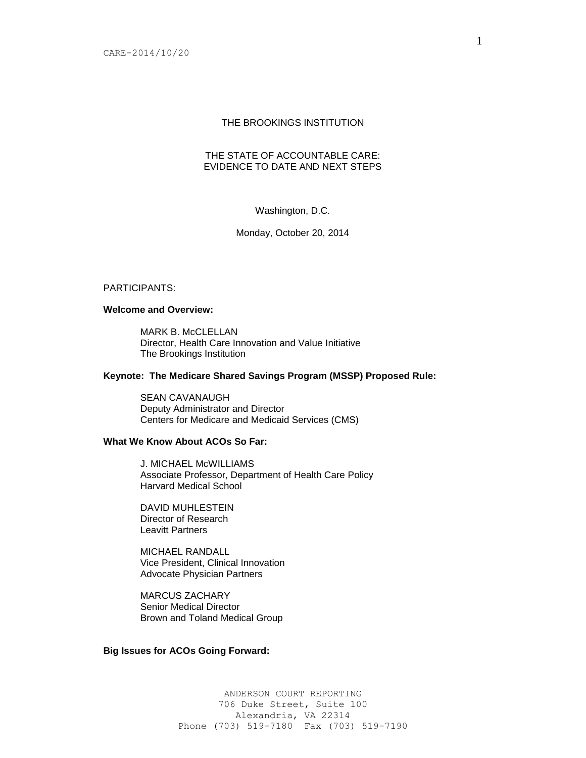# THE BROOKINGS INSTITUTION

## THE STATE OF ACCOUNTABLE CARE: EVIDENCE TO DATE AND NEXT STEPS

# Washington, D.C.

### Monday, October 20, 2014

#### PARTICIPANTS:

### **Welcome and Overview:**

MARK B. McCLELLAN Director, Health Care Innovation and Value Initiative The Brookings Institution

### **Keynote: The Medicare Shared Savings Program (MSSP) Proposed Rule:**

SEAN CAVANAUGH Deputy Administrator and Director Centers for Medicare and Medicaid Services (CMS)

# **What We Know About ACOs So Far:**

J. MICHAEL McWILLIAMS Associate Professor, Department of Health Care Policy Harvard Medical School

DAVID MUHLESTEIN Director of Research Leavitt Partners

MICHAEL RANDALL Vice President, Clinical Innovation Advocate Physician Partners

MARCUS ZACHARY Senior Medical Director Brown and Toland Medical Group

# **Big Issues for ACOs Going Forward:**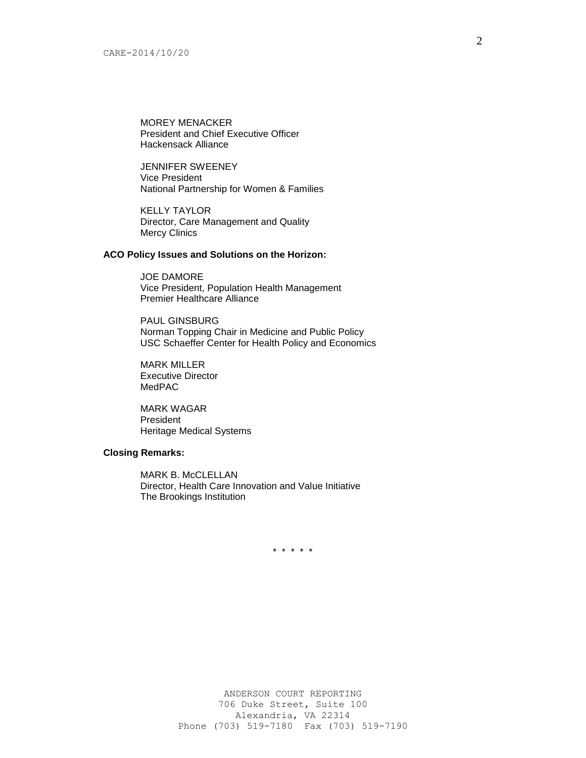MOREY MENACKER President and Chief Executive Officer Hackensack Alliance

JENNIFER SWEENEY Vice President National Partnership for Women & Families

KELLY TAYLOR Director, Care Management and Quality Mercy Clinics

## **ACO Policy Issues and Solutions on the Horizon:**

JOE DAMORE Vice President, Population Health Management Premier Healthcare Alliance

PAUL GINSBURG Norman Topping Chair in Medicine and Public Policy USC Schaeffer Center for Health Policy and Economics

MARK MILLER Executive Director MedPAC

MARK WAGAR President Heritage Medical Systems

### **Closing Remarks:**

MARK B. McCLELLAN Director, Health Care Innovation and Value Initiative The Brookings Institution

\* \* \* \* \*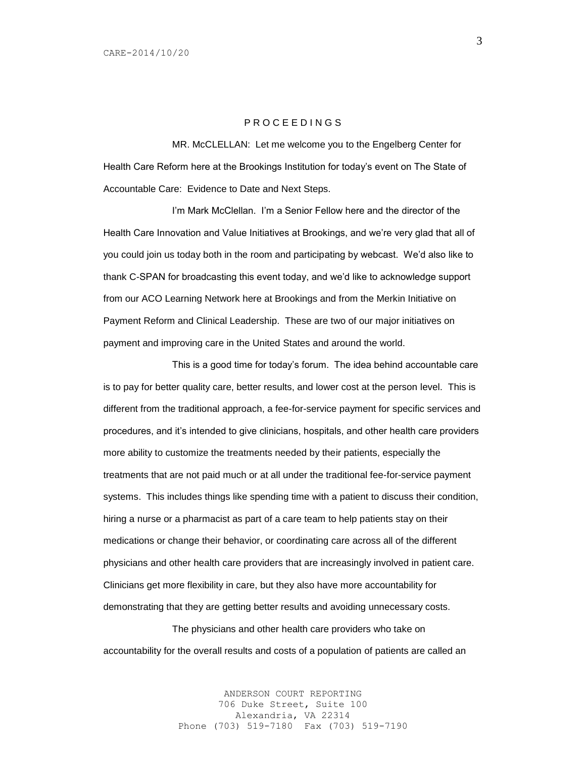## P R O C E E D I N G S

MR. McCLELLAN: Let me welcome you to the Engelberg Center for Health Care Reform here at the Brookings Institution for today's event on The State of Accountable Care: Evidence to Date and Next Steps.

I'm Mark McClellan. I'm a Senior Fellow here and the director of the Health Care Innovation and Value Initiatives at Brookings, and we're very glad that all of you could join us today both in the room and participating by webcast. We'd also like to thank C-SPAN for broadcasting this event today, and we'd like to acknowledge support from our ACO Learning Network here at Brookings and from the Merkin Initiative on Payment Reform and Clinical Leadership. These are two of our major initiatives on payment and improving care in the United States and around the world.

This is a good time for today's forum. The idea behind accountable care is to pay for better quality care, better results, and lower cost at the person level. This is different from the traditional approach, a fee-for-service payment for specific services and procedures, and it's intended to give clinicians, hospitals, and other health care providers more ability to customize the treatments needed by their patients, especially the treatments that are not paid much or at all under the traditional fee-for-service payment systems. This includes things like spending time with a patient to discuss their condition, hiring a nurse or a pharmacist as part of a care team to help patients stay on their medications or change their behavior, or coordinating care across all of the different physicians and other health care providers that are increasingly involved in patient care. Clinicians get more flexibility in care, but they also have more accountability for demonstrating that they are getting better results and avoiding unnecessary costs.

The physicians and other health care providers who take on accountability for the overall results and costs of a population of patients are called an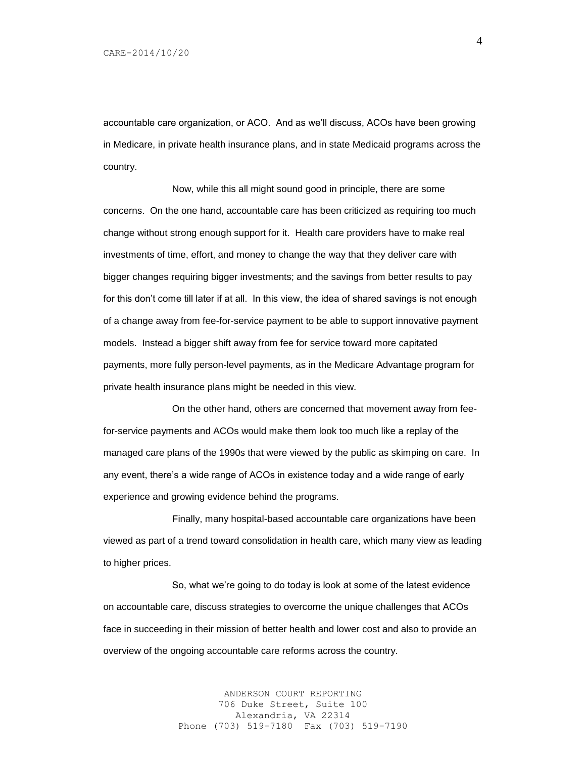accountable care organization, or ACO. And as we'll discuss, ACOs have been growing in Medicare, in private health insurance plans, and in state Medicaid programs across the country.

Now, while this all might sound good in principle, there are some concerns. On the one hand, accountable care has been criticized as requiring too much change without strong enough support for it. Health care providers have to make real investments of time, effort, and money to change the way that they deliver care with bigger changes requiring bigger investments; and the savings from better results to pay for this don't come till later if at all. In this view, the idea of shared savings is not enough of a change away from fee-for-service payment to be able to support innovative payment models. Instead a bigger shift away from fee for service toward more capitated payments, more fully person-level payments, as in the Medicare Advantage program for private health insurance plans might be needed in this view.

On the other hand, others are concerned that movement away from feefor-service payments and ACOs would make them look too much like a replay of the managed care plans of the 1990s that were viewed by the public as skimping on care. In any event, there's a wide range of ACOs in existence today and a wide range of early experience and growing evidence behind the programs.

Finally, many hospital-based accountable care organizations have been viewed as part of a trend toward consolidation in health care, which many view as leading to higher prices.

So, what we're going to do today is look at some of the latest evidence on accountable care, discuss strategies to overcome the unique challenges that ACOs face in succeeding in their mission of better health and lower cost and also to provide an overview of the ongoing accountable care reforms across the country.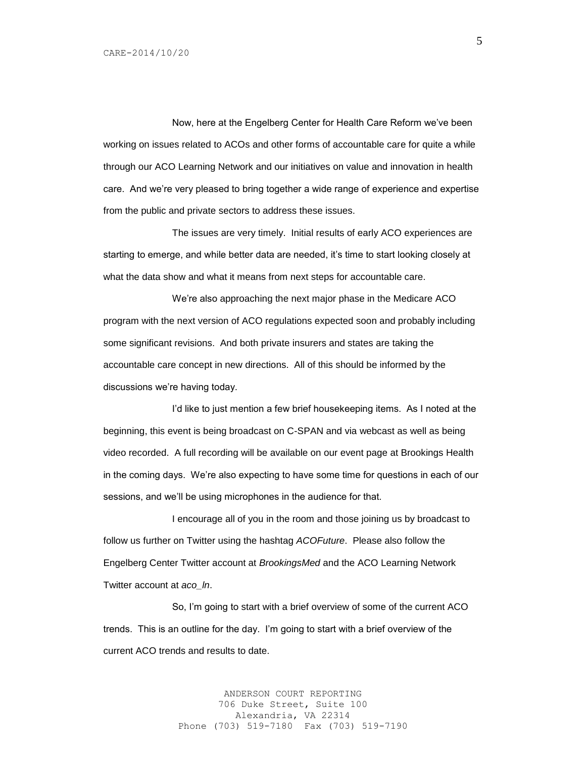Now, here at the Engelberg Center for Health Care Reform we've been working on issues related to ACOs and other forms of accountable care for quite a while through our ACO Learning Network and our initiatives on value and innovation in health care. And we're very pleased to bring together a wide range of experience and expertise from the public and private sectors to address these issues.

The issues are very timely. Initial results of early ACO experiences are starting to emerge, and while better data are needed, it's time to start looking closely at what the data show and what it means from next steps for accountable care.

We're also approaching the next major phase in the Medicare ACO program with the next version of ACO regulations expected soon and probably including some significant revisions. And both private insurers and states are taking the accountable care concept in new directions. All of this should be informed by the discussions we're having today.

I'd like to just mention a few brief housekeeping items. As I noted at the beginning, this event is being broadcast on C-SPAN and via webcast as well as being video recorded. A full recording will be available on our event page at Brookings Health in the coming days. We're also expecting to have some time for questions in each of our sessions, and we'll be using microphones in the audience for that.

I encourage all of you in the room and those joining us by broadcast to follow us further on Twitter using the hashtag *ACOFuture*. Please also follow the Engelberg Center Twitter account at *BrookingsMed* and the ACO Learning Network Twitter account at *aco\_ln*.

So, I'm going to start with a brief overview of some of the current ACO trends. This is an outline for the day. I'm going to start with a brief overview of the current ACO trends and results to date.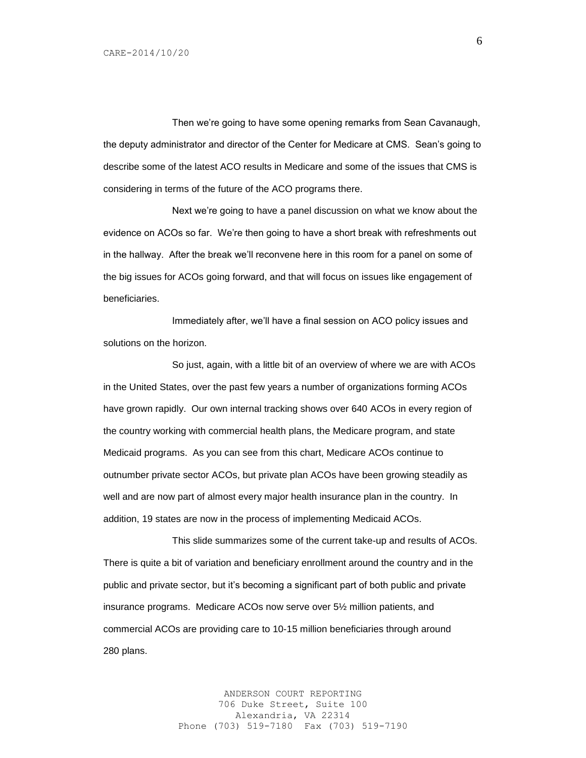Then we're going to have some opening remarks from Sean Cavanaugh, the deputy administrator and director of the Center for Medicare at CMS. Sean's going to describe some of the latest ACO results in Medicare and some of the issues that CMS is considering in terms of the future of the ACO programs there.

Next we're going to have a panel discussion on what we know about the evidence on ACOs so far. We're then going to have a short break with refreshments out in the hallway. After the break we'll reconvene here in this room for a panel on some of the big issues for ACOs going forward, and that will focus on issues like engagement of beneficiaries.

Immediately after, we'll have a final session on ACO policy issues and solutions on the horizon.

So just, again, with a little bit of an overview of where we are with ACOs in the United States, over the past few years a number of organizations forming ACOs have grown rapidly. Our own internal tracking shows over 640 ACOs in every region of the country working with commercial health plans, the Medicare program, and state Medicaid programs. As you can see from this chart, Medicare ACOs continue to outnumber private sector ACOs, but private plan ACOs have been growing steadily as well and are now part of almost every major health insurance plan in the country. In addition, 19 states are now in the process of implementing Medicaid ACOs.

This slide summarizes some of the current take-up and results of ACOs. There is quite a bit of variation and beneficiary enrollment around the country and in the public and private sector, but it's becoming a significant part of both public and private insurance programs. Medicare ACOs now serve over 5½ million patients, and commercial ACOs are providing care to 10-15 million beneficiaries through around 280 plans.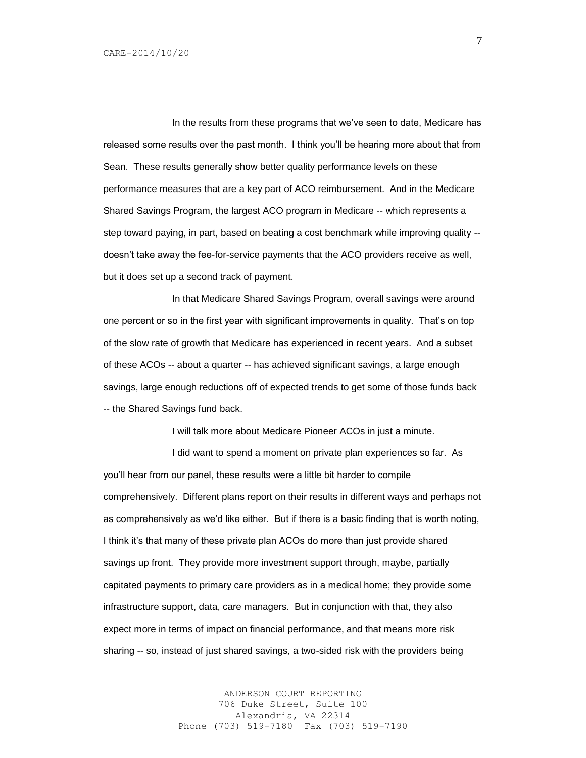In the results from these programs that we've seen to date, Medicare has released some results over the past month. I think you'll be hearing more about that from Sean. These results generally show better quality performance levels on these performance measures that are a key part of ACO reimbursement. And in the Medicare Shared Savings Program, the largest ACO program in Medicare -- which represents a step toward paying, in part, based on beating a cost benchmark while improving quality - doesn't take away the fee-for-service payments that the ACO providers receive as well, but it does set up a second track of payment.

In that Medicare Shared Savings Program, overall savings were around one percent or so in the first year with significant improvements in quality. That's on top of the slow rate of growth that Medicare has experienced in recent years. And a subset of these ACOs -- about a quarter -- has achieved significant savings, a large enough savings, large enough reductions off of expected trends to get some of those funds back -- the Shared Savings fund back.

I will talk more about Medicare Pioneer ACOs in just a minute.

I did want to spend a moment on private plan experiences so far. As you'll hear from our panel, these results were a little bit harder to compile comprehensively. Different plans report on their results in different ways and perhaps not as comprehensively as we'd like either. But if there is a basic finding that is worth noting, I think it's that many of these private plan ACOs do more than just provide shared savings up front. They provide more investment support through, maybe, partially capitated payments to primary care providers as in a medical home; they provide some infrastructure support, data, care managers. But in conjunction with that, they also expect more in terms of impact on financial performance, and that means more risk sharing -- so, instead of just shared savings, a two-sided risk with the providers being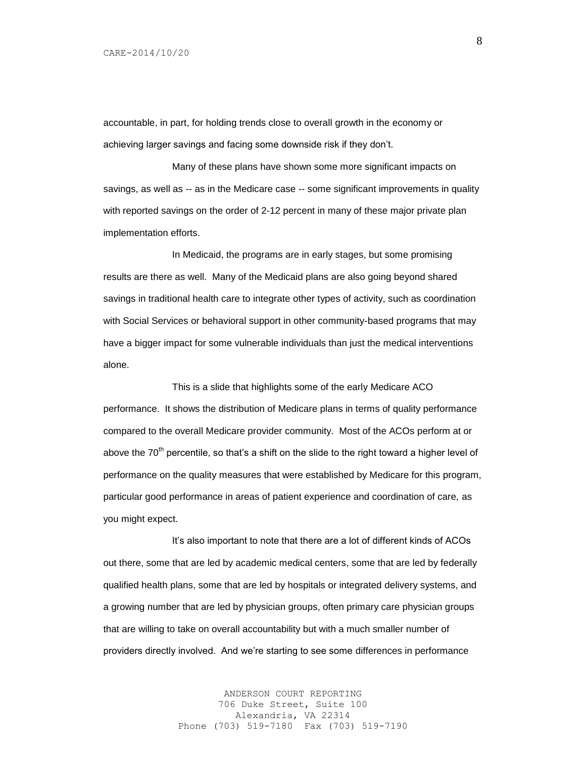accountable, in part, for holding trends close to overall growth in the economy or achieving larger savings and facing some downside risk if they don't.

Many of these plans have shown some more significant impacts on savings, as well as -- as in the Medicare case -- some significant improvements in quality with reported savings on the order of 2-12 percent in many of these major private plan implementation efforts.

In Medicaid, the programs are in early stages, but some promising results are there as well. Many of the Medicaid plans are also going beyond shared savings in traditional health care to integrate other types of activity, such as coordination with Social Services or behavioral support in other community-based programs that may have a bigger impact for some vulnerable individuals than just the medical interventions alone.

This is a slide that highlights some of the early Medicare ACO performance. It shows the distribution of Medicare plans in terms of quality performance compared to the overall Medicare provider community. Most of the ACOs perform at or above the 70<sup>th</sup> percentile, so that's a shift on the slide to the right toward a higher level of performance on the quality measures that were established by Medicare for this program, particular good performance in areas of patient experience and coordination of care, as you might expect.

It's also important to note that there are a lot of different kinds of ACOs out there, some that are led by academic medical centers, some that are led by federally qualified health plans, some that are led by hospitals or integrated delivery systems, and a growing number that are led by physician groups, often primary care physician groups that are willing to take on overall accountability but with a much smaller number of providers directly involved. And we're starting to see some differences in performance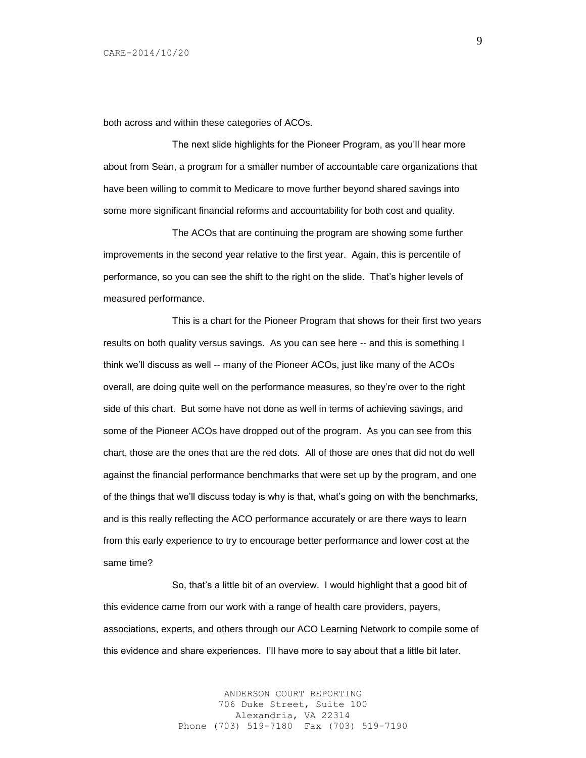both across and within these categories of ACOs.

The next slide highlights for the Pioneer Program, as you'll hear more about from Sean, a program for a smaller number of accountable care organizations that have been willing to commit to Medicare to move further beyond shared savings into some more significant financial reforms and accountability for both cost and quality.

The ACOs that are continuing the program are showing some further improvements in the second year relative to the first year. Again, this is percentile of performance, so you can see the shift to the right on the slide. That's higher levels of measured performance.

This is a chart for the Pioneer Program that shows for their first two years results on both quality versus savings. As you can see here -- and this is something I think we'll discuss as well -- many of the Pioneer ACOs, just like many of the ACOs overall, are doing quite well on the performance measures, so they're over to the right side of this chart. But some have not done as well in terms of achieving savings, and some of the Pioneer ACOs have dropped out of the program. As you can see from this chart, those are the ones that are the red dots. All of those are ones that did not do well against the financial performance benchmarks that were set up by the program, and one of the things that we'll discuss today is why is that, what's going on with the benchmarks, and is this really reflecting the ACO performance accurately or are there ways to learn from this early experience to try to encourage better performance and lower cost at the same time?

So, that's a little bit of an overview. I would highlight that a good bit of this evidence came from our work with a range of health care providers, payers, associations, experts, and others through our ACO Learning Network to compile some of this evidence and share experiences. I'll have more to say about that a little bit later.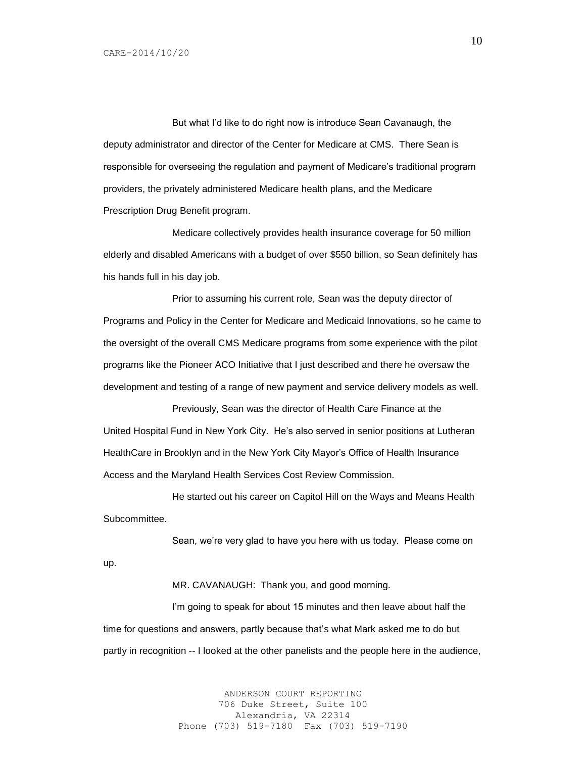But what I'd like to do right now is introduce Sean Cavanaugh, the deputy administrator and director of the Center for Medicare at CMS. There Sean is responsible for overseeing the regulation and payment of Medicare's traditional program providers, the privately administered Medicare health plans, and the Medicare Prescription Drug Benefit program.

Medicare collectively provides health insurance coverage for 50 million elderly and disabled Americans with a budget of over \$550 billion, so Sean definitely has his hands full in his day job.

Prior to assuming his current role, Sean was the deputy director of Programs and Policy in the Center for Medicare and Medicaid Innovations, so he came to the oversight of the overall CMS Medicare programs from some experience with the pilot programs like the Pioneer ACO Initiative that I just described and there he oversaw the development and testing of a range of new payment and service delivery models as well.

Previously, Sean was the director of Health Care Finance at the United Hospital Fund in New York City. He's also served in senior positions at Lutheran HealthCare in Brooklyn and in the New York City Mayor's Office of Health Insurance Access and the Maryland Health Services Cost Review Commission.

He started out his career on Capitol Hill on the Ways and Means Health Subcommittee.

Sean, we're very glad to have you here with us today. Please come on up.

MR. CAVANAUGH: Thank you, and good morning.

I'm going to speak for about 15 minutes and then leave about half the time for questions and answers, partly because that's what Mark asked me to do but partly in recognition -- I looked at the other panelists and the people here in the audience,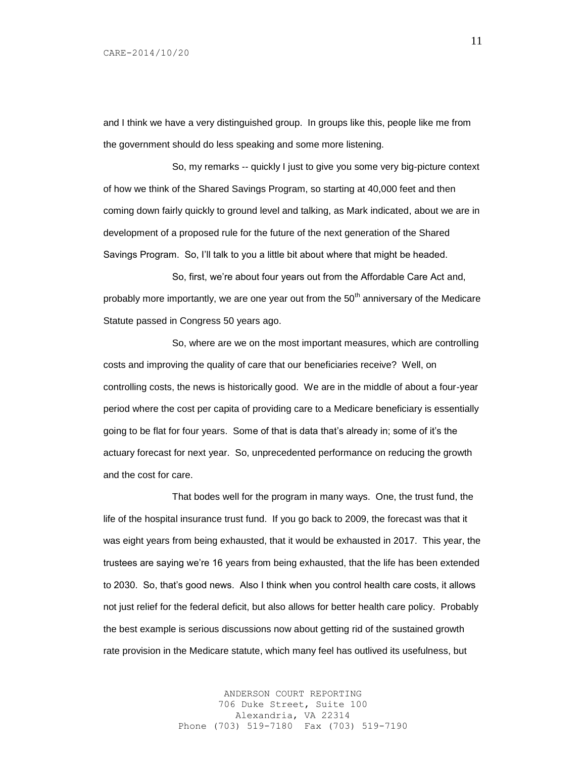and I think we have a very distinguished group. In groups like this, people like me from the government should do less speaking and some more listening.

So, my remarks -- quickly I just to give you some very big-picture context of how we think of the Shared Savings Program, so starting at 40,000 feet and then coming down fairly quickly to ground level and talking, as Mark indicated, about we are in development of a proposed rule for the future of the next generation of the Shared Savings Program. So, I'll talk to you a little bit about where that might be headed.

So, first, we're about four years out from the Affordable Care Act and, probably more importantly, we are one year out from the 50<sup>th</sup> anniversary of the Medicare Statute passed in Congress 50 years ago.

So, where are we on the most important measures, which are controlling costs and improving the quality of care that our beneficiaries receive? Well, on controlling costs, the news is historically good. We are in the middle of about a four-year period where the cost per capita of providing care to a Medicare beneficiary is essentially going to be flat for four years. Some of that is data that's already in; some of it's the actuary forecast for next year. So, unprecedented performance on reducing the growth and the cost for care.

That bodes well for the program in many ways. One, the trust fund, the life of the hospital insurance trust fund. If you go back to 2009, the forecast was that it was eight years from being exhausted, that it would be exhausted in 2017. This year, the trustees are saying we're 16 years from being exhausted, that the life has been extended to 2030. So, that's good news. Also I think when you control health care costs, it allows not just relief for the federal deficit, but also allows for better health care policy. Probably the best example is serious discussions now about getting rid of the sustained growth rate provision in the Medicare statute, which many feel has outlived its usefulness, but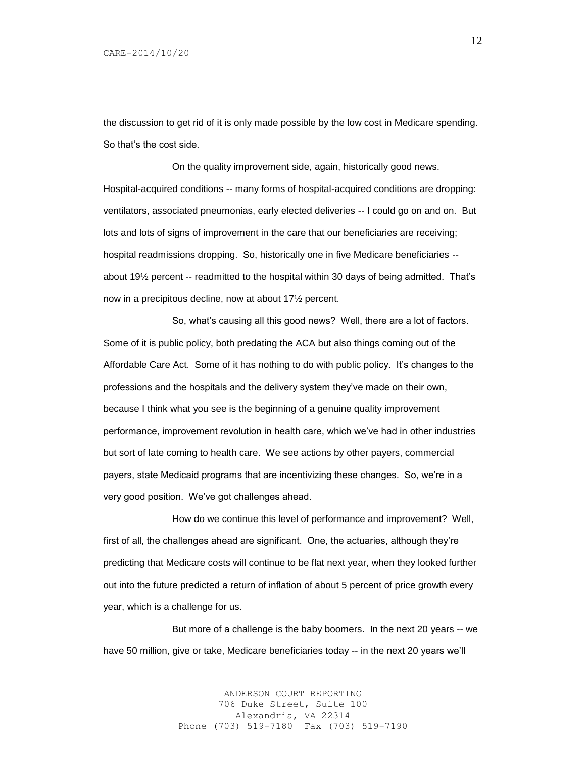the discussion to get rid of it is only made possible by the low cost in Medicare spending. So that's the cost side.

On the quality improvement side, again, historically good news. Hospital-acquired conditions -- many forms of hospital-acquired conditions are dropping: ventilators, associated pneumonias, early elected deliveries -- I could go on and on. But lots and lots of signs of improvement in the care that our beneficiaries are receiving; hospital readmissions dropping. So, historically one in five Medicare beneficiaries - about 19½ percent -- readmitted to the hospital within 30 days of being admitted. That's now in a precipitous decline, now at about 17½ percent.

So, what's causing all this good news? Well, there are a lot of factors. Some of it is public policy, both predating the ACA but also things coming out of the Affordable Care Act. Some of it has nothing to do with public policy. It's changes to the professions and the hospitals and the delivery system they've made on their own, because I think what you see is the beginning of a genuine quality improvement performance, improvement revolution in health care, which we've had in other industries but sort of late coming to health care. We see actions by other payers, commercial payers, state Medicaid programs that are incentivizing these changes. So, we're in a very good position. We've got challenges ahead.

How do we continue this level of performance and improvement? Well, first of all, the challenges ahead are significant. One, the actuaries, although they're predicting that Medicare costs will continue to be flat next year, when they looked further out into the future predicted a return of inflation of about 5 percent of price growth every year, which is a challenge for us.

But more of a challenge is the baby boomers. In the next 20 years -- we have 50 million, give or take, Medicare beneficiaries today -- in the next 20 years we'll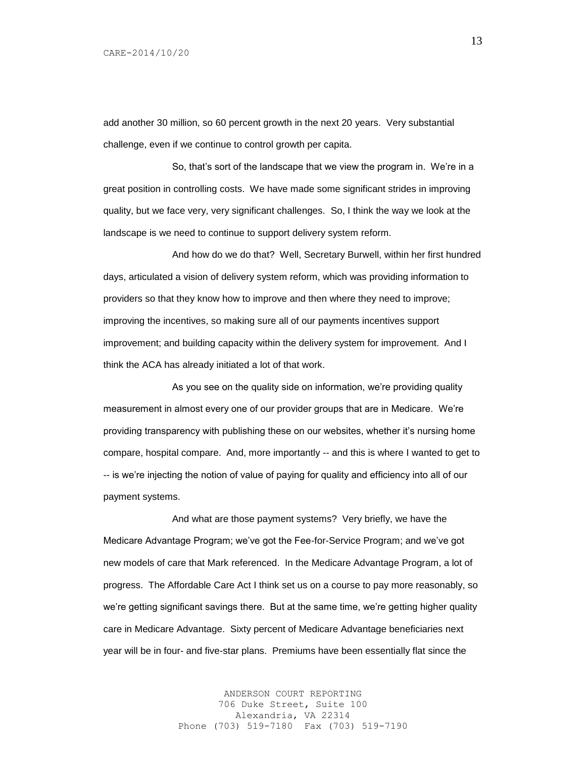add another 30 million, so 60 percent growth in the next 20 years. Very substantial challenge, even if we continue to control growth per capita.

So, that's sort of the landscape that we view the program in. We're in a great position in controlling costs. We have made some significant strides in improving quality, but we face very, very significant challenges. So, I think the way we look at the landscape is we need to continue to support delivery system reform.

And how do we do that? Well, Secretary Burwell, within her first hundred days, articulated a vision of delivery system reform, which was providing information to providers so that they know how to improve and then where they need to improve; improving the incentives, so making sure all of our payments incentives support improvement; and building capacity within the delivery system for improvement. And I think the ACA has already initiated a lot of that work.

As you see on the quality side on information, we're providing quality measurement in almost every one of our provider groups that are in Medicare. We're providing transparency with publishing these on our websites, whether it's nursing home compare, hospital compare. And, more importantly -- and this is where I wanted to get to -- is we're injecting the notion of value of paying for quality and efficiency into all of our payment systems.

And what are those payment systems? Very briefly, we have the Medicare Advantage Program; we've got the Fee-for-Service Program; and we've got new models of care that Mark referenced. In the Medicare Advantage Program, a lot of progress. The Affordable Care Act I think set us on a course to pay more reasonably, so we're getting significant savings there. But at the same time, we're getting higher quality care in Medicare Advantage. Sixty percent of Medicare Advantage beneficiaries next year will be in four- and five-star plans. Premiums have been essentially flat since the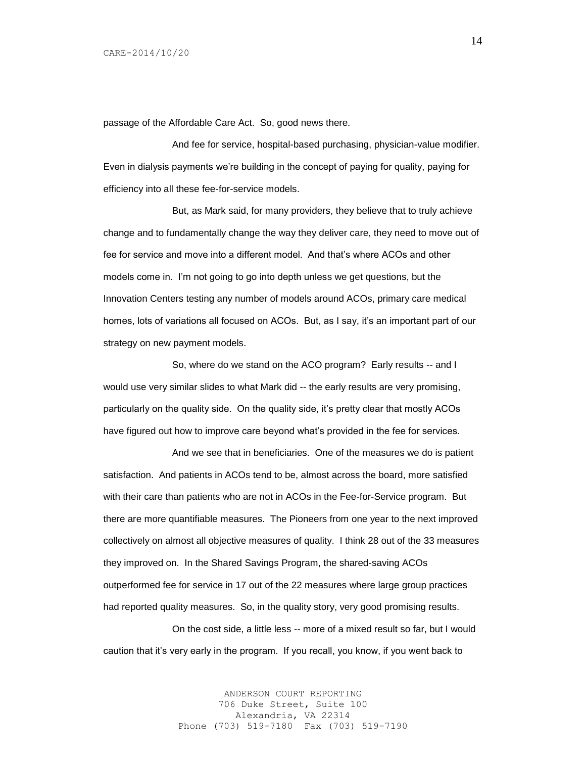passage of the Affordable Care Act. So, good news there.

And fee for service, hospital-based purchasing, physician-value modifier. Even in dialysis payments we're building in the concept of paying for quality, paying for efficiency into all these fee-for-service models.

But, as Mark said, for many providers, they believe that to truly achieve change and to fundamentally change the way they deliver care, they need to move out of fee for service and move into a different model. And that's where ACOs and other models come in. I'm not going to go into depth unless we get questions, but the Innovation Centers testing any number of models around ACOs, primary care medical homes, lots of variations all focused on ACOs. But, as I say, it's an important part of our strategy on new payment models.

So, where do we stand on the ACO program? Early results -- and I would use very similar slides to what Mark did -- the early results are very promising, particularly on the quality side. On the quality side, it's pretty clear that mostly ACOs have figured out how to improve care beyond what's provided in the fee for services.

And we see that in beneficiaries. One of the measures we do is patient satisfaction. And patients in ACOs tend to be, almost across the board, more satisfied with their care than patients who are not in ACOs in the Fee-for-Service program. But there are more quantifiable measures. The Pioneers from one year to the next improved collectively on almost all objective measures of quality. I think 28 out of the 33 measures they improved on. In the Shared Savings Program, the shared-saving ACOs outperformed fee for service in 17 out of the 22 measures where large group practices had reported quality measures. So, in the quality story, very good promising results.

On the cost side, a little less -- more of a mixed result so far, but I would caution that it's very early in the program. If you recall, you know, if you went back to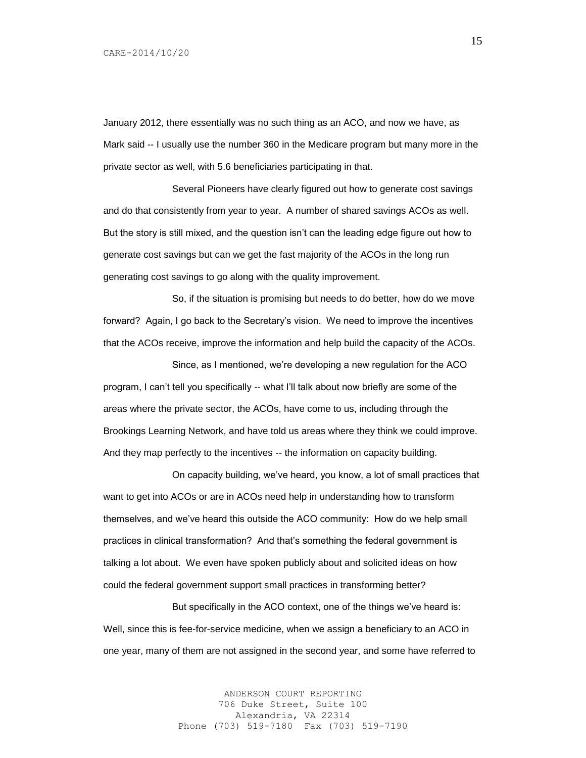January 2012, there essentially was no such thing as an ACO, and now we have, as Mark said -- I usually use the number 360 in the Medicare program but many more in the private sector as well, with 5.6 beneficiaries participating in that.

Several Pioneers have clearly figured out how to generate cost savings and do that consistently from year to year. A number of shared savings ACOs as well. But the story is still mixed, and the question isn't can the leading edge figure out how to generate cost savings but can we get the fast majority of the ACOs in the long run generating cost savings to go along with the quality improvement.

So, if the situation is promising but needs to do better, how do we move forward? Again, I go back to the Secretary's vision. We need to improve the incentives that the ACOs receive, improve the information and help build the capacity of the ACOs.

Since, as I mentioned, we're developing a new regulation for the ACO program, I can't tell you specifically -- what I'll talk about now briefly are some of the areas where the private sector, the ACOs, have come to us, including through the Brookings Learning Network, and have told us areas where they think we could improve. And they map perfectly to the incentives -- the information on capacity building.

On capacity building, we've heard, you know, a lot of small practices that want to get into ACOs or are in ACOs need help in understanding how to transform themselves, and we've heard this outside the ACO community: How do we help small practices in clinical transformation? And that's something the federal government is talking a lot about. We even have spoken publicly about and solicited ideas on how could the federal government support small practices in transforming better?

But specifically in the ACO context, one of the things we've heard is: Well, since this is fee-for-service medicine, when we assign a beneficiary to an ACO in one year, many of them are not assigned in the second year, and some have referred to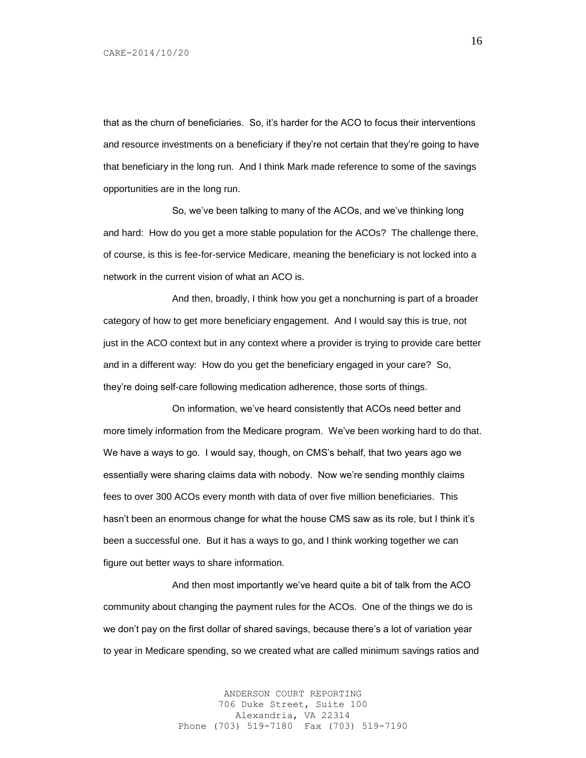that as the churn of beneficiaries. So, it's harder for the ACO to focus their interventions and resource investments on a beneficiary if they're not certain that they're going to have that beneficiary in the long run. And I think Mark made reference to some of the savings opportunities are in the long run.

So, we've been talking to many of the ACOs, and we've thinking long and hard: How do you get a more stable population for the ACOs? The challenge there, of course, is this is fee-for-service Medicare, meaning the beneficiary is not locked into a network in the current vision of what an ACO is.

And then, broadly, I think how you get a nonchurning is part of a broader category of how to get more beneficiary engagement. And I would say this is true, not just in the ACO context but in any context where a provider is trying to provide care better and in a different way: How do you get the beneficiary engaged in your care? So, they're doing self-care following medication adherence, those sorts of things.

On information, we've heard consistently that ACOs need better and more timely information from the Medicare program. We've been working hard to do that. We have a ways to go. I would say, though, on CMS's behalf, that two years ago we essentially were sharing claims data with nobody. Now we're sending monthly claims fees to over 300 ACOs every month with data of over five million beneficiaries. This hasn't been an enormous change for what the house CMS saw as its role, but I think it's been a successful one. But it has a ways to go, and I think working together we can figure out better ways to share information.

And then most importantly we've heard quite a bit of talk from the ACO community about changing the payment rules for the ACOs. One of the things we do is we don't pay on the first dollar of shared savings, because there's a lot of variation year to year in Medicare spending, so we created what are called minimum savings ratios and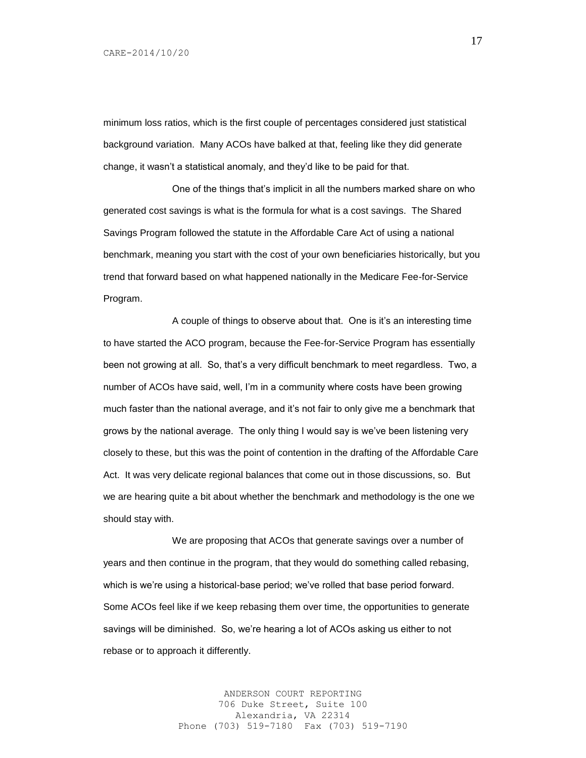minimum loss ratios, which is the first couple of percentages considered just statistical background variation. Many ACOs have balked at that, feeling like they did generate change, it wasn't a statistical anomaly, and they'd like to be paid for that.

One of the things that's implicit in all the numbers marked share on who generated cost savings is what is the formula for what is a cost savings. The Shared Savings Program followed the statute in the Affordable Care Act of using a national benchmark, meaning you start with the cost of your own beneficiaries historically, but you trend that forward based on what happened nationally in the Medicare Fee-for-Service Program.

A couple of things to observe about that. One is it's an interesting time to have started the ACO program, because the Fee-for-Service Program has essentially been not growing at all. So, that's a very difficult benchmark to meet regardless. Two, a number of ACOs have said, well, I'm in a community where costs have been growing much faster than the national average, and it's not fair to only give me a benchmark that grows by the national average. The only thing I would say is we've been listening very closely to these, but this was the point of contention in the drafting of the Affordable Care Act. It was very delicate regional balances that come out in those discussions, so. But we are hearing quite a bit about whether the benchmark and methodology is the one we should stay with.

We are proposing that ACOs that generate savings over a number of years and then continue in the program, that they would do something called rebasing, which is we're using a historical-base period; we've rolled that base period forward. Some ACOs feel like if we keep rebasing them over time, the opportunities to generate savings will be diminished. So, we're hearing a lot of ACOs asking us either to not rebase or to approach it differently.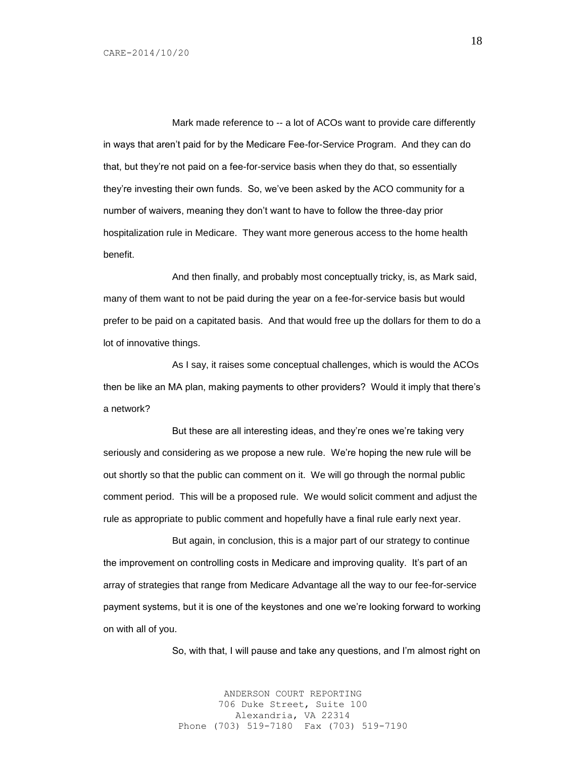Mark made reference to -- a lot of ACOs want to provide care differently in ways that aren't paid for by the Medicare Fee-for-Service Program. And they can do that, but they're not paid on a fee-for-service basis when they do that, so essentially they're investing their own funds. So, we've been asked by the ACO community for a number of waivers, meaning they don't want to have to follow the three-day prior hospitalization rule in Medicare. They want more generous access to the home health benefit.

And then finally, and probably most conceptually tricky, is, as Mark said, many of them want to not be paid during the year on a fee-for-service basis but would prefer to be paid on a capitated basis. And that would free up the dollars for them to do a lot of innovative things.

As I say, it raises some conceptual challenges, which is would the ACOs then be like an MA plan, making payments to other providers? Would it imply that there's a network?

But these are all interesting ideas, and they're ones we're taking very seriously and considering as we propose a new rule. We're hoping the new rule will be out shortly so that the public can comment on it. We will go through the normal public comment period. This will be a proposed rule. We would solicit comment and adjust the rule as appropriate to public comment and hopefully have a final rule early next year.

But again, in conclusion, this is a major part of our strategy to continue the improvement on controlling costs in Medicare and improving quality. It's part of an array of strategies that range from Medicare Advantage all the way to our fee-for-service payment systems, but it is one of the keystones and one we're looking forward to working on with all of you.

So, with that, I will pause and take any questions, and I'm almost right on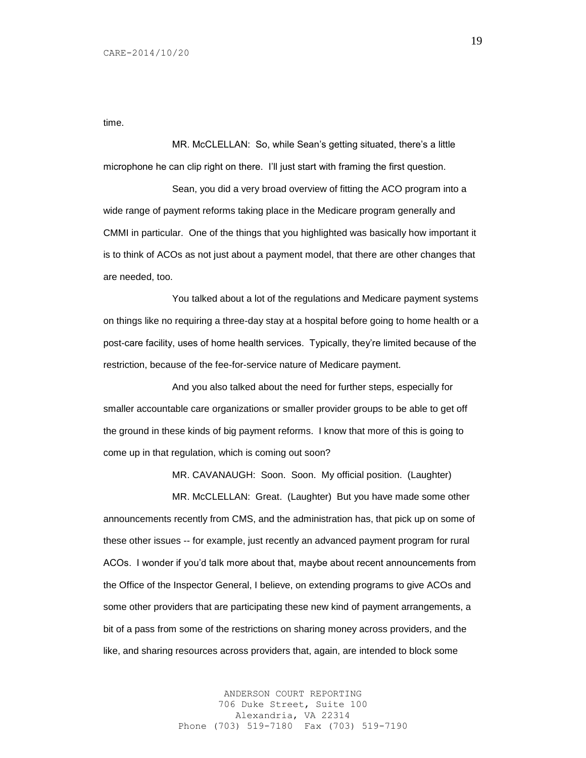time.

MR. McCLELLAN: So, while Sean's getting situated, there's a little microphone he can clip right on there. I'll just start with framing the first question.

Sean, you did a very broad overview of fitting the ACO program into a wide range of payment reforms taking place in the Medicare program generally and CMMI in particular. One of the things that you highlighted was basically how important it is to think of ACOs as not just about a payment model, that there are other changes that are needed, too.

You talked about a lot of the regulations and Medicare payment systems on things like no requiring a three-day stay at a hospital before going to home health or a post-care facility, uses of home health services. Typically, they're limited because of the restriction, because of the fee-for-service nature of Medicare payment.

And you also talked about the need for further steps, especially for smaller accountable care organizations or smaller provider groups to be able to get off the ground in these kinds of big payment reforms. I know that more of this is going to come up in that regulation, which is coming out soon?

MR. CAVANAUGH: Soon. Soon. My official position. (Laughter)

MR. McCLELLAN: Great. (Laughter) But you have made some other announcements recently from CMS, and the administration has, that pick up on some of these other issues -- for example, just recently an advanced payment program for rural ACOs. I wonder if you'd talk more about that, maybe about recent announcements from the Office of the Inspector General, I believe, on extending programs to give ACOs and some other providers that are participating these new kind of payment arrangements, a bit of a pass from some of the restrictions on sharing money across providers, and the like, and sharing resources across providers that, again, are intended to block some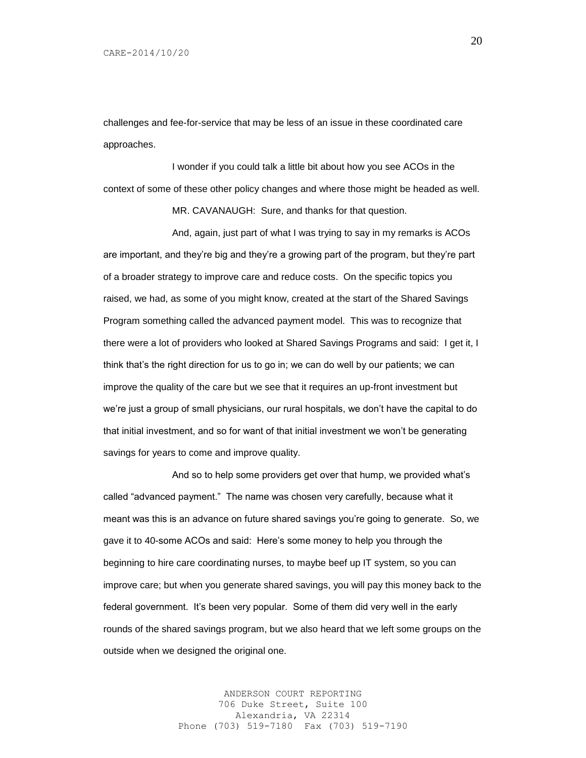challenges and fee-for-service that may be less of an issue in these coordinated care approaches.

I wonder if you could talk a little bit about how you see ACOs in the context of some of these other policy changes and where those might be headed as well.

MR. CAVANAUGH: Sure, and thanks for that question.

And, again, just part of what I was trying to say in my remarks is ACOs are important, and they're big and they're a growing part of the program, but they're part of a broader strategy to improve care and reduce costs. On the specific topics you raised, we had, as some of you might know, created at the start of the Shared Savings Program something called the advanced payment model. This was to recognize that there were a lot of providers who looked at Shared Savings Programs and said: I get it, I think that's the right direction for us to go in; we can do well by our patients; we can improve the quality of the care but we see that it requires an up-front investment but we're just a group of small physicians, our rural hospitals, we don't have the capital to do that initial investment, and so for want of that initial investment we won't be generating savings for years to come and improve quality.

And so to help some providers get over that hump, we provided what's called "advanced payment." The name was chosen very carefully, because what it meant was this is an advance on future shared savings you're going to generate. So, we gave it to 40-some ACOs and said: Here's some money to help you through the beginning to hire care coordinating nurses, to maybe beef up IT system, so you can improve care; but when you generate shared savings, you will pay this money back to the federal government. It's been very popular. Some of them did very well in the early rounds of the shared savings program, but we also heard that we left some groups on the outside when we designed the original one.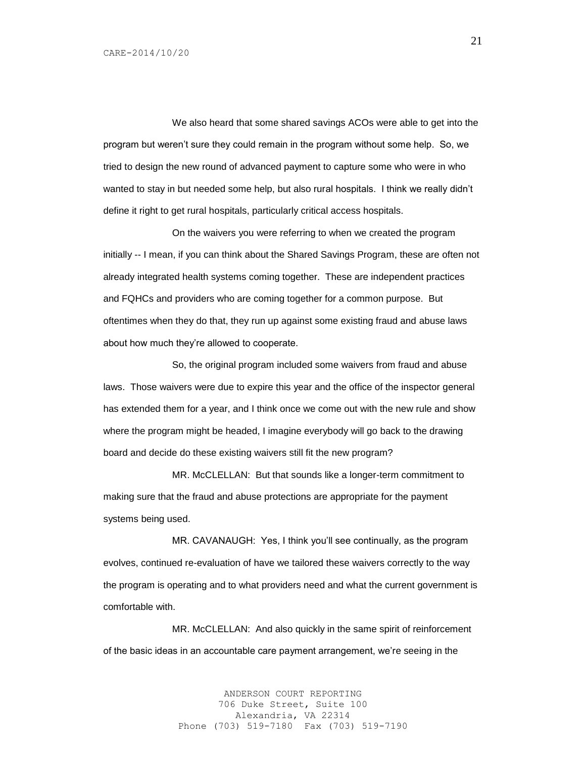We also heard that some shared savings ACOs were able to get into the program but weren't sure they could remain in the program without some help. So, we tried to design the new round of advanced payment to capture some who were in who wanted to stay in but needed some help, but also rural hospitals. I think we really didn't define it right to get rural hospitals, particularly critical access hospitals.

On the waivers you were referring to when we created the program initially -- I mean, if you can think about the Shared Savings Program, these are often not already integrated health systems coming together. These are independent practices and FQHCs and providers who are coming together for a common purpose. But oftentimes when they do that, they run up against some existing fraud and abuse laws about how much they're allowed to cooperate.

So, the original program included some waivers from fraud and abuse laws. Those waivers were due to expire this year and the office of the inspector general has extended them for a year, and I think once we come out with the new rule and show where the program might be headed, I imagine everybody will go back to the drawing board and decide do these existing waivers still fit the new program?

MR. McCLELLAN: But that sounds like a longer-term commitment to making sure that the fraud and abuse protections are appropriate for the payment systems being used.

MR. CAVANAUGH: Yes, I think you'll see continually, as the program evolves, continued re-evaluation of have we tailored these waivers correctly to the way the program is operating and to what providers need and what the current government is comfortable with.

MR. McCLELLAN: And also quickly in the same spirit of reinforcement of the basic ideas in an accountable care payment arrangement, we're seeing in the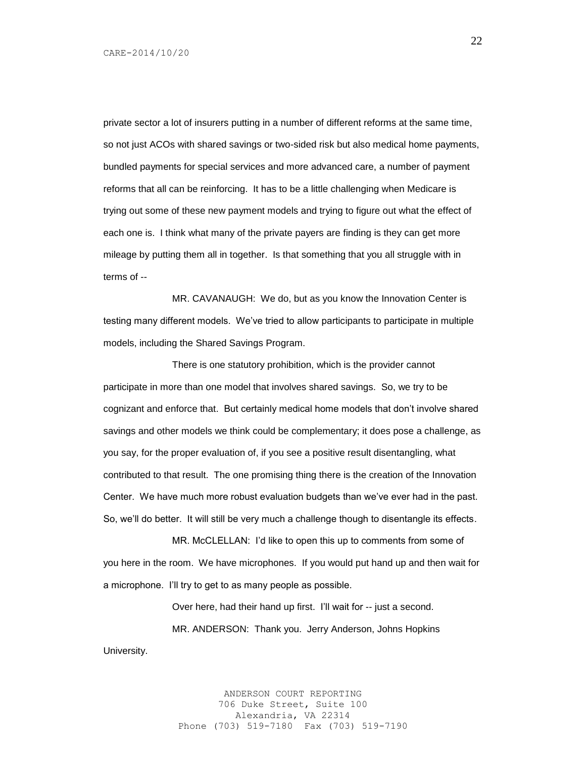University.

private sector a lot of insurers putting in a number of different reforms at the same time, so not just ACOs with shared savings or two-sided risk but also medical home payments, bundled payments for special services and more advanced care, a number of payment reforms that all can be reinforcing. It has to be a little challenging when Medicare is trying out some of these new payment models and trying to figure out what the effect of each one is. I think what many of the private payers are finding is they can get more mileage by putting them all in together. Is that something that you all struggle with in terms of --

MR. CAVANAUGH: We do, but as you know the Innovation Center is testing many different models. We've tried to allow participants to participate in multiple models, including the Shared Savings Program.

There is one statutory prohibition, which is the provider cannot participate in more than one model that involves shared savings. So, we try to be cognizant and enforce that. But certainly medical home models that don't involve shared savings and other models we think could be complementary; it does pose a challenge, as you say, for the proper evaluation of, if you see a positive result disentangling, what contributed to that result. The one promising thing there is the creation of the Innovation Center. We have much more robust evaluation budgets than we've ever had in the past. So, we'll do better. It will still be very much a challenge though to disentangle its effects.

MR. McCLELLAN: I'd like to open this up to comments from some of you here in the room. We have microphones. If you would put hand up and then wait for a microphone. I'll try to get to as many people as possible.

> Over here, had their hand up first. I'll wait for -- just a second. MR. ANDERSON: Thank you. Jerry Anderson, Johns Hopkins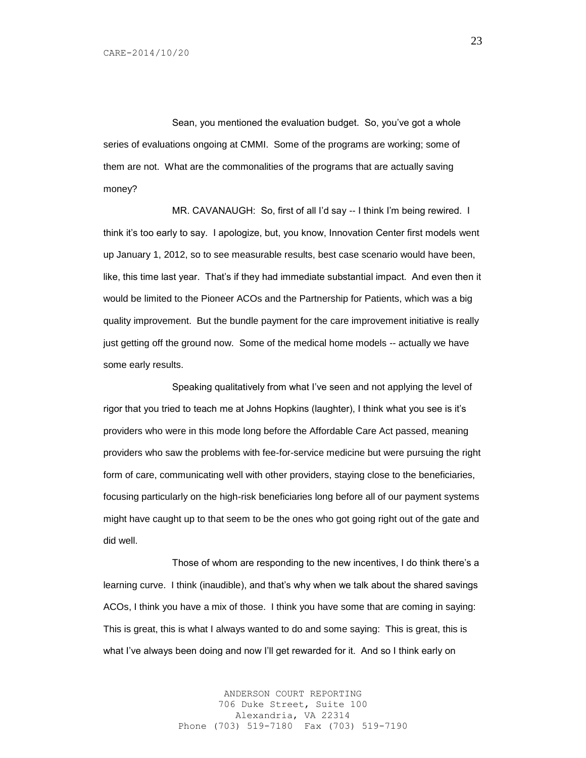Sean, you mentioned the evaluation budget. So, you've got a whole series of evaluations ongoing at CMMI. Some of the programs are working; some of them are not. What are the commonalities of the programs that are actually saving money?

MR. CAVANAUGH: So, first of all I'd say -- I think I'm being rewired. I think it's too early to say. I apologize, but, you know, Innovation Center first models went up January 1, 2012, so to see measurable results, best case scenario would have been, like, this time last year. That's if they had immediate substantial impact. And even then it would be limited to the Pioneer ACOs and the Partnership for Patients, which was a big quality improvement. But the bundle payment for the care improvement initiative is really just getting off the ground now. Some of the medical home models -- actually we have some early results.

Speaking qualitatively from what I've seen and not applying the level of rigor that you tried to teach me at Johns Hopkins (laughter), I think what you see is it's providers who were in this mode long before the Affordable Care Act passed, meaning providers who saw the problems with fee-for-service medicine but were pursuing the right form of care, communicating well with other providers, staying close to the beneficiaries, focusing particularly on the high-risk beneficiaries long before all of our payment systems might have caught up to that seem to be the ones who got going right out of the gate and did well.

Those of whom are responding to the new incentives, I do think there's a learning curve. I think (inaudible), and that's why when we talk about the shared savings ACOs, I think you have a mix of those. I think you have some that are coming in saying: This is great, this is what I always wanted to do and some saying: This is great, this is what I've always been doing and now I'll get rewarded for it. And so I think early on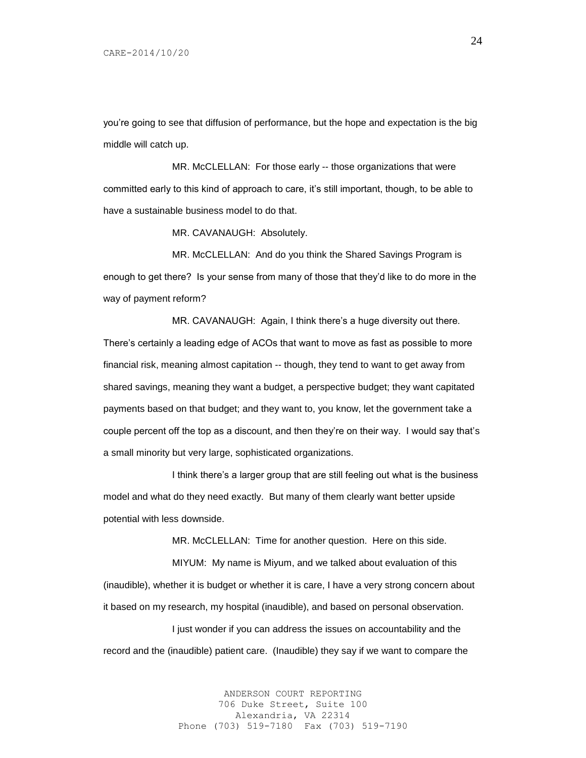you're going to see that diffusion of performance, but the hope and expectation is the big middle will catch up.

MR. McCLELLAN: For those early -- those organizations that were committed early to this kind of approach to care, it's still important, though, to be able to have a sustainable business model to do that.

MR. CAVANAUGH: Absolutely.

MR. McCLELLAN: And do you think the Shared Savings Program is enough to get there? Is your sense from many of those that they'd like to do more in the way of payment reform?

MR. CAVANAUGH: Again, I think there's a huge diversity out there. There's certainly a leading edge of ACOs that want to move as fast as possible to more financial risk, meaning almost capitation -- though, they tend to want to get away from shared savings, meaning they want a budget, a perspective budget; they want capitated payments based on that budget; and they want to, you know, let the government take a couple percent off the top as a discount, and then they're on their way. I would say that's a small minority but very large, sophisticated organizations.

I think there's a larger group that are still feeling out what is the business model and what do they need exactly. But many of them clearly want better upside potential with less downside.

MR. McCLELLAN: Time for another question. Here on this side.

MIYUM: My name is Miyum, and we talked about evaluation of this (inaudible), whether it is budget or whether it is care, I have a very strong concern about it based on my research, my hospital (inaudible), and based on personal observation.

I just wonder if you can address the issues on accountability and the record and the (inaudible) patient care. (Inaudible) they say if we want to compare the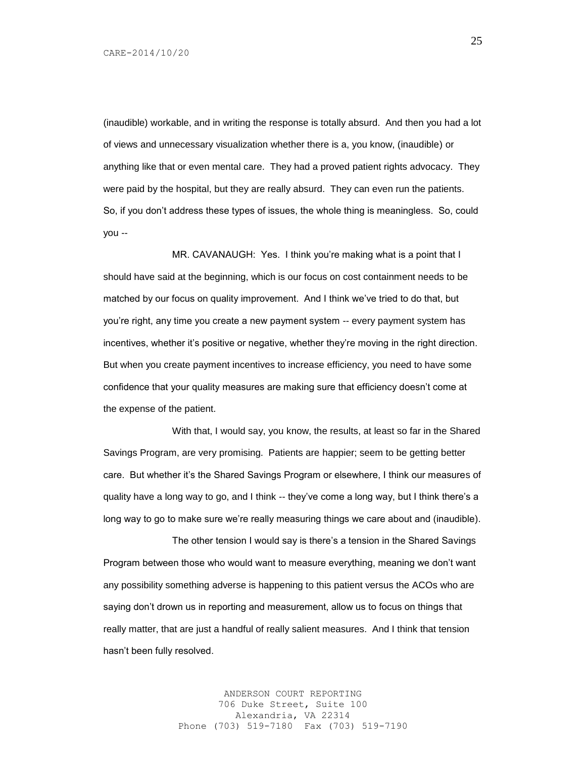(inaudible) workable, and in writing the response is totally absurd. And then you had a lot of views and unnecessary visualization whether there is a, you know, (inaudible) or anything like that or even mental care. They had a proved patient rights advocacy. They were paid by the hospital, but they are really absurd. They can even run the patients. So, if you don't address these types of issues, the whole thing is meaningless. So, could you --

MR. CAVANAUGH: Yes. I think you're making what is a point that I should have said at the beginning, which is our focus on cost containment needs to be matched by our focus on quality improvement. And I think we've tried to do that, but you're right, any time you create a new payment system -- every payment system has incentives, whether it's positive or negative, whether they're moving in the right direction. But when you create payment incentives to increase efficiency, you need to have some confidence that your quality measures are making sure that efficiency doesn't come at the expense of the patient.

With that, I would say, you know, the results, at least so far in the Shared Savings Program, are very promising. Patients are happier; seem to be getting better care. But whether it's the Shared Savings Program or elsewhere, I think our measures of quality have a long way to go, and I think -- they've come a long way, but I think there's a long way to go to make sure we're really measuring things we care about and (inaudible).

The other tension I would say is there's a tension in the Shared Savings Program between those who would want to measure everything, meaning we don't want any possibility something adverse is happening to this patient versus the ACOs who are saying don't drown us in reporting and measurement, allow us to focus on things that really matter, that are just a handful of really salient measures. And I think that tension hasn't been fully resolved.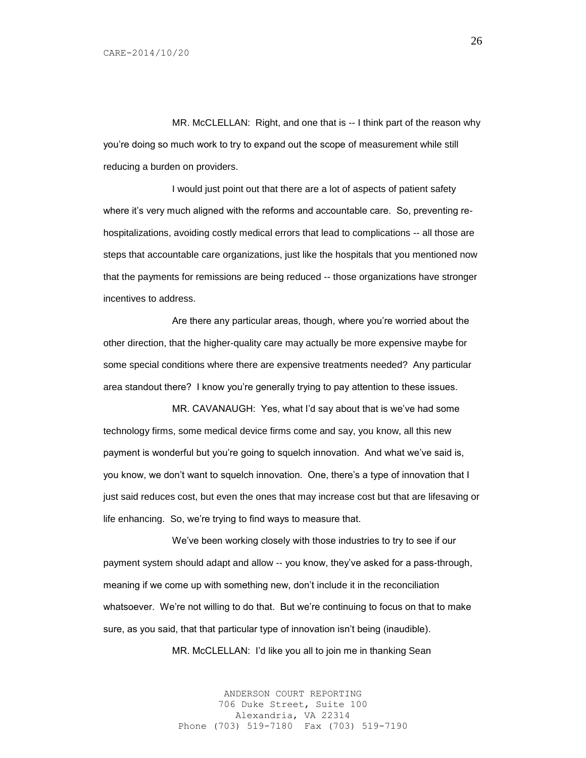MR. McCLELLAN: Right, and one that is -- I think part of the reason why you're doing so much work to try to expand out the scope of measurement while still reducing a burden on providers.

I would just point out that there are a lot of aspects of patient safety where it's very much aligned with the reforms and accountable care. So, preventing rehospitalizations, avoiding costly medical errors that lead to complications -- all those are steps that accountable care organizations, just like the hospitals that you mentioned now that the payments for remissions are being reduced -- those organizations have stronger incentives to address.

Are there any particular areas, though, where you're worried about the other direction, that the higher-quality care may actually be more expensive maybe for some special conditions where there are expensive treatments needed? Any particular area standout there? I know you're generally trying to pay attention to these issues.

MR. CAVANAUGH: Yes, what I'd say about that is we've had some technology firms, some medical device firms come and say, you know, all this new payment is wonderful but you're going to squelch innovation. And what we've said is, you know, we don't want to squelch innovation. One, there's a type of innovation that I just said reduces cost, but even the ones that may increase cost but that are lifesaving or life enhancing. So, we're trying to find ways to measure that.

We've been working closely with those industries to try to see if our payment system should adapt and allow -- you know, they've asked for a pass-through, meaning if we come up with something new, don't include it in the reconciliation whatsoever. We're not willing to do that. But we're continuing to focus on that to make sure, as you said, that that particular type of innovation isn't being (inaudible).

MR. McCLELLAN: I'd like you all to join me in thanking Sean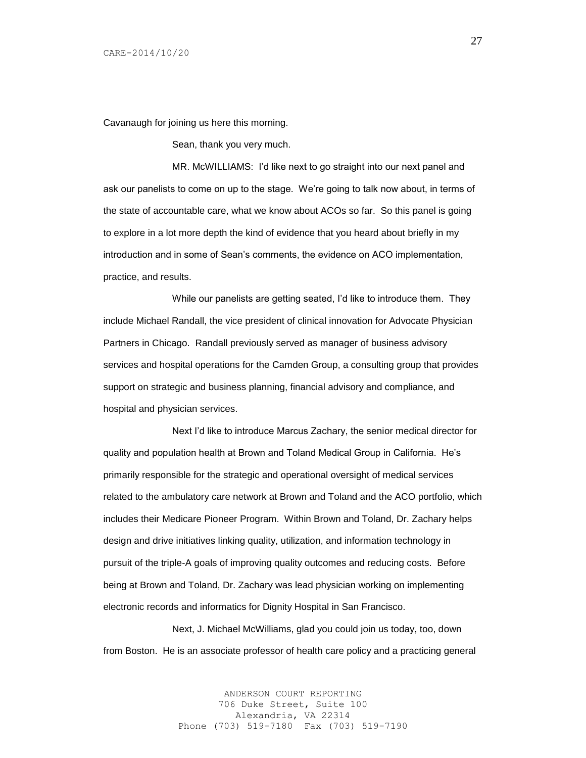Cavanaugh for joining us here this morning.

Sean, thank you very much.

MR. McWILLIAMS: I'd like next to go straight into our next panel and ask our panelists to come on up to the stage. We're going to talk now about, in terms of the state of accountable care, what we know about ACOs so far. So this panel is going to explore in a lot more depth the kind of evidence that you heard about briefly in my introduction and in some of Sean's comments, the evidence on ACO implementation, practice, and results.

While our panelists are getting seated, I'd like to introduce them. They include Michael Randall, the vice president of clinical innovation for Advocate Physician Partners in Chicago. Randall previously served as manager of business advisory services and hospital operations for the Camden Group, a consulting group that provides support on strategic and business planning, financial advisory and compliance, and hospital and physician services.

Next I'd like to introduce Marcus Zachary, the senior medical director for quality and population health at Brown and Toland Medical Group in California. He's primarily responsible for the strategic and operational oversight of medical services related to the ambulatory care network at Brown and Toland and the ACO portfolio, which includes their Medicare Pioneer Program. Within Brown and Toland, Dr. Zachary helps design and drive initiatives linking quality, utilization, and information technology in pursuit of the triple-A goals of improving quality outcomes and reducing costs. Before being at Brown and Toland, Dr. Zachary was lead physician working on implementing electronic records and informatics for Dignity Hospital in San Francisco.

Next, J. Michael McWilliams, glad you could join us today, too, down from Boston. He is an associate professor of health care policy and a practicing general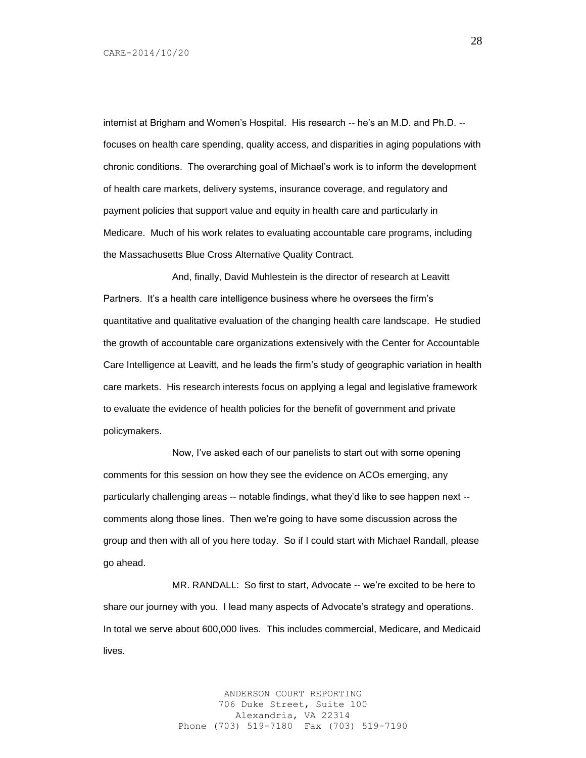internist at Brigham and Women's Hospital. His research -- he's an M.D. and Ph.D. - focuses on health care spending, quality access, and disparities in aging populations with chronic conditions. The overarching goal of Michael's work is to inform the development of health care markets, delivery systems, insurance coverage, and regulatory and payment policies that support value and equity in health care and particularly in Medicare. Much of his work relates to evaluating accountable care programs, including the Massachusetts Blue Cross Alternative Quality Contract.

And, finally, David Muhlestein is the director of research at Leavitt Partners. It's a health care intelligence business where he oversees the firm's quantitative and qualitative evaluation of the changing health care landscape. He studied the growth of accountable care organizations extensively with the Center for Accountable Care Intelligence at Leavitt, and he leads the firm's study of geographic variation in health care markets. His research interests focus on applying a legal and legislative framework to evaluate the evidence of health policies for the benefit of government and private policymakers.

Now, I've asked each of our panelists to start out with some opening comments for this session on how they see the evidence on ACOs emerging, any particularly challenging areas -- notable findings, what they'd like to see happen next - comments along those lines. Then we're going to have some discussion across the group and then with all of you here today. So if I could start with Michael Randall, please go ahead.

MR. RANDALL: So first to start, Advocate -- we're excited to be here to share our journey with you. I lead many aspects of Advocate's strategy and operations. In total we serve about 600,000 lives. This includes commercial, Medicare, and Medicaid lives.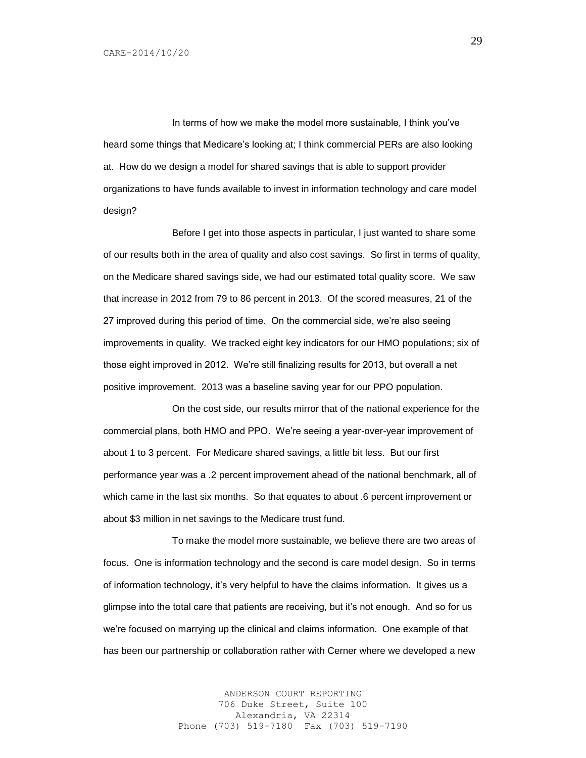In terms of how we make the model more sustainable, I think you've heard some things that Medicare's looking at; I think commercial PERs are also looking at. How do we design a model for shared savings that is able to support provider organizations to have funds available to invest in information technology and care model design?

Before I get into those aspects in particular, I just wanted to share some of our results both in the area of quality and also cost savings. So first in terms of quality, on the Medicare shared savings side, we had our estimated total quality score. We saw that increase in 2012 from 79 to 86 percent in 2013. Of the scored measures, 21 of the 27 improved during this period of time. On the commercial side, we're also seeing improvements in quality. We tracked eight key indicators for our HMO populations; six of those eight improved in 2012. We're still finalizing results for 2013, but overall a net positive improvement. 2013 was a baseline saving year for our PPO population.

On the cost side, our results mirror that of the national experience for the commercial plans, both HMO and PPO. We're seeing a year-over-year improvement of about 1 to 3 percent. For Medicare shared savings, a little bit less. But our first performance year was a .2 percent improvement ahead of the national benchmark, all of which came in the last six months. So that equates to about .6 percent improvement or about \$3 million in net savings to the Medicare trust fund.

To make the model more sustainable, we believe there are two areas of focus. One is information technology and the second is care model design. So in terms of information technology, it's very helpful to have the claims information. It gives us a glimpse into the total care that patients are receiving, but it's not enough. And so for us we're focused on marrying up the clinical and claims information. One example of that has been our partnership or collaboration rather with Cerner where we developed a new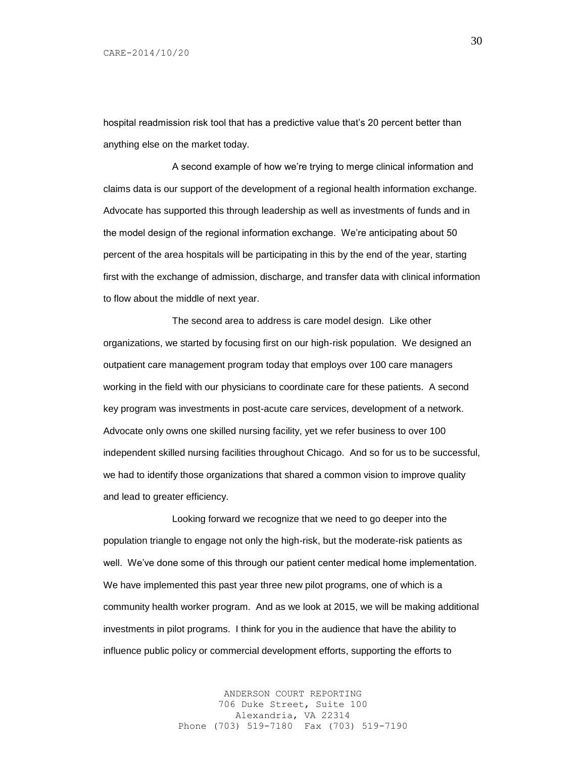hospital readmission risk tool that has a predictive value that's 20 percent better than anything else on the market today.

A second example of how we're trying to merge clinical information and claims data is our support of the development of a regional health information exchange. Advocate has supported this through leadership as well as investments of funds and in the model design of the regional information exchange. We're anticipating about 50 percent of the area hospitals will be participating in this by the end of the year, starting first with the exchange of admission, discharge, and transfer data with clinical information to flow about the middle of next year.

The second area to address is care model design. Like other organizations, we started by focusing first on our high-risk population. We designed an outpatient care management program today that employs over 100 care managers working in the field with our physicians to coordinate care for these patients. A second key program was investments in post-acute care services, development of a network. Advocate only owns one skilled nursing facility, yet we refer business to over 100 independent skilled nursing facilities throughout Chicago. And so for us to be successful, we had to identify those organizations that shared a common vision to improve quality and lead to greater efficiency.

Looking forward we recognize that we need to go deeper into the population triangle to engage not only the high-risk, but the moderate-risk patients as well. We've done some of this through our patient center medical home implementation. We have implemented this past year three new pilot programs, one of which is a community health worker program. And as we look at 2015, we will be making additional investments in pilot programs. I think for you in the audience that have the ability to influence public policy or commercial development efforts, supporting the efforts to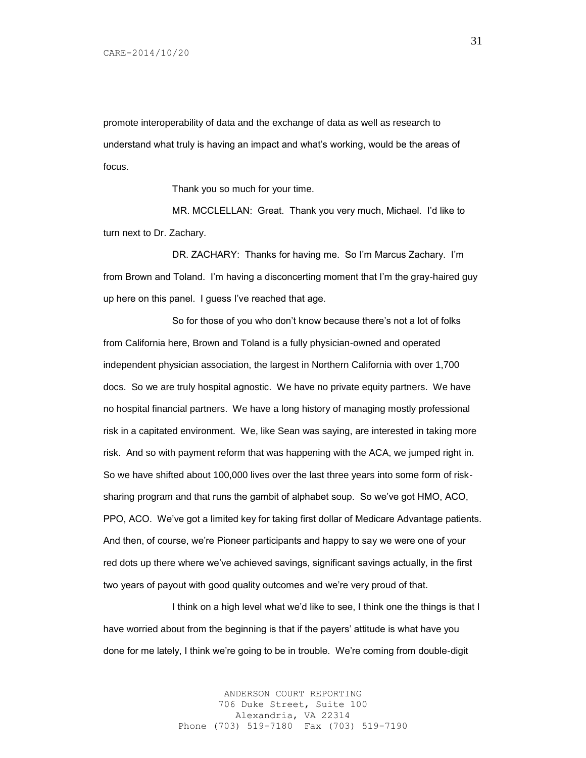promote interoperability of data and the exchange of data as well as research to understand what truly is having an impact and what's working, would be the areas of focus.

Thank you so much for your time.

MR. MCCLELLAN: Great. Thank you very much, Michael. I'd like to turn next to Dr. Zachary.

DR. ZACHARY: Thanks for having me. So I'm Marcus Zachary. I'm from Brown and Toland. I'm having a disconcerting moment that I'm the gray-haired guy up here on this panel. I guess I've reached that age.

So for those of you who don't know because there's not a lot of folks from California here, Brown and Toland is a fully physician-owned and operated independent physician association, the largest in Northern California with over 1,700 docs. So we are truly hospital agnostic. We have no private equity partners. We have no hospital financial partners. We have a long history of managing mostly professional risk in a capitated environment. We, like Sean was saying, are interested in taking more risk. And so with payment reform that was happening with the ACA, we jumped right in. So we have shifted about 100,000 lives over the last three years into some form of risksharing program and that runs the gambit of alphabet soup. So we've got HMO, ACO, PPO, ACO. We've got a limited key for taking first dollar of Medicare Advantage patients. And then, of course, we're Pioneer participants and happy to say we were one of your red dots up there where we've achieved savings, significant savings actually, in the first two years of payout with good quality outcomes and we're very proud of that.

I think on a high level what we'd like to see, I think one the things is that I have worried about from the beginning is that if the payers' attitude is what have you done for me lately, I think we're going to be in trouble. We're coming from double-digit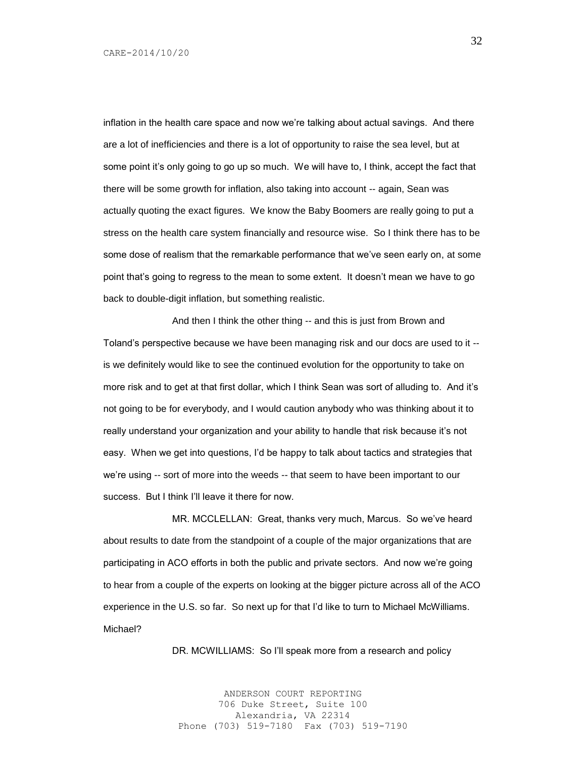inflation in the health care space and now we're talking about actual savings. And there are a lot of inefficiencies and there is a lot of opportunity to raise the sea level, but at some point it's only going to go up so much. We will have to, I think, accept the fact that there will be some growth for inflation, also taking into account -- again, Sean was actually quoting the exact figures. We know the Baby Boomers are really going to put a stress on the health care system financially and resource wise. So I think there has to be some dose of realism that the remarkable performance that we've seen early on, at some point that's going to regress to the mean to some extent. It doesn't mean we have to go back to double-digit inflation, but something realistic.

And then I think the other thing -- and this is just from Brown and Toland's perspective because we have been managing risk and our docs are used to it - is we definitely would like to see the continued evolution for the opportunity to take on more risk and to get at that first dollar, which I think Sean was sort of alluding to. And it's not going to be for everybody, and I would caution anybody who was thinking about it to really understand your organization and your ability to handle that risk because it's not easy. When we get into questions, I'd be happy to talk about tactics and strategies that we're using -- sort of more into the weeds -- that seem to have been important to our success. But I think I'll leave it there for now.

MR. MCCLELLAN: Great, thanks very much, Marcus. So we've heard about results to date from the standpoint of a couple of the major organizations that are participating in ACO efforts in both the public and private sectors. And now we're going to hear from a couple of the experts on looking at the bigger picture across all of the ACO experience in the U.S. so far. So next up for that I'd like to turn to Michael McWilliams. Michael?

DR. MCWILLIAMS: So I'll speak more from a research and policy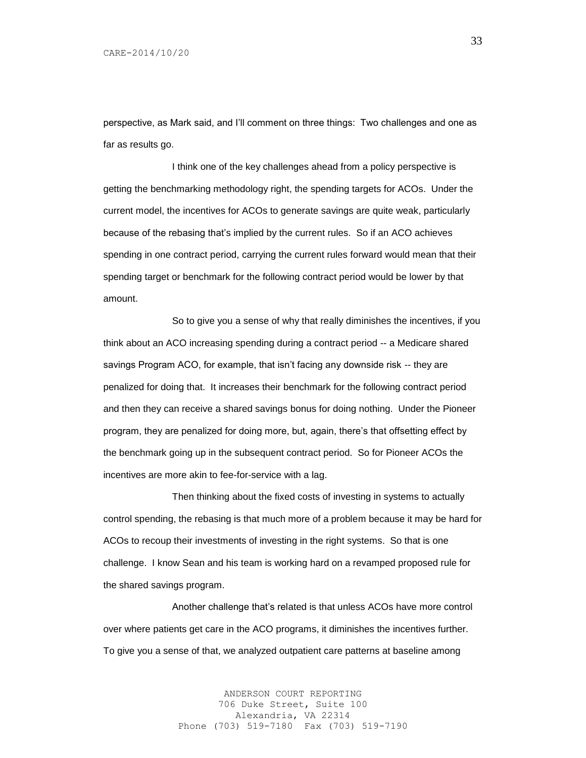perspective, as Mark said, and I'll comment on three things: Two challenges and one as far as results go.

I think one of the key challenges ahead from a policy perspective is getting the benchmarking methodology right, the spending targets for ACOs. Under the current model, the incentives for ACOs to generate savings are quite weak, particularly because of the rebasing that's implied by the current rules. So if an ACO achieves spending in one contract period, carrying the current rules forward would mean that their spending target or benchmark for the following contract period would be lower by that amount.

So to give you a sense of why that really diminishes the incentives, if you think about an ACO increasing spending during a contract period -- a Medicare shared savings Program ACO, for example, that isn't facing any downside risk -- they are penalized for doing that. It increases their benchmark for the following contract period and then they can receive a shared savings bonus for doing nothing. Under the Pioneer program, they are penalized for doing more, but, again, there's that offsetting effect by the benchmark going up in the subsequent contract period. So for Pioneer ACOs the incentives are more akin to fee-for-service with a lag.

Then thinking about the fixed costs of investing in systems to actually control spending, the rebasing is that much more of a problem because it may be hard for ACOs to recoup their investments of investing in the right systems. So that is one challenge. I know Sean and his team is working hard on a revamped proposed rule for the shared savings program.

Another challenge that's related is that unless ACOs have more control over where patients get care in the ACO programs, it diminishes the incentives further. To give you a sense of that, we analyzed outpatient care patterns at baseline among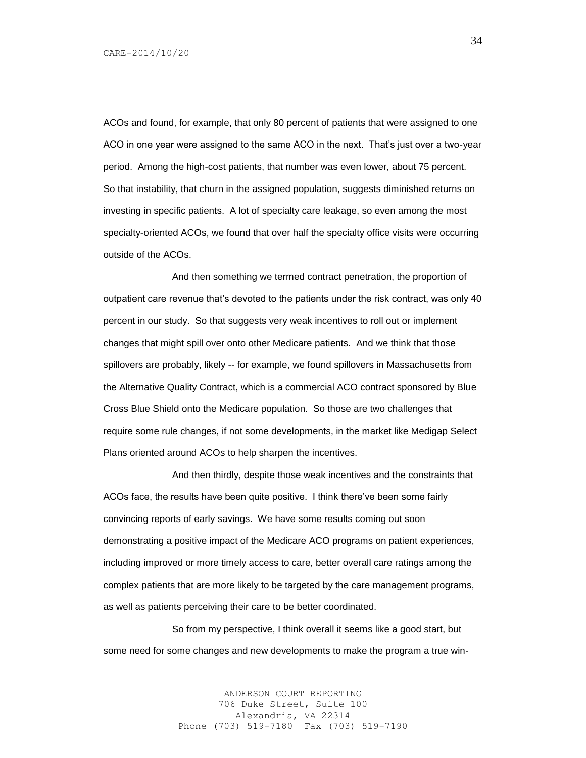ACOs and found, for example, that only 80 percent of patients that were assigned to one ACO in one year were assigned to the same ACO in the next. That's just over a two-year period. Among the high-cost patients, that number was even lower, about 75 percent. So that instability, that churn in the assigned population, suggests diminished returns on investing in specific patients. A lot of specialty care leakage, so even among the most specialty-oriented ACOs, we found that over half the specialty office visits were occurring outside of the ACOs.

And then something we termed contract penetration, the proportion of outpatient care revenue that's devoted to the patients under the risk contract, was only 40 percent in our study. So that suggests very weak incentives to roll out or implement changes that might spill over onto other Medicare patients. And we think that those spillovers are probably, likely -- for example, we found spillovers in Massachusetts from the Alternative Quality Contract, which is a commercial ACO contract sponsored by Blue Cross Blue Shield onto the Medicare population. So those are two challenges that require some rule changes, if not some developments, in the market like Medigap Select Plans oriented around ACOs to help sharpen the incentives.

And then thirdly, despite those weak incentives and the constraints that ACOs face, the results have been quite positive. I think there've been some fairly convincing reports of early savings. We have some results coming out soon demonstrating a positive impact of the Medicare ACO programs on patient experiences, including improved or more timely access to care, better overall care ratings among the complex patients that are more likely to be targeted by the care management programs, as well as patients perceiving their care to be better coordinated.

So from my perspective, I think overall it seems like a good start, but some need for some changes and new developments to make the program a true win-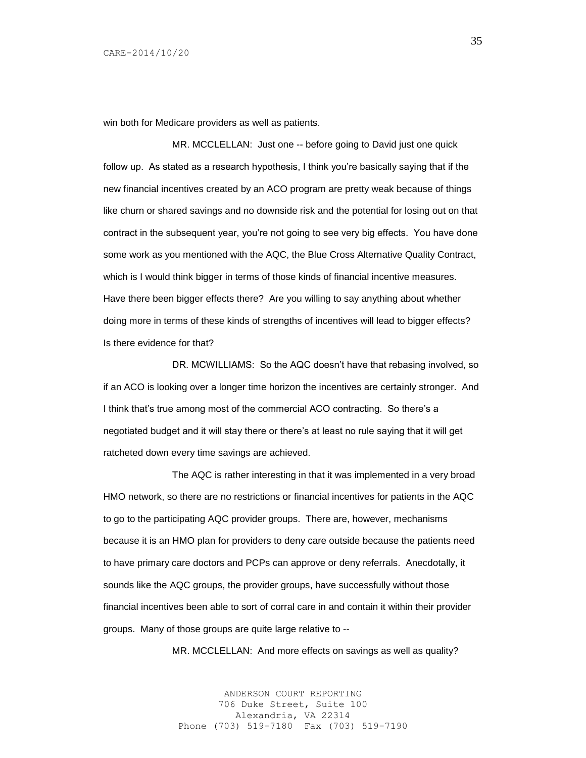win both for Medicare providers as well as patients.

MR. MCCLELLAN: Just one -- before going to David just one quick follow up. As stated as a research hypothesis, I think you're basically saying that if the new financial incentives created by an ACO program are pretty weak because of things like churn or shared savings and no downside risk and the potential for losing out on that contract in the subsequent year, you're not going to see very big effects. You have done some work as you mentioned with the AQC, the Blue Cross Alternative Quality Contract, which is I would think bigger in terms of those kinds of financial incentive measures. Have there been bigger effects there? Are you willing to say anything about whether doing more in terms of these kinds of strengths of incentives will lead to bigger effects? Is there evidence for that?

DR. MCWILLIAMS: So the AQC doesn't have that rebasing involved, so if an ACO is looking over a longer time horizon the incentives are certainly stronger. And I think that's true among most of the commercial ACO contracting. So there's a negotiated budget and it will stay there or there's at least no rule saying that it will get ratcheted down every time savings are achieved.

The AQC is rather interesting in that it was implemented in a very broad HMO network, so there are no restrictions or financial incentives for patients in the AQC to go to the participating AQC provider groups. There are, however, mechanisms because it is an HMO plan for providers to deny care outside because the patients need to have primary care doctors and PCPs can approve or deny referrals. Anecdotally, it sounds like the AQC groups, the provider groups, have successfully without those financial incentives been able to sort of corral care in and contain it within their provider groups. Many of those groups are quite large relative to --

MR. MCCLELLAN: And more effects on savings as well as quality?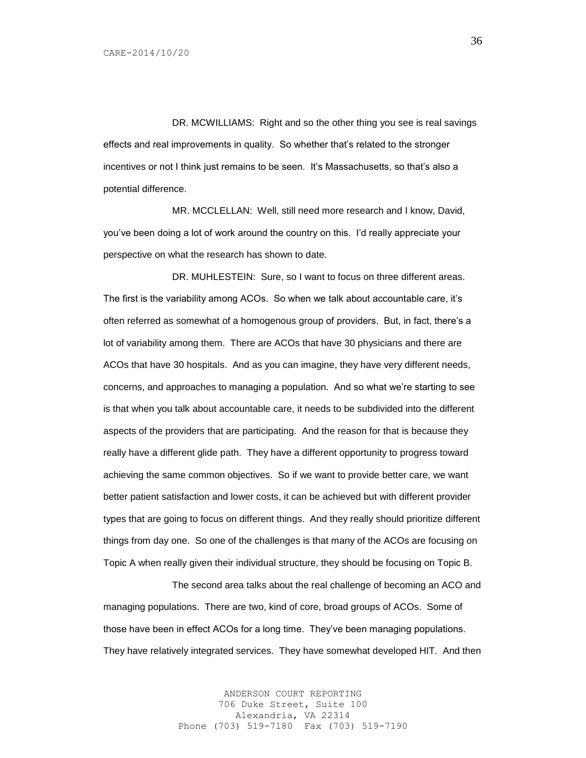DR. MCWILLIAMS: Right and so the other thing you see is real savings effects and real improvements in quality. So whether that's related to the stronger incentives or not I think just remains to be seen. It's Massachusetts, so that's also a potential difference.

MR. MCCLELLAN: Well, still need more research and I know, David, you've been doing a lot of work around the country on this. I'd really appreciate your perspective on what the research has shown to date.

DR. MUHLESTEIN: Sure, so I want to focus on three different areas. The first is the variability among ACOs. So when we talk about accountable care, it's often referred as somewhat of a homogenous group of providers. But, in fact, there's a lot of variability among them. There are ACOs that have 30 physicians and there are ACOs that have 30 hospitals. And as you can imagine, they have very different needs, concerns, and approaches to managing a population. And so what we're starting to see is that when you talk about accountable care, it needs to be subdivided into the different aspects of the providers that are participating. And the reason for that is because they really have a different glide path. They have a different opportunity to progress toward achieving the same common objectives. So if we want to provide better care, we want better patient satisfaction and lower costs, it can be achieved but with different provider types that are going to focus on different things. And they really should prioritize different things from day one. So one of the challenges is that many of the ACOs are focusing on Topic A when really given their individual structure, they should be focusing on Topic B.

The second area talks about the real challenge of becoming an ACO and managing populations. There are two, kind of core, broad groups of ACOs. Some of those have been in effect ACOs for a long time. They've been managing populations. They have relatively integrated services. They have somewhat developed HIT. And then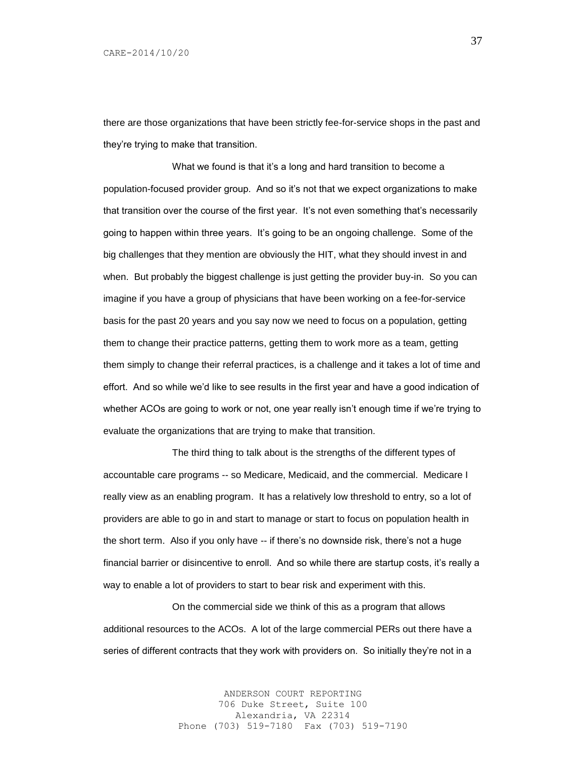there are those organizations that have been strictly fee-for-service shops in the past and they're trying to make that transition.

What we found is that it's a long and hard transition to become a population-focused provider group. And so it's not that we expect organizations to make that transition over the course of the first year. It's not even something that's necessarily going to happen within three years. It's going to be an ongoing challenge. Some of the big challenges that they mention are obviously the HIT, what they should invest in and when. But probably the biggest challenge is just getting the provider buy-in. So you can imagine if you have a group of physicians that have been working on a fee-for-service basis for the past 20 years and you say now we need to focus on a population, getting them to change their practice patterns, getting them to work more as a team, getting them simply to change their referral practices, is a challenge and it takes a lot of time and effort. And so while we'd like to see results in the first year and have a good indication of whether ACOs are going to work or not, one year really isn't enough time if we're trying to evaluate the organizations that are trying to make that transition.

The third thing to talk about is the strengths of the different types of accountable care programs -- so Medicare, Medicaid, and the commercial. Medicare I really view as an enabling program. It has a relatively low threshold to entry, so a lot of providers are able to go in and start to manage or start to focus on population health in the short term. Also if you only have -- if there's no downside risk, there's not a huge financial barrier or disincentive to enroll. And so while there are startup costs, it's really a way to enable a lot of providers to start to bear risk and experiment with this.

On the commercial side we think of this as a program that allows additional resources to the ACOs. A lot of the large commercial PERs out there have a series of different contracts that they work with providers on. So initially they're not in a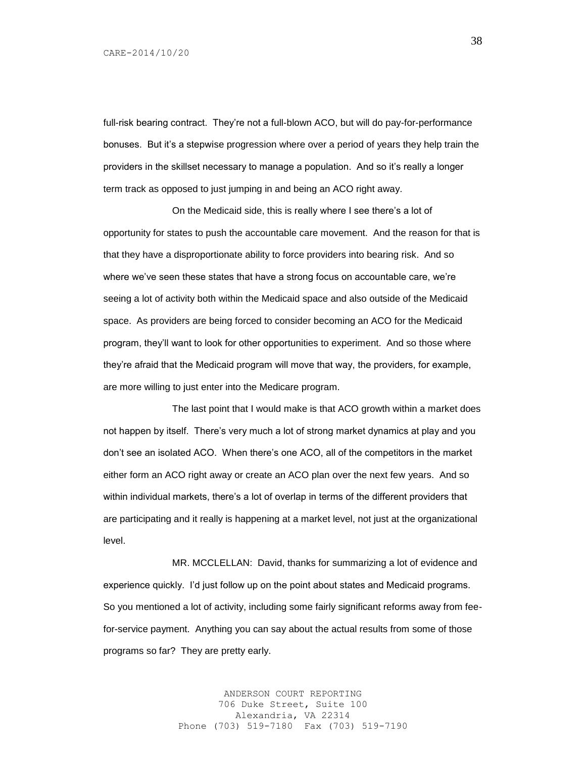full-risk bearing contract. They're not a full-blown ACO, but will do pay-for-performance bonuses. But it's a stepwise progression where over a period of years they help train the providers in the skillset necessary to manage a population. And so it's really a longer term track as opposed to just jumping in and being an ACO right away.

On the Medicaid side, this is really where I see there's a lot of opportunity for states to push the accountable care movement. And the reason for that is that they have a disproportionate ability to force providers into bearing risk. And so where we've seen these states that have a strong focus on accountable care, we're seeing a lot of activity both within the Medicaid space and also outside of the Medicaid space. As providers are being forced to consider becoming an ACO for the Medicaid program, they'll want to look for other opportunities to experiment. And so those where they're afraid that the Medicaid program will move that way, the providers, for example, are more willing to just enter into the Medicare program.

The last point that I would make is that ACO growth within a market does not happen by itself. There's very much a lot of strong market dynamics at play and you don't see an isolated ACO. When there's one ACO, all of the competitors in the market either form an ACO right away or create an ACO plan over the next few years. And so within individual markets, there's a lot of overlap in terms of the different providers that are participating and it really is happening at a market level, not just at the organizational level.

MR. MCCLELLAN: David, thanks for summarizing a lot of evidence and experience quickly. I'd just follow up on the point about states and Medicaid programs. So you mentioned a lot of activity, including some fairly significant reforms away from feefor-service payment. Anything you can say about the actual results from some of those programs so far? They are pretty early.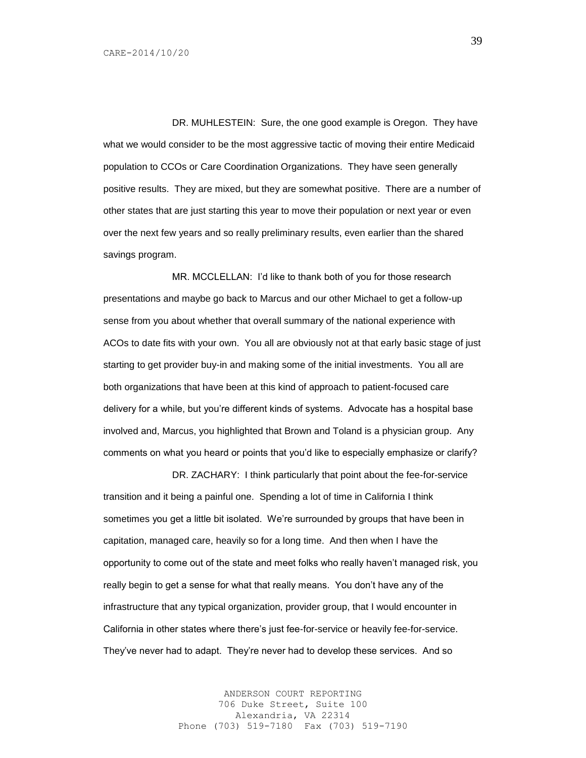DR. MUHLESTEIN: Sure, the one good example is Oregon. They have what we would consider to be the most aggressive tactic of moving their entire Medicaid population to CCOs or Care Coordination Organizations. They have seen generally positive results. They are mixed, but they are somewhat positive. There are a number of other states that are just starting this year to move their population or next year or even over the next few years and so really preliminary results, even earlier than the shared savings program.

MR. MCCLELLAN: I'd like to thank both of you for those research presentations and maybe go back to Marcus and our other Michael to get a follow-up sense from you about whether that overall summary of the national experience with ACOs to date fits with your own. You all are obviously not at that early basic stage of just starting to get provider buy-in and making some of the initial investments. You all are both organizations that have been at this kind of approach to patient-focused care delivery for a while, but you're different kinds of systems. Advocate has a hospital base involved and, Marcus, you highlighted that Brown and Toland is a physician group. Any comments on what you heard or points that you'd like to especially emphasize or clarify?

DR. ZACHARY: I think particularly that point about the fee-for-service transition and it being a painful one. Spending a lot of time in California I think sometimes you get a little bit isolated. We're surrounded by groups that have been in capitation, managed care, heavily so for a long time. And then when I have the opportunity to come out of the state and meet folks who really haven't managed risk, you really begin to get a sense for what that really means. You don't have any of the infrastructure that any typical organization, provider group, that I would encounter in California in other states where there's just fee-for-service or heavily fee-for-service. They've never had to adapt. They're never had to develop these services. And so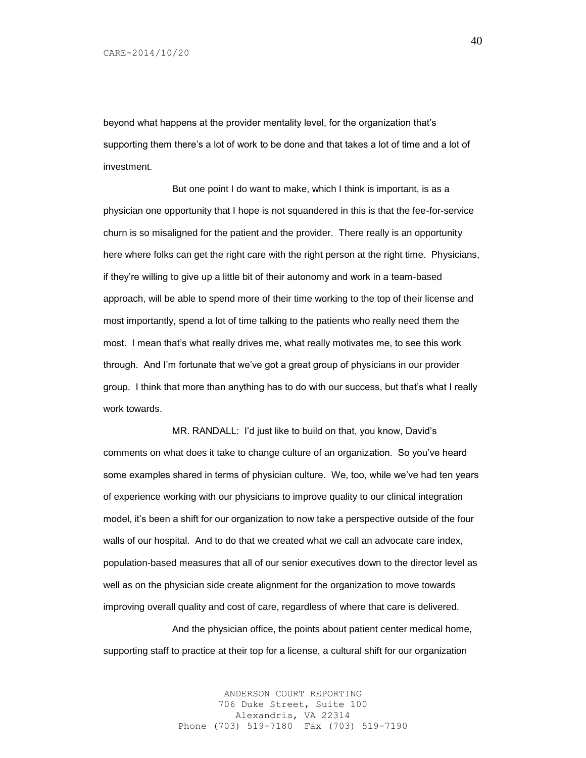beyond what happens at the provider mentality level, for the organization that's supporting them there's a lot of work to be done and that takes a lot of time and a lot of investment.

But one point I do want to make, which I think is important, is as a physician one opportunity that I hope is not squandered in this is that the fee-for-service churn is so misaligned for the patient and the provider. There really is an opportunity here where folks can get the right care with the right person at the right time. Physicians, if they're willing to give up a little bit of their autonomy and work in a team-based approach, will be able to spend more of their time working to the top of their license and most importantly, spend a lot of time talking to the patients who really need them the most. I mean that's what really drives me, what really motivates me, to see this work through. And I'm fortunate that we've got a great group of physicians in our provider group. I think that more than anything has to do with our success, but that's what I really work towards.

MR. RANDALL: I'd just like to build on that, you know, David's comments on what does it take to change culture of an organization. So you've heard some examples shared in terms of physician culture. We, too, while we've had ten years of experience working with our physicians to improve quality to our clinical integration model, it's been a shift for our organization to now take a perspective outside of the four walls of our hospital. And to do that we created what we call an advocate care index, population-based measures that all of our senior executives down to the director level as well as on the physician side create alignment for the organization to move towards improving overall quality and cost of care, regardless of where that care is delivered.

And the physician office, the points about patient center medical home, supporting staff to practice at their top for a license, a cultural shift for our organization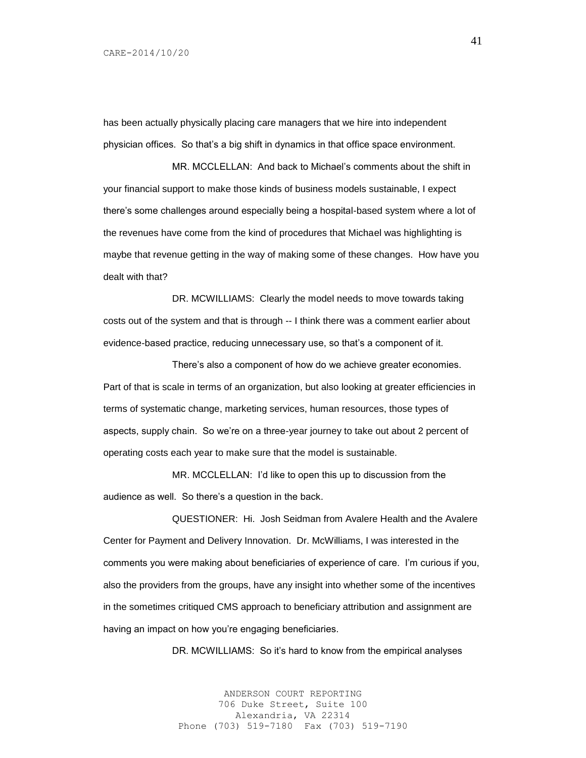has been actually physically placing care managers that we hire into independent physician offices. So that's a big shift in dynamics in that office space environment.

MR. MCCLELLAN: And back to Michael's comments about the shift in your financial support to make those kinds of business models sustainable, I expect there's some challenges around especially being a hospital-based system where a lot of the revenues have come from the kind of procedures that Michael was highlighting is maybe that revenue getting in the way of making some of these changes. How have you dealt with that?

DR. MCWILLIAMS: Clearly the model needs to move towards taking costs out of the system and that is through -- I think there was a comment earlier about evidence-based practice, reducing unnecessary use, so that's a component of it.

There's also a component of how do we achieve greater economies. Part of that is scale in terms of an organization, but also looking at greater efficiencies in terms of systematic change, marketing services, human resources, those types of aspects, supply chain. So we're on a three-year journey to take out about 2 percent of operating costs each year to make sure that the model is sustainable.

MR. MCCLELLAN: I'd like to open this up to discussion from the audience as well. So there's a question in the back.

QUESTIONER: Hi. Josh Seidman from Avalere Health and the Avalere Center for Payment and Delivery Innovation. Dr. McWilliams, I was interested in the comments you were making about beneficiaries of experience of care. I'm curious if you, also the providers from the groups, have any insight into whether some of the incentives in the sometimes critiqued CMS approach to beneficiary attribution and assignment are having an impact on how you're engaging beneficiaries.

DR. MCWILLIAMS: So it's hard to know from the empirical analyses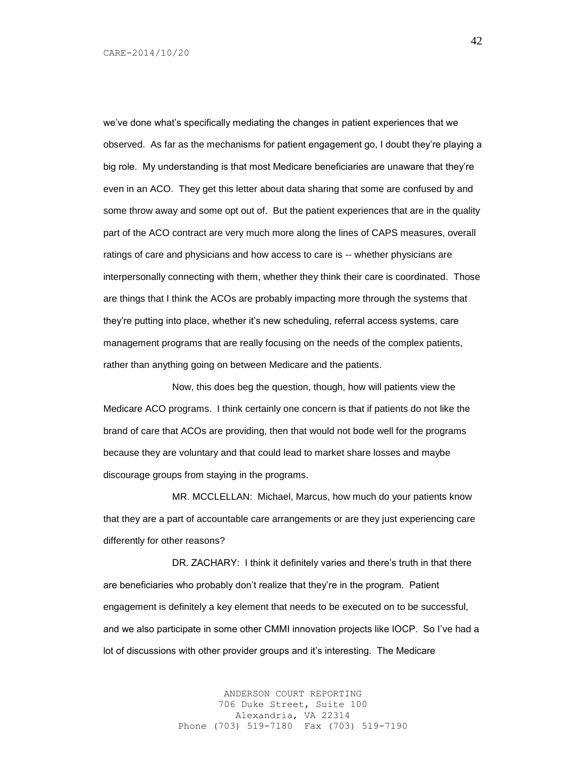we've done what's specifically mediating the changes in patient experiences that we observed. As far as the mechanisms for patient engagement go, I doubt they're playing a big role. My understanding is that most Medicare beneficiaries are unaware that they're even in an ACO. They get this letter about data sharing that some are confused by and some throw away and some opt out of. But the patient experiences that are in the quality part of the ACO contract are very much more along the lines of CAPS measures, overall ratings of care and physicians and how access to care is -- whether physicians are interpersonally connecting with them, whether they think their care is coordinated. Those are things that I think the ACOs are probably impacting more through the systems that they're putting into place, whether it's new scheduling, referral access systems, care management programs that are really focusing on the needs of the complex patients, rather than anything going on between Medicare and the patients.

Now, this does beg the question, though, how will patients view the Medicare ACO programs. I think certainly one concern is that if patients do not like the brand of care that ACOs are providing, then that would not bode well for the programs because they are voluntary and that could lead to market share losses and maybe discourage groups from staying in the programs.

MR. MCCLELLAN: Michael, Marcus, how much do your patients know that they are a part of accountable care arrangements or are they just experiencing care differently for other reasons?

DR. ZACHARY: I think it definitely varies and there's truth in that there are beneficiaries who probably don't realize that they're in the program. Patient engagement is definitely a key element that needs to be executed on to be successful, and we also participate in some other CMMI innovation projects like IOCP. So I've had a lot of discussions with other provider groups and it's interesting. The Medicare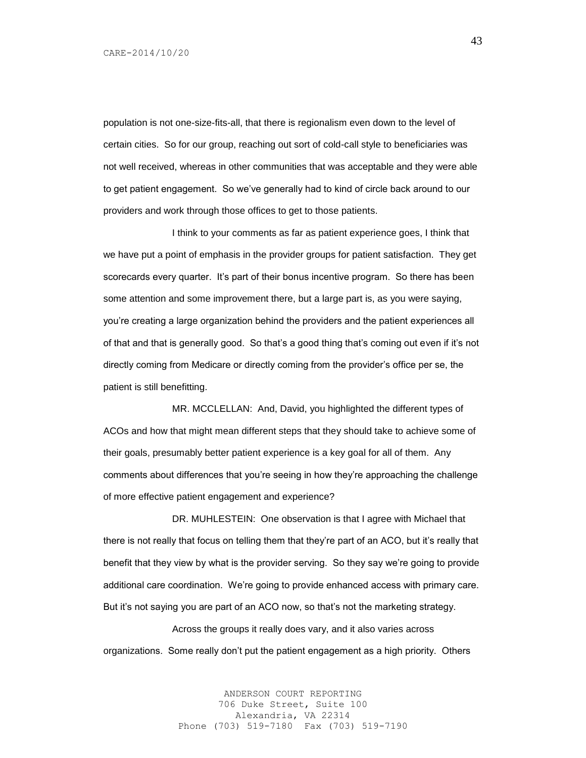population is not one-size-fits-all, that there is regionalism even down to the level of certain cities. So for our group, reaching out sort of cold-call style to beneficiaries was not well received, whereas in other communities that was acceptable and they were able to get patient engagement. So we've generally had to kind of circle back around to our providers and work through those offices to get to those patients.

I think to your comments as far as patient experience goes, I think that we have put a point of emphasis in the provider groups for patient satisfaction. They get scorecards every quarter. It's part of their bonus incentive program. So there has been some attention and some improvement there, but a large part is, as you were saying, you're creating a large organization behind the providers and the patient experiences all of that and that is generally good. So that's a good thing that's coming out even if it's not directly coming from Medicare or directly coming from the provider's office per se, the patient is still benefitting.

MR. MCCLELLAN: And, David, you highlighted the different types of ACOs and how that might mean different steps that they should take to achieve some of their goals, presumably better patient experience is a key goal for all of them. Any comments about differences that you're seeing in how they're approaching the challenge of more effective patient engagement and experience?

DR. MUHLESTEIN: One observation is that I agree with Michael that there is not really that focus on telling them that they're part of an ACO, but it's really that benefit that they view by what is the provider serving. So they say we're going to provide additional care coordination. We're going to provide enhanced access with primary care. But it's not saying you are part of an ACO now, so that's not the marketing strategy.

Across the groups it really does vary, and it also varies across organizations. Some really don't put the patient engagement as a high priority. Others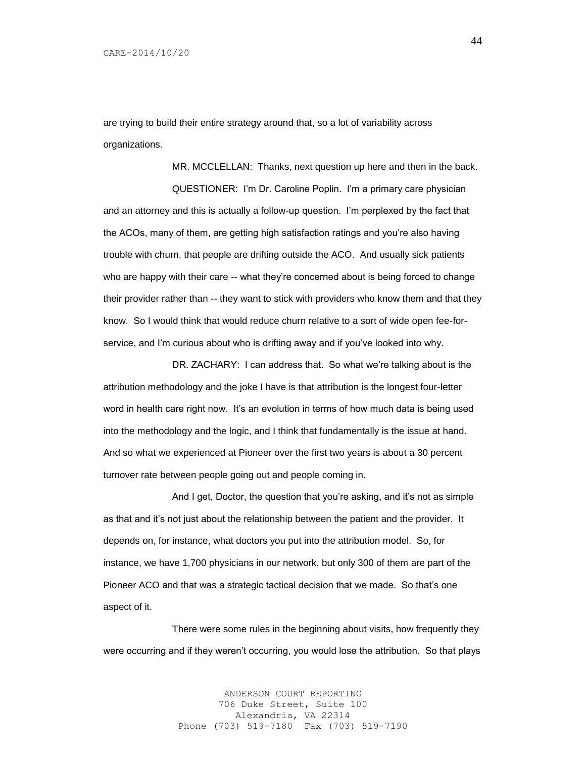are trying to build their entire strategy around that, so a lot of variability across organizations.

MR. MCCLELLAN: Thanks, next question up here and then in the back. QUESTIONER: I'm Dr. Caroline Poplin. I'm a primary care physician and an attorney and this is actually a follow-up question. I'm perplexed by the fact that the ACOs, many of them, are getting high satisfaction ratings and you're also having trouble with churn, that people are drifting outside the ACO. And usually sick patients who are happy with their care -- what they're concerned about is being forced to change their provider rather than -- they want to stick with providers who know them and that they know. So I would think that would reduce churn relative to a sort of wide open fee-forservice, and I'm curious about who is drifting away and if you've looked into why.

DR. ZACHARY: I can address that. So what we're talking about is the attribution methodology and the joke I have is that attribution is the longest four-letter word in health care right now. It's an evolution in terms of how much data is being used into the methodology and the logic, and I think that fundamentally is the issue at hand. And so what we experienced at Pioneer over the first two years is about a 30 percent turnover rate between people going out and people coming in.

And I get, Doctor, the question that you're asking, and it's not as simple as that and it's not just about the relationship between the patient and the provider. It depends on, for instance, what doctors you put into the attribution model. So, for instance, we have 1,700 physicians in our network, but only 300 of them are part of the Pioneer ACO and that was a strategic tactical decision that we made. So that's one aspect of it.

There were some rules in the beginning about visits, how frequently they were occurring and if they weren't occurring, you would lose the attribution. So that plays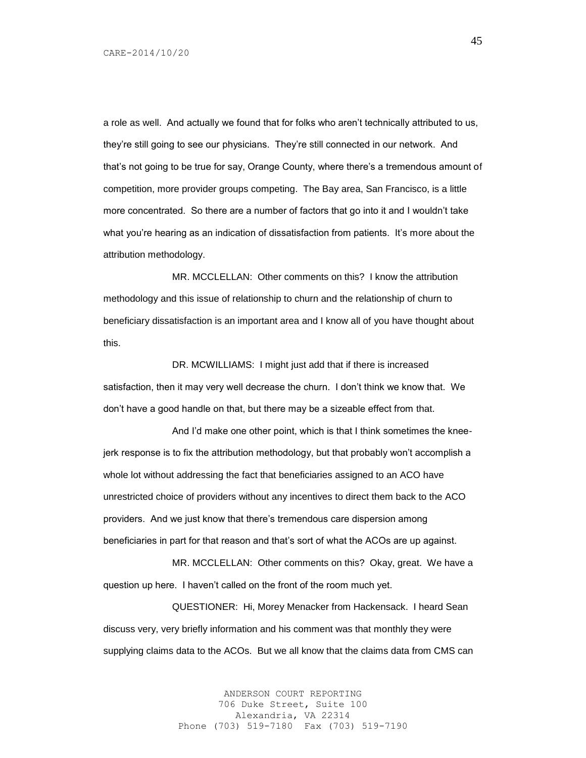a role as well. And actually we found that for folks who aren't technically attributed to us, they're still going to see our physicians. They're still connected in our network. And that's not going to be true for say, Orange County, where there's a tremendous amount of competition, more provider groups competing. The Bay area, San Francisco, is a little more concentrated. So there are a number of factors that go into it and I wouldn't take what you're hearing as an indication of dissatisfaction from patients. It's more about the attribution methodology.

MR. MCCLELLAN: Other comments on this? I know the attribution methodology and this issue of relationship to churn and the relationship of churn to beneficiary dissatisfaction is an important area and I know all of you have thought about this.

DR. MCWILLIAMS: I might just add that if there is increased satisfaction, then it may very well decrease the churn. I don't think we know that. We don't have a good handle on that, but there may be a sizeable effect from that.

And I'd make one other point, which is that I think sometimes the kneejerk response is to fix the attribution methodology, but that probably won't accomplish a whole lot without addressing the fact that beneficiaries assigned to an ACO have unrestricted choice of providers without any incentives to direct them back to the ACO providers. And we just know that there's tremendous care dispersion among beneficiaries in part for that reason and that's sort of what the ACOs are up against.

MR. MCCLELLAN: Other comments on this? Okay, great. We have a question up here. I haven't called on the front of the room much yet.

QUESTIONER: Hi, Morey Menacker from Hackensack. I heard Sean discuss very, very briefly information and his comment was that monthly they were supplying claims data to the ACOs. But we all know that the claims data from CMS can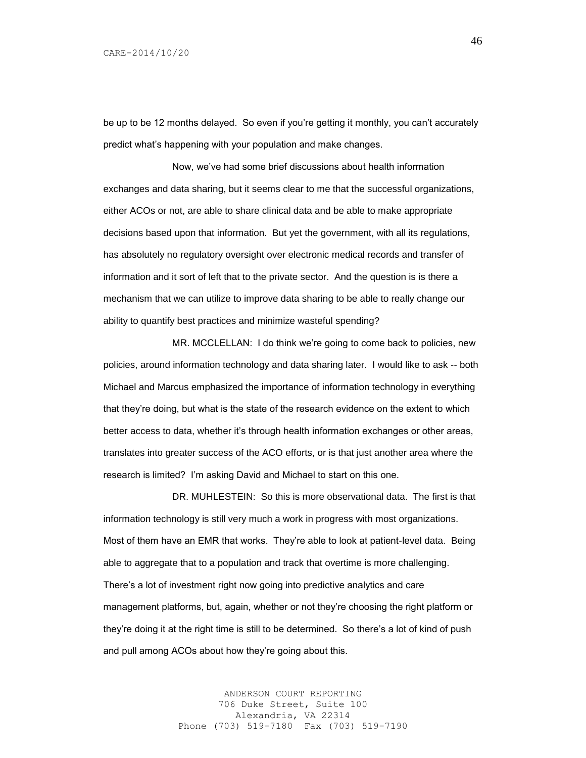be up to be 12 months delayed. So even if you're getting it monthly, you can't accurately predict what's happening with your population and make changes.

Now, we've had some brief discussions about health information exchanges and data sharing, but it seems clear to me that the successful organizations, either ACOs or not, are able to share clinical data and be able to make appropriate decisions based upon that information. But yet the government, with all its regulations, has absolutely no regulatory oversight over electronic medical records and transfer of information and it sort of left that to the private sector. And the question is is there a mechanism that we can utilize to improve data sharing to be able to really change our ability to quantify best practices and minimize wasteful spending?

MR. MCCLELLAN: I do think we're going to come back to policies, new policies, around information technology and data sharing later. I would like to ask -- both Michael and Marcus emphasized the importance of information technology in everything that they're doing, but what is the state of the research evidence on the extent to which better access to data, whether it's through health information exchanges or other areas, translates into greater success of the ACO efforts, or is that just another area where the research is limited? I'm asking David and Michael to start on this one.

DR. MUHLESTEIN: So this is more observational data. The first is that information technology is still very much a work in progress with most organizations. Most of them have an EMR that works. They're able to look at patient-level data. Being able to aggregate that to a population and track that overtime is more challenging. There's a lot of investment right now going into predictive analytics and care management platforms, but, again, whether or not they're choosing the right platform or they're doing it at the right time is still to be determined. So there's a lot of kind of push and pull among ACOs about how they're going about this.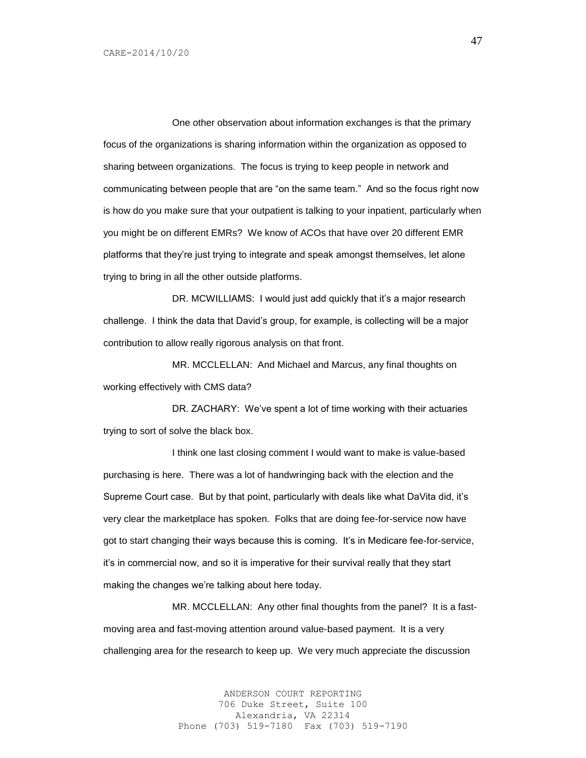One other observation about information exchanges is that the primary focus of the organizations is sharing information within the organization as opposed to sharing between organizations. The focus is trying to keep people in network and communicating between people that are "on the same team." And so the focus right now is how do you make sure that your outpatient is talking to your inpatient, particularly when you might be on different EMRs? We know of ACOs that have over 20 different EMR platforms that they're just trying to integrate and speak amongst themselves, let alone trying to bring in all the other outside platforms.

DR. MCWILLIAMS: I would just add quickly that it's a major research challenge. I think the data that David's group, for example, is collecting will be a major contribution to allow really rigorous analysis on that front.

MR. MCCLELLAN: And Michael and Marcus, any final thoughts on working effectively with CMS data?

DR. ZACHARY: We've spent a lot of time working with their actuaries trying to sort of solve the black box.

I think one last closing comment I would want to make is value-based purchasing is here. There was a lot of handwringing back with the election and the Supreme Court case. But by that point, particularly with deals like what DaVita did, it's very clear the marketplace has spoken. Folks that are doing fee-for-service now have got to start changing their ways because this is coming. It's in Medicare fee-for-service, it's in commercial now, and so it is imperative for their survival really that they start making the changes we're talking about here today.

MR. MCCLELLAN: Any other final thoughts from the panel? It is a fastmoving area and fast-moving attention around value-based payment. It is a very challenging area for the research to keep up. We very much appreciate the discussion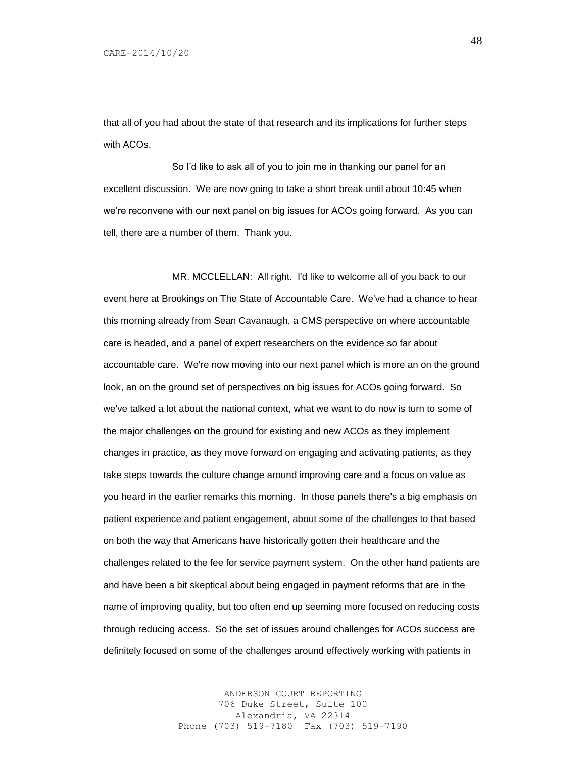that all of you had about the state of that research and its implications for further steps with ACOs

So I'd like to ask all of you to join me in thanking our panel for an excellent discussion. We are now going to take a short break until about 10:45 when we're reconvene with our next panel on big issues for ACOs going forward. As you can tell, there are a number of them. Thank you.

MR. MCCLELLAN: All right. I'd like to welcome all of you back to our event here at Brookings on The State of Accountable Care. We've had a chance to hear this morning already from Sean Cavanaugh, a CMS perspective on where accountable care is headed, and a panel of expert researchers on the evidence so far about accountable care. We're now moving into our next panel which is more an on the ground look, an on the ground set of perspectives on big issues for ACOs going forward. So we've talked a lot about the national context, what we want to do now is turn to some of the major challenges on the ground for existing and new ACOs as they implement changes in practice, as they move forward on engaging and activating patients, as they take steps towards the culture change around improving care and a focus on value as you heard in the earlier remarks this morning. In those panels there's a big emphasis on patient experience and patient engagement, about some of the challenges to that based on both the way that Americans have historically gotten their healthcare and the challenges related to the fee for service payment system. On the other hand patients are and have been a bit skeptical about being engaged in payment reforms that are in the name of improving quality, but too often end up seeming more focused on reducing costs through reducing access. So the set of issues around challenges for ACOs success are definitely focused on some of the challenges around effectively working with patients in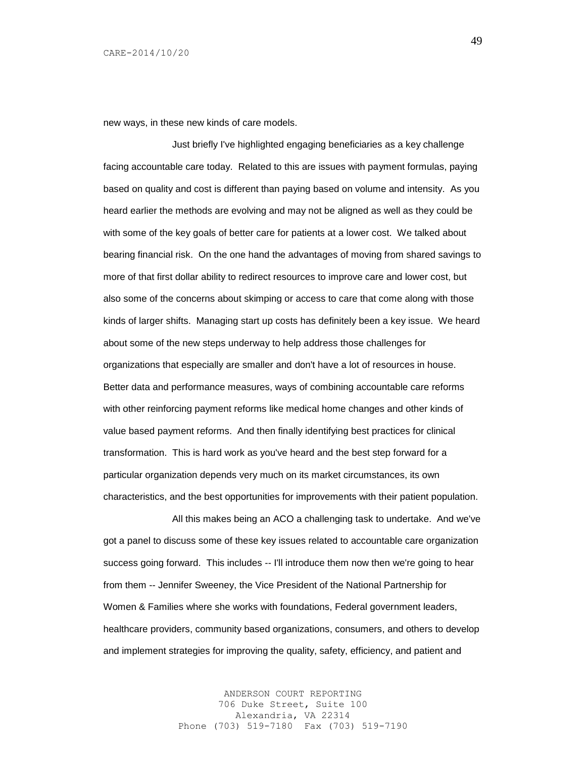new ways, in these new kinds of care models.

Just briefly I've highlighted engaging beneficiaries as a key challenge facing accountable care today. Related to this are issues with payment formulas, paying based on quality and cost is different than paying based on volume and intensity. As you heard earlier the methods are evolving and may not be aligned as well as they could be with some of the key goals of better care for patients at a lower cost. We talked about bearing financial risk. On the one hand the advantages of moving from shared savings to more of that first dollar ability to redirect resources to improve care and lower cost, but also some of the concerns about skimping or access to care that come along with those kinds of larger shifts. Managing start up costs has definitely been a key issue. We heard about some of the new steps underway to help address those challenges for organizations that especially are smaller and don't have a lot of resources in house. Better data and performance measures, ways of combining accountable care reforms with other reinforcing payment reforms like medical home changes and other kinds of value based payment reforms. And then finally identifying best practices for clinical transformation. This is hard work as you've heard and the best step forward for a particular organization depends very much on its market circumstances, its own characteristics, and the best opportunities for improvements with their patient population.

All this makes being an ACO a challenging task to undertake. And we've got a panel to discuss some of these key issues related to accountable care organization success going forward. This includes -- I'll introduce them now then we're going to hear from them -- Jennifer Sweeney, the Vice President of the National Partnership for Women & Families where she works with foundations, Federal government leaders, healthcare providers, community based organizations, consumers, and others to develop and implement strategies for improving the quality, safety, efficiency, and patient and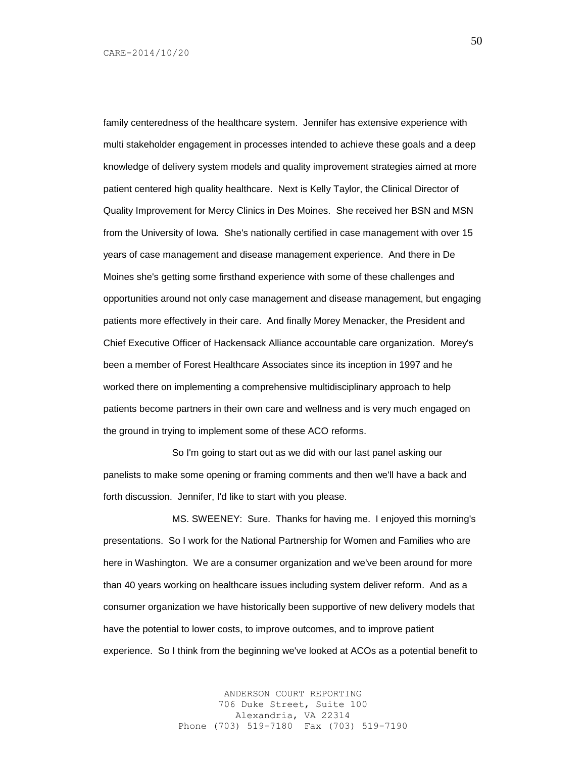family centeredness of the healthcare system. Jennifer has extensive experience with multi stakeholder engagement in processes intended to achieve these goals and a deep knowledge of delivery system models and quality improvement strategies aimed at more patient centered high quality healthcare. Next is Kelly Taylor, the Clinical Director of Quality Improvement for Mercy Clinics in Des Moines. She received her BSN and MSN from the University of Iowa. She's nationally certified in case management with over 15 years of case management and disease management experience. And there in De Moines she's getting some firsthand experience with some of these challenges and opportunities around not only case management and disease management, but engaging patients more effectively in their care. And finally Morey Menacker, the President and Chief Executive Officer of Hackensack Alliance accountable care organization. Morey's been a member of Forest Healthcare Associates since its inception in 1997 and he worked there on implementing a comprehensive multidisciplinary approach to help patients become partners in their own care and wellness and is very much engaged on the ground in trying to implement some of these ACO reforms.

So I'm going to start out as we did with our last panel asking our panelists to make some opening or framing comments and then we'll have a back and forth discussion. Jennifer, I'd like to start with you please.

MS. SWEENEY: Sure. Thanks for having me. I enjoyed this morning's presentations. So I work for the National Partnership for Women and Families who are here in Washington. We are a consumer organization and we've been around for more than 40 years working on healthcare issues including system deliver reform. And as a consumer organization we have historically been supportive of new delivery models that have the potential to lower costs, to improve outcomes, and to improve patient experience. So I think from the beginning we've looked at ACOs as a potential benefit to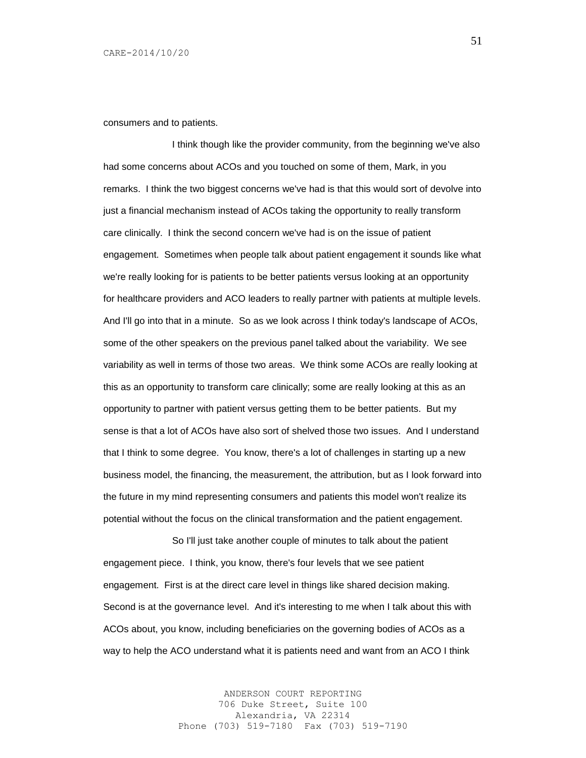consumers and to patients.

I think though like the provider community, from the beginning we've also had some concerns about ACOs and you touched on some of them, Mark, in you remarks. I think the two biggest concerns we've had is that this would sort of devolve into just a financial mechanism instead of ACOs taking the opportunity to really transform care clinically. I think the second concern we've had is on the issue of patient engagement. Sometimes when people talk about patient engagement it sounds like what we're really looking for is patients to be better patients versus looking at an opportunity for healthcare providers and ACO leaders to really partner with patients at multiple levels. And I'll go into that in a minute. So as we look across I think today's landscape of ACOs, some of the other speakers on the previous panel talked about the variability. We see variability as well in terms of those two areas. We think some ACOs are really looking at this as an opportunity to transform care clinically; some are really looking at this as an opportunity to partner with patient versus getting them to be better patients. But my sense is that a lot of ACOs have also sort of shelved those two issues. And I understand that I think to some degree. You know, there's a lot of challenges in starting up a new business model, the financing, the measurement, the attribution, but as I look forward into the future in my mind representing consumers and patients this model won't realize its potential without the focus on the clinical transformation and the patient engagement.

So I'll just take another couple of minutes to talk about the patient engagement piece. I think, you know, there's four levels that we see patient engagement. First is at the direct care level in things like shared decision making. Second is at the governance level. And it's interesting to me when I talk about this with ACOs about, you know, including beneficiaries on the governing bodies of ACOs as a way to help the ACO understand what it is patients need and want from an ACO I think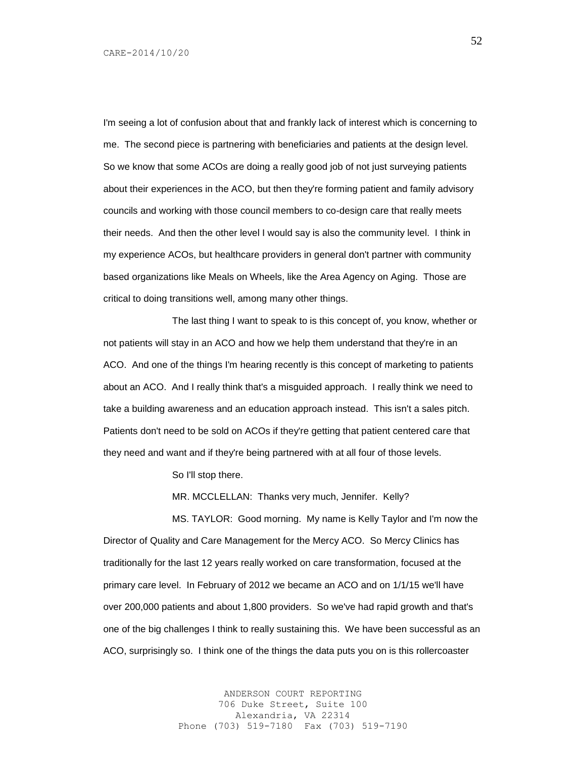I'm seeing a lot of confusion about that and frankly lack of interest which is concerning to me. The second piece is partnering with beneficiaries and patients at the design level. So we know that some ACOs are doing a really good job of not just surveying patients about their experiences in the ACO, but then they're forming patient and family advisory councils and working with those council members to co-design care that really meets their needs. And then the other level I would say is also the community level. I think in my experience ACOs, but healthcare providers in general don't partner with community based organizations like Meals on Wheels, like the Area Agency on Aging. Those are critical to doing transitions well, among many other things.

The last thing I want to speak to is this concept of, you know, whether or not patients will stay in an ACO and how we help them understand that they're in an ACO. And one of the things I'm hearing recently is this concept of marketing to patients about an ACO. And I really think that's a misguided approach. I really think we need to take a building awareness and an education approach instead. This isn't a sales pitch. Patients don't need to be sold on ACOs if they're getting that patient centered care that they need and want and if they're being partnered with at all four of those levels.

So I'll stop there.

MR. MCCLELLAN: Thanks very much, Jennifer. Kelly?

MS. TAYLOR: Good morning. My name is Kelly Taylor and I'm now the Director of Quality and Care Management for the Mercy ACO. So Mercy Clinics has traditionally for the last 12 years really worked on care transformation, focused at the primary care level. In February of 2012 we became an ACO and on 1/1/15 we'll have over 200,000 patients and about 1,800 providers. So we've had rapid growth and that's one of the big challenges I think to really sustaining this. We have been successful as an ACO, surprisingly so. I think one of the things the data puts you on is this rollercoaster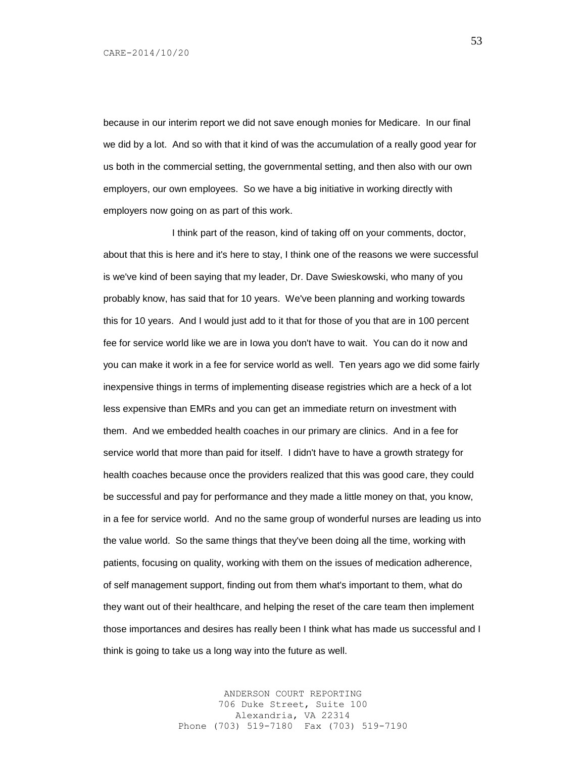because in our interim report we did not save enough monies for Medicare. In our final we did by a lot. And so with that it kind of was the accumulation of a really good year for us both in the commercial setting, the governmental setting, and then also with our own employers, our own employees. So we have a big initiative in working directly with employers now going on as part of this work.

I think part of the reason, kind of taking off on your comments, doctor, about that this is here and it's here to stay, I think one of the reasons we were successful is we've kind of been saying that my leader, Dr. Dave Swieskowski, who many of you probably know, has said that for 10 years. We've been planning and working towards this for 10 years. And I would just add to it that for those of you that are in 100 percent fee for service world like we are in Iowa you don't have to wait. You can do it now and you can make it work in a fee for service world as well. Ten years ago we did some fairly inexpensive things in terms of implementing disease registries which are a heck of a lot less expensive than EMRs and you can get an immediate return on investment with them. And we embedded health coaches in our primary are clinics. And in a fee for service world that more than paid for itself. I didn't have to have a growth strategy for health coaches because once the providers realized that this was good care, they could be successful and pay for performance and they made a little money on that, you know, in a fee for service world. And no the same group of wonderful nurses are leading us into the value world. So the same things that they've been doing all the time, working with patients, focusing on quality, working with them on the issues of medication adherence, of self management support, finding out from them what's important to them, what do they want out of their healthcare, and helping the reset of the care team then implement those importances and desires has really been I think what has made us successful and I think is going to take us a long way into the future as well.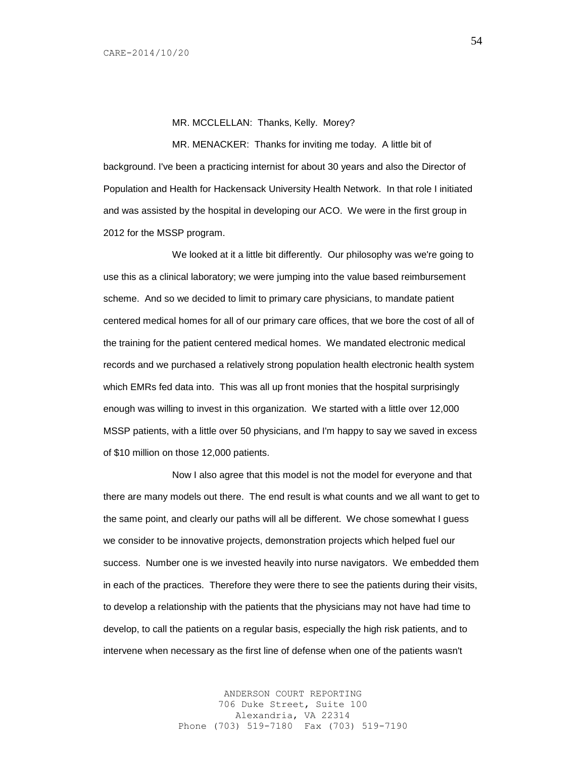## MR. MCCLELLAN: Thanks, Kelly. Morey?

MR. MENACKER: Thanks for inviting me today. A little bit of background. I've been a practicing internist for about 30 years and also the Director of Population and Health for Hackensack University Health Network. In that role I initiated and was assisted by the hospital in developing our ACO. We were in the first group in 2012 for the MSSP program.

We looked at it a little bit differently. Our philosophy was we're going to use this as a clinical laboratory; we were jumping into the value based reimbursement scheme. And so we decided to limit to primary care physicians, to mandate patient centered medical homes for all of our primary care offices, that we bore the cost of all of the training for the patient centered medical homes. We mandated electronic medical records and we purchased a relatively strong population health electronic health system which EMRs fed data into. This was all up front monies that the hospital surprisingly enough was willing to invest in this organization. We started with a little over 12,000 MSSP patients, with a little over 50 physicians, and I'm happy to say we saved in excess of \$10 million on those 12,000 patients.

Now I also agree that this model is not the model for everyone and that there are many models out there. The end result is what counts and we all want to get to the same point, and clearly our paths will all be different. We chose somewhat I guess we consider to be innovative projects, demonstration projects which helped fuel our success. Number one is we invested heavily into nurse navigators. We embedded them in each of the practices. Therefore they were there to see the patients during their visits, to develop a relationship with the patients that the physicians may not have had time to develop, to call the patients on a regular basis, especially the high risk patients, and to intervene when necessary as the first line of defense when one of the patients wasn't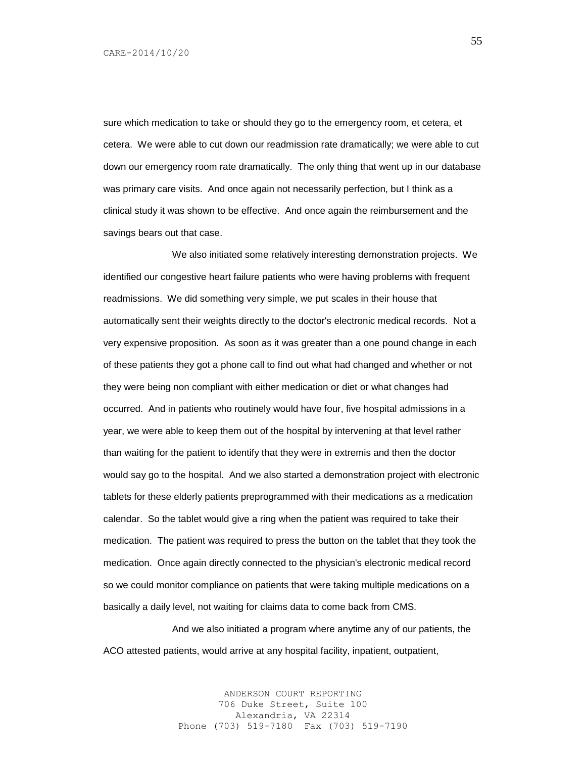sure which medication to take or should they go to the emergency room, et cetera, et cetera. We were able to cut down our readmission rate dramatically; we were able to cut down our emergency room rate dramatically. The only thing that went up in our database was primary care visits. And once again not necessarily perfection, but I think as a clinical study it was shown to be effective. And once again the reimbursement and the savings bears out that case.

We also initiated some relatively interesting demonstration projects. We identified our congestive heart failure patients who were having problems with frequent readmissions. We did something very simple, we put scales in their house that automatically sent their weights directly to the doctor's electronic medical records. Not a very expensive proposition. As soon as it was greater than a one pound change in each of these patients they got a phone call to find out what had changed and whether or not they were being non compliant with either medication or diet or what changes had occurred. And in patients who routinely would have four, five hospital admissions in a year, we were able to keep them out of the hospital by intervening at that level rather than waiting for the patient to identify that they were in extremis and then the doctor would say go to the hospital. And we also started a demonstration project with electronic tablets for these elderly patients preprogrammed with their medications as a medication calendar. So the tablet would give a ring when the patient was required to take their medication. The patient was required to press the button on the tablet that they took the medication. Once again directly connected to the physician's electronic medical record so we could monitor compliance on patients that were taking multiple medications on a basically a daily level, not waiting for claims data to come back from CMS.

And we also initiated a program where anytime any of our patients, the ACO attested patients, would arrive at any hospital facility, inpatient, outpatient,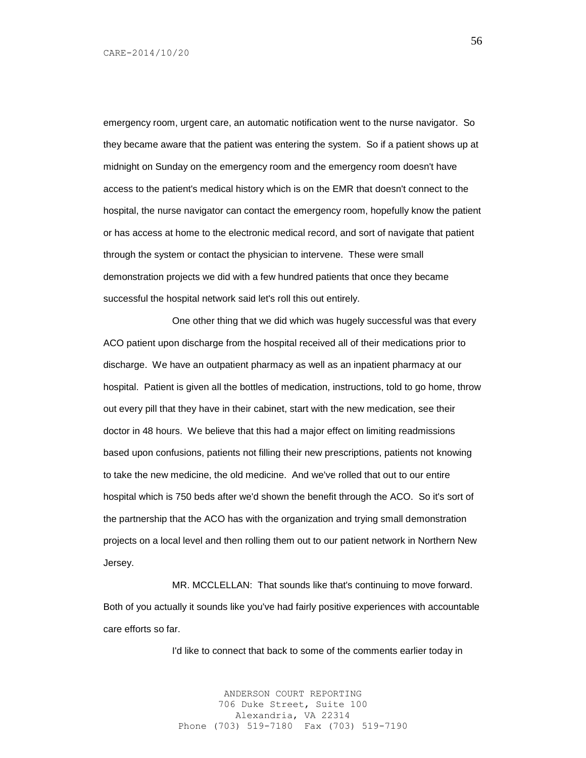emergency room, urgent care, an automatic notification went to the nurse navigator. So they became aware that the patient was entering the system. So if a patient shows up at midnight on Sunday on the emergency room and the emergency room doesn't have access to the patient's medical history which is on the EMR that doesn't connect to the hospital, the nurse navigator can contact the emergency room, hopefully know the patient or has access at home to the electronic medical record, and sort of navigate that patient through the system or contact the physician to intervene. These were small demonstration projects we did with a few hundred patients that once they became successful the hospital network said let's roll this out entirely.

One other thing that we did which was hugely successful was that every ACO patient upon discharge from the hospital received all of their medications prior to discharge. We have an outpatient pharmacy as well as an inpatient pharmacy at our hospital. Patient is given all the bottles of medication, instructions, told to go home, throw out every pill that they have in their cabinet, start with the new medication, see their doctor in 48 hours. We believe that this had a major effect on limiting readmissions based upon confusions, patients not filling their new prescriptions, patients not knowing to take the new medicine, the old medicine. And we've rolled that out to our entire hospital which is 750 beds after we'd shown the benefit through the ACO. So it's sort of the partnership that the ACO has with the organization and trying small demonstration projects on a local level and then rolling them out to our patient network in Northern New Jersey.

MR. MCCLELLAN: That sounds like that's continuing to move forward. Both of you actually it sounds like you've had fairly positive experiences with accountable care efforts so far.

I'd like to connect that back to some of the comments earlier today in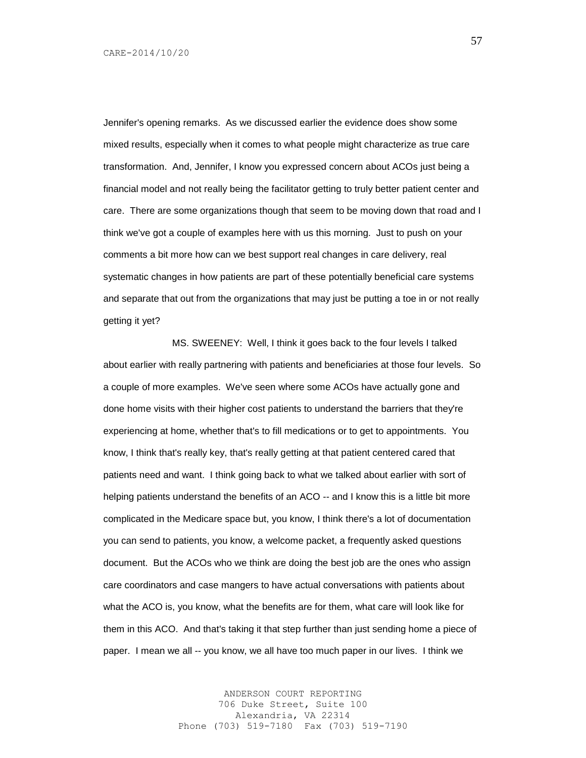Jennifer's opening remarks. As we discussed earlier the evidence does show some mixed results, especially when it comes to what people might characterize as true care transformation. And, Jennifer, I know you expressed concern about ACOs just being a financial model and not really being the facilitator getting to truly better patient center and care. There are some organizations though that seem to be moving down that road and I think we've got a couple of examples here with us this morning. Just to push on your comments a bit more how can we best support real changes in care delivery, real systematic changes in how patients are part of these potentially beneficial care systems and separate that out from the organizations that may just be putting a toe in or not really getting it yet?

MS. SWEENEY: Well, I think it goes back to the four levels I talked about earlier with really partnering with patients and beneficiaries at those four levels. So a couple of more examples. We've seen where some ACOs have actually gone and done home visits with their higher cost patients to understand the barriers that they're experiencing at home, whether that's to fill medications or to get to appointments. You know, I think that's really key, that's really getting at that patient centered cared that patients need and want. I think going back to what we talked about earlier with sort of helping patients understand the benefits of an ACO -- and I know this is a little bit more complicated in the Medicare space but, you know, I think there's a lot of documentation you can send to patients, you know, a welcome packet, a frequently asked questions document. But the ACOs who we think are doing the best job are the ones who assign care coordinators and case mangers to have actual conversations with patients about what the ACO is, you know, what the benefits are for them, what care will look like for them in this ACO. And that's taking it that step further than just sending home a piece of paper. I mean we all -- you know, we all have too much paper in our lives. I think we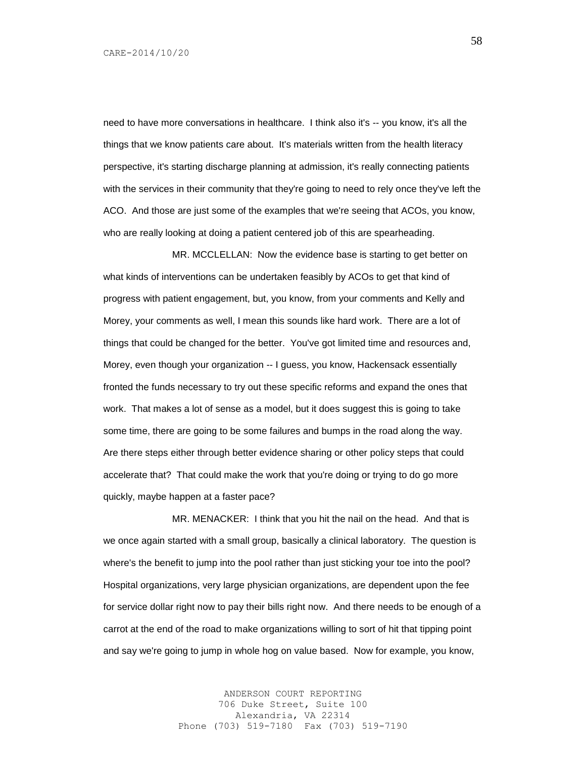need to have more conversations in healthcare. I think also it's -- you know, it's all the things that we know patients care about. It's materials written from the health literacy perspective, it's starting discharge planning at admission, it's really connecting patients with the services in their community that they're going to need to rely once they've left the ACO. And those are just some of the examples that we're seeing that ACOs, you know, who are really looking at doing a patient centered job of this are spearheading.

MR. MCCLELLAN: Now the evidence base is starting to get better on what kinds of interventions can be undertaken feasibly by ACOs to get that kind of progress with patient engagement, but, you know, from your comments and Kelly and Morey, your comments as well, I mean this sounds like hard work. There are a lot of things that could be changed for the better. You've got limited time and resources and, Morey, even though your organization -- I guess, you know, Hackensack essentially fronted the funds necessary to try out these specific reforms and expand the ones that work. That makes a lot of sense as a model, but it does suggest this is going to take some time, there are going to be some failures and bumps in the road along the way. Are there steps either through better evidence sharing or other policy steps that could accelerate that? That could make the work that you're doing or trying to do go more quickly, maybe happen at a faster pace?

MR. MENACKER: I think that you hit the nail on the head. And that is we once again started with a small group, basically a clinical laboratory. The question is where's the benefit to jump into the pool rather than just sticking your toe into the pool? Hospital organizations, very large physician organizations, are dependent upon the fee for service dollar right now to pay their bills right now. And there needs to be enough of a carrot at the end of the road to make organizations willing to sort of hit that tipping point and say we're going to jump in whole hog on value based. Now for example, you know,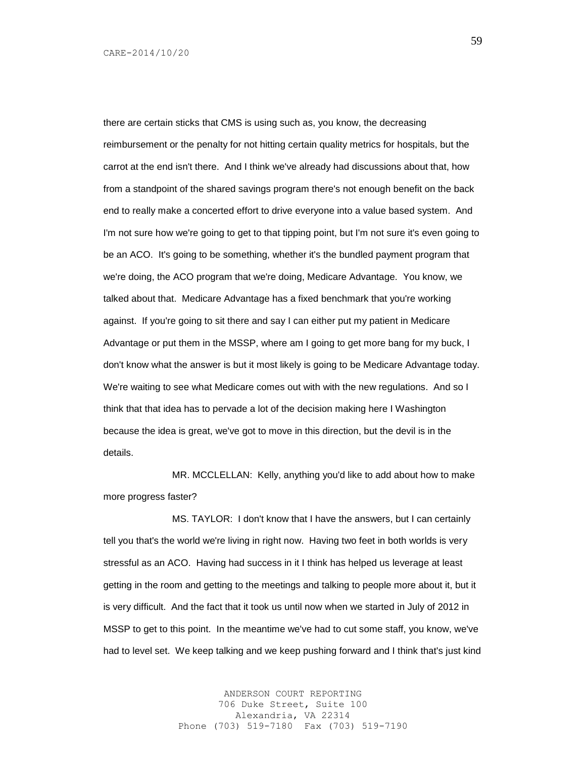there are certain sticks that CMS is using such as, you know, the decreasing reimbursement or the penalty for not hitting certain quality metrics for hospitals, but the carrot at the end isn't there. And I think we've already had discussions about that, how from a standpoint of the shared savings program there's not enough benefit on the back end to really make a concerted effort to drive everyone into a value based system. And I'm not sure how we're going to get to that tipping point, but I'm not sure it's even going to be an ACO. It's going to be something, whether it's the bundled payment program that we're doing, the ACO program that we're doing, Medicare Advantage. You know, we talked about that. Medicare Advantage has a fixed benchmark that you're working against. If you're going to sit there and say I can either put my patient in Medicare Advantage or put them in the MSSP, where am I going to get more bang for my buck, I don't know what the answer is but it most likely is going to be Medicare Advantage today. We're waiting to see what Medicare comes out with with the new regulations. And so I think that that idea has to pervade a lot of the decision making here I Washington because the idea is great, we've got to move in this direction, but the devil is in the details.

MR. MCCLELLAN: Kelly, anything you'd like to add about how to make more progress faster?

MS. TAYLOR: I don't know that I have the answers, but I can certainly tell you that's the world we're living in right now. Having two feet in both worlds is very stressful as an ACO. Having had success in it I think has helped us leverage at least getting in the room and getting to the meetings and talking to people more about it, but it is very difficult. And the fact that it took us until now when we started in July of 2012 in MSSP to get to this point. In the meantime we've had to cut some staff, you know, we've had to level set. We keep talking and we keep pushing forward and I think that's just kind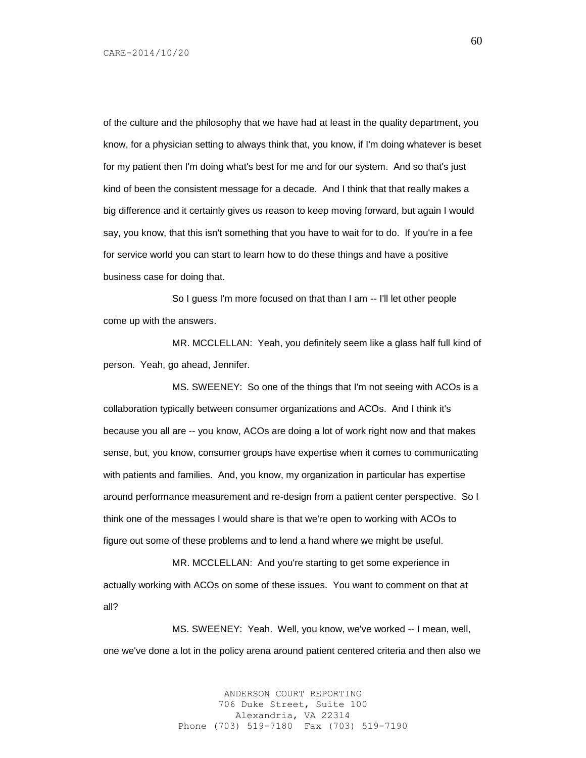of the culture and the philosophy that we have had at least in the quality department, you know, for a physician setting to always think that, you know, if I'm doing whatever is beset for my patient then I'm doing what's best for me and for our system. And so that's just kind of been the consistent message for a decade. And I think that that really makes a big difference and it certainly gives us reason to keep moving forward, but again I would say, you know, that this isn't something that you have to wait for to do. If you're in a fee for service world you can start to learn how to do these things and have a positive business case for doing that.

So I guess I'm more focused on that than I am -- I'll let other people come up with the answers.

MR. MCCLELLAN: Yeah, you definitely seem like a glass half full kind of person. Yeah, go ahead, Jennifer.

MS. SWEENEY: So one of the things that I'm not seeing with ACOs is a collaboration typically between consumer organizations and ACOs. And I think it's because you all are -- you know, ACOs are doing a lot of work right now and that makes sense, but, you know, consumer groups have expertise when it comes to communicating with patients and families. And, you know, my organization in particular has expertise around performance measurement and re-design from a patient center perspective. So I think one of the messages I would share is that we're open to working with ACOs to figure out some of these problems and to lend a hand where we might be useful.

MR. MCCLELLAN: And you're starting to get some experience in actually working with ACOs on some of these issues. You want to comment on that at all?

MS. SWEENEY: Yeah. Well, you know, we've worked -- I mean, well, one we've done a lot in the policy arena around patient centered criteria and then also we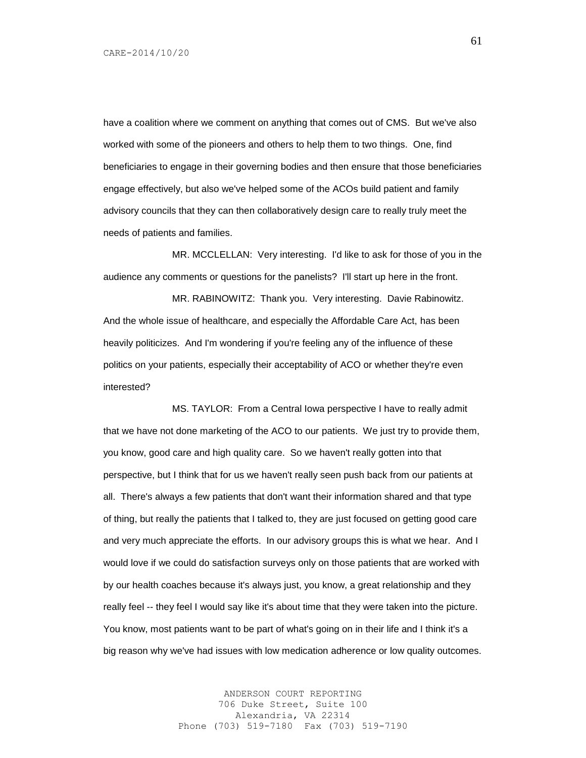have a coalition where we comment on anything that comes out of CMS. But we've also worked with some of the pioneers and others to help them to two things. One, find beneficiaries to engage in their governing bodies and then ensure that those beneficiaries engage effectively, but also we've helped some of the ACOs build patient and family advisory councils that they can then collaboratively design care to really truly meet the needs of patients and families.

MR. MCCLELLAN: Very interesting. I'd like to ask for those of you in the audience any comments or questions for the panelists? I'll start up here in the front.

MR. RABINOWITZ: Thank you. Very interesting. Davie Rabinowitz. And the whole issue of healthcare, and especially the Affordable Care Act, has been heavily politicizes. And I'm wondering if you're feeling any of the influence of these politics on your patients, especially their acceptability of ACO or whether they're even interested?

MS. TAYLOR: From a Central Iowa perspective I have to really admit that we have not done marketing of the ACO to our patients. We just try to provide them, you know, good care and high quality care. So we haven't really gotten into that perspective, but I think that for us we haven't really seen push back from our patients at all. There's always a few patients that don't want their information shared and that type of thing, but really the patients that I talked to, they are just focused on getting good care and very much appreciate the efforts. In our advisory groups this is what we hear. And I would love if we could do satisfaction surveys only on those patients that are worked with by our health coaches because it's always just, you know, a great relationship and they really feel -- they feel I would say like it's about time that they were taken into the picture. You know, most patients want to be part of what's going on in their life and I think it's a big reason why we've had issues with low medication adherence or low quality outcomes.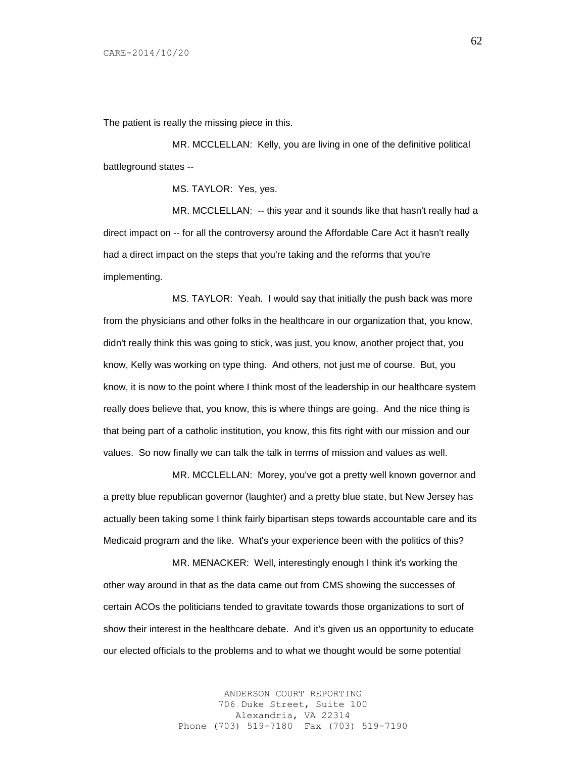The patient is really the missing piece in this.

MR. MCCLELLAN: Kelly, you are living in one of the definitive political battleground states --

MS. TAYLOR: Yes, yes.

MR. MCCLELLAN: -- this year and it sounds like that hasn't really had a direct impact on -- for all the controversy around the Affordable Care Act it hasn't really had a direct impact on the steps that you're taking and the reforms that you're implementing.

MS. TAYLOR: Yeah. I would say that initially the push back was more from the physicians and other folks in the healthcare in our organization that, you know, didn't really think this was going to stick, was just, you know, another project that, you know, Kelly was working on type thing. And others, not just me of course. But, you know, it is now to the point where I think most of the leadership in our healthcare system really does believe that, you know, this is where things are going. And the nice thing is that being part of a catholic institution, you know, this fits right with our mission and our values. So now finally we can talk the talk in terms of mission and values as well.

MR. MCCLELLAN: Morey, you've got a pretty well known governor and a pretty blue republican governor (laughter) and a pretty blue state, but New Jersey has actually been taking some I think fairly bipartisan steps towards accountable care and its Medicaid program and the like. What's your experience been with the politics of this?

MR. MENACKER: Well, interestingly enough I think it's working the other way around in that as the data came out from CMS showing the successes of certain ACOs the politicians tended to gravitate towards those organizations to sort of show their interest in the healthcare debate. And it's given us an opportunity to educate our elected officials to the problems and to what we thought would be some potential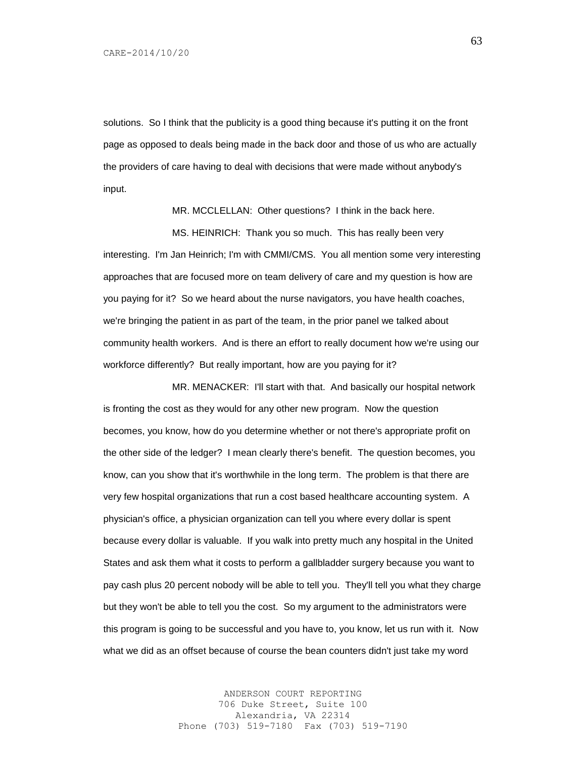solutions. So I think that the publicity is a good thing because it's putting it on the front page as opposed to deals being made in the back door and those of us who are actually the providers of care having to deal with decisions that were made without anybody's input.

MR. MCCLELLAN: Other questions? I think in the back here.

MS. HEINRICH: Thank you so much. This has really been very interesting. I'm Jan Heinrich; I'm with CMMI/CMS. You all mention some very interesting approaches that are focused more on team delivery of care and my question is how are you paying for it? So we heard about the nurse navigators, you have health coaches, we're bringing the patient in as part of the team, in the prior panel we talked about community health workers. And is there an effort to really document how we're using our workforce differently? But really important, how are you paying for it?

MR. MENACKER: I'll start with that. And basically our hospital network is fronting the cost as they would for any other new program. Now the question becomes, you know, how do you determine whether or not there's appropriate profit on the other side of the ledger? I mean clearly there's benefit. The question becomes, you know, can you show that it's worthwhile in the long term. The problem is that there are very few hospital organizations that run a cost based healthcare accounting system. A physician's office, a physician organization can tell you where every dollar is spent because every dollar is valuable. If you walk into pretty much any hospital in the United States and ask them what it costs to perform a gallbladder surgery because you want to pay cash plus 20 percent nobody will be able to tell you. They'll tell you what they charge but they won't be able to tell you the cost. So my argument to the administrators were this program is going to be successful and you have to, you know, let us run with it. Now what we did as an offset because of course the bean counters didn't just take my word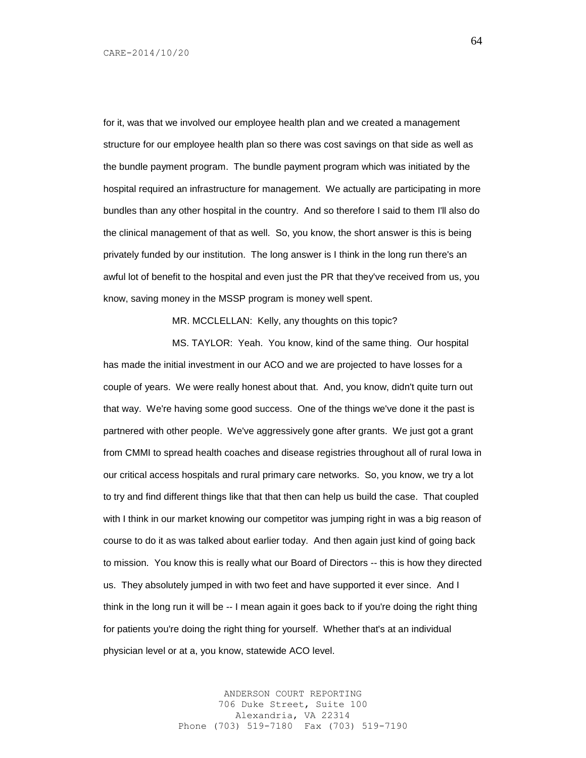for it, was that we involved our employee health plan and we created a management structure for our employee health plan so there was cost savings on that side as well as the bundle payment program. The bundle payment program which was initiated by the hospital required an infrastructure for management. We actually are participating in more bundles than any other hospital in the country. And so therefore I said to them I'll also do the clinical management of that as well. So, you know, the short answer is this is being privately funded by our institution. The long answer is I think in the long run there's an awful lot of benefit to the hospital and even just the PR that they've received from us, you know, saving money in the MSSP program is money well spent.

MR. MCCLELLAN: Kelly, any thoughts on this topic?

MS. TAYLOR: Yeah. You know, kind of the same thing. Our hospital has made the initial investment in our ACO and we are projected to have losses for a couple of years. We were really honest about that. And, you know, didn't quite turn out that way. We're having some good success. One of the things we've done it the past is partnered with other people. We've aggressively gone after grants. We just got a grant from CMMI to spread health coaches and disease registries throughout all of rural Iowa in our critical access hospitals and rural primary care networks. So, you know, we try a lot to try and find different things like that that then can help us build the case. That coupled with I think in our market knowing our competitor was jumping right in was a big reason of course to do it as was talked about earlier today. And then again just kind of going back to mission. You know this is really what our Board of Directors -- this is how they directed us. They absolutely jumped in with two feet and have supported it ever since. And I think in the long run it will be -- I mean again it goes back to if you're doing the right thing for patients you're doing the right thing for yourself. Whether that's at an individual physician level or at a, you know, statewide ACO level.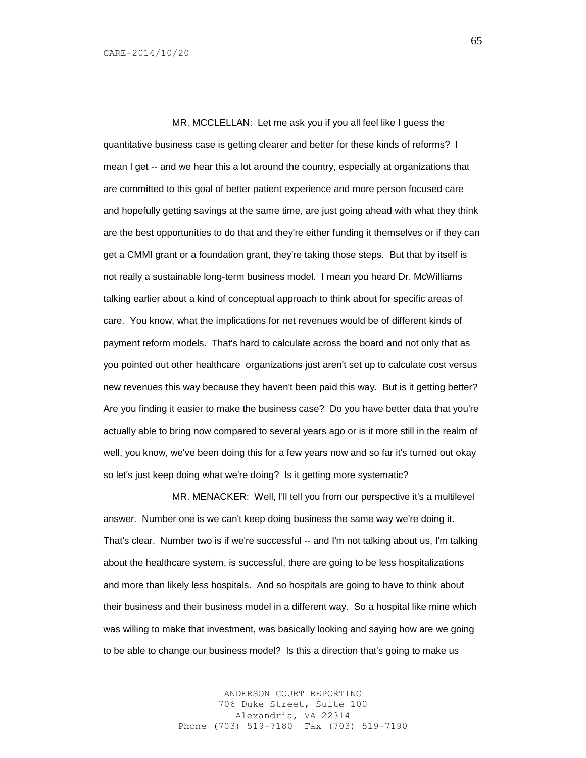MR. MCCLELLAN: Let me ask you if you all feel like I guess the quantitative business case is getting clearer and better for these kinds of reforms? I mean I get -- and we hear this a lot around the country, especially at organizations that are committed to this goal of better patient experience and more person focused care and hopefully getting savings at the same time, are just going ahead with what they think are the best opportunities to do that and they're either funding it themselves or if they can get a CMMI grant or a foundation grant, they're taking those steps. But that by itself is not really a sustainable long-term business model. I mean you heard Dr. McWilliams talking earlier about a kind of conceptual approach to think about for specific areas of care. You know, what the implications for net revenues would be of different kinds of payment reform models. That's hard to calculate across the board and not only that as you pointed out other healthcare organizations just aren't set up to calculate cost versus new revenues this way because they haven't been paid this way. But is it getting better? Are you finding it easier to make the business case? Do you have better data that you're actually able to bring now compared to several years ago or is it more still in the realm of well, you know, we've been doing this for a few years now and so far it's turned out okay so let's just keep doing what we're doing? Is it getting more systematic?

MR. MENACKER: Well, I'll tell you from our perspective it's a multilevel answer. Number one is we can't keep doing business the same way we're doing it. That's clear. Number two is if we're successful -- and I'm not talking about us, I'm talking about the healthcare system, is successful, there are going to be less hospitalizations and more than likely less hospitals. And so hospitals are going to have to think about their business and their business model in a different way. So a hospital like mine which was willing to make that investment, was basically looking and saying how are we going to be able to change our business model? Is this a direction that's going to make us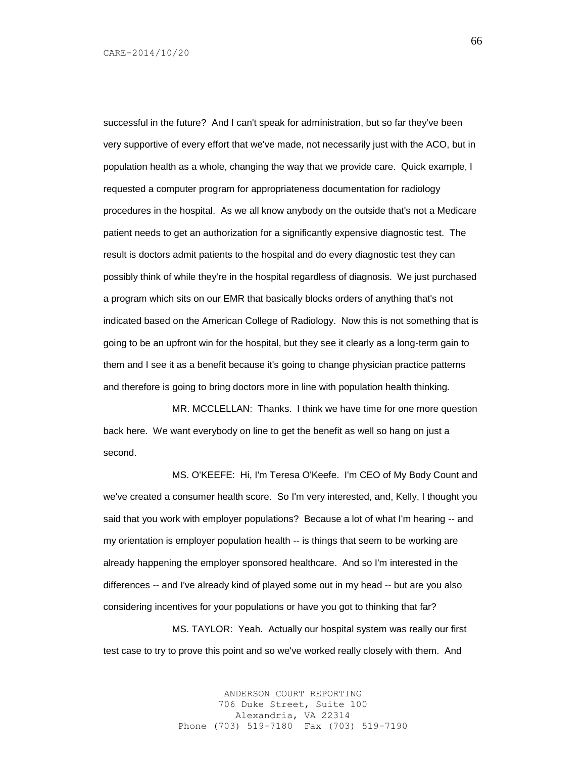successful in the future? And I can't speak for administration, but so far they've been very supportive of every effort that we've made, not necessarily just with the ACO, but in population health as a whole, changing the way that we provide care. Quick example, I requested a computer program for appropriateness documentation for radiology procedures in the hospital. As we all know anybody on the outside that's not a Medicare patient needs to get an authorization for a significantly expensive diagnostic test. The result is doctors admit patients to the hospital and do every diagnostic test they can possibly think of while they're in the hospital regardless of diagnosis. We just purchased a program which sits on our EMR that basically blocks orders of anything that's not indicated based on the American College of Radiology. Now this is not something that is going to be an upfront win for the hospital, but they see it clearly as a long-term gain to them and I see it as a benefit because it's going to change physician practice patterns and therefore is going to bring doctors more in line with population health thinking.

MR. MCCLELLAN: Thanks. I think we have time for one more question back here. We want everybody on line to get the benefit as well so hang on just a second.

MS. O'KEEFE: Hi, I'm Teresa O'Keefe. I'm CEO of My Body Count and we've created a consumer health score. So I'm very interested, and, Kelly, I thought you said that you work with employer populations? Because a lot of what I'm hearing -- and my orientation is employer population health -- is things that seem to be working are already happening the employer sponsored healthcare. And so I'm interested in the differences -- and I've already kind of played some out in my head -- but are you also considering incentives for your populations or have you got to thinking that far?

MS. TAYLOR: Yeah. Actually our hospital system was really our first test case to try to prove this point and so we've worked really closely with them. And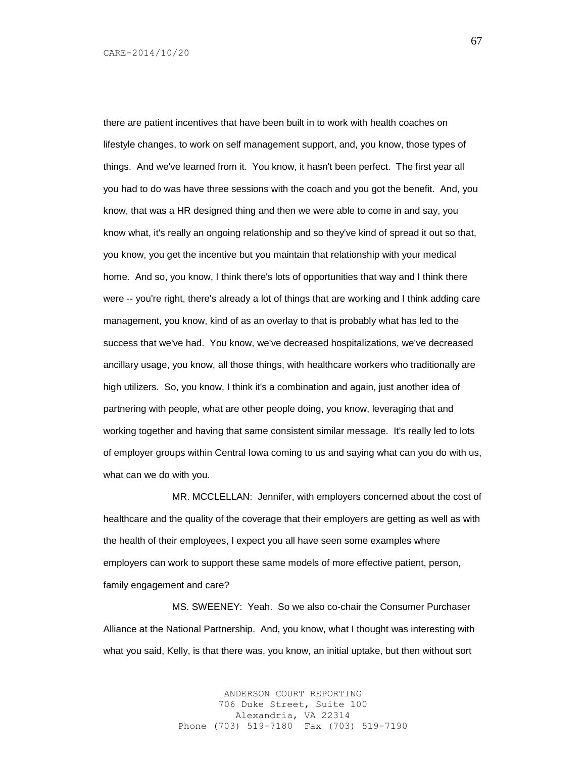there are patient incentives that have been built in to work with health coaches on lifestyle changes, to work on self management support, and, you know, those types of things. And we've learned from it. You know, it hasn't been perfect. The first year all you had to do was have three sessions with the coach and you got the benefit. And, you know, that was a HR designed thing and then we were able to come in and say, you know what, it's really an ongoing relationship and so they've kind of spread it out so that, you know, you get the incentive but you maintain that relationship with your medical home. And so, you know, I think there's lots of opportunities that way and I think there were -- you're right, there's already a lot of things that are working and I think adding care management, you know, kind of as an overlay to that is probably what has led to the success that we've had. You know, we've decreased hospitalizations, we've decreased ancillary usage, you know, all those things, with healthcare workers who traditionally are high utilizers. So, you know, I think it's a combination and again, just another idea of partnering with people, what are other people doing, you know, leveraging that and working together and having that same consistent similar message. It's really led to lots of employer groups within Central Iowa coming to us and saying what can you do with us, what can we do with you.

MR. MCCLELLAN: Jennifer, with employers concerned about the cost of healthcare and the quality of the coverage that their employers are getting as well as with the health of their employees, I expect you all have seen some examples where employers can work to support these same models of more effective patient, person, family engagement and care?

MS. SWEENEY: Yeah. So we also co-chair the Consumer Purchaser Alliance at the National Partnership. And, you know, what I thought was interesting with what you said, Kelly, is that there was, you know, an initial uptake, but then without sort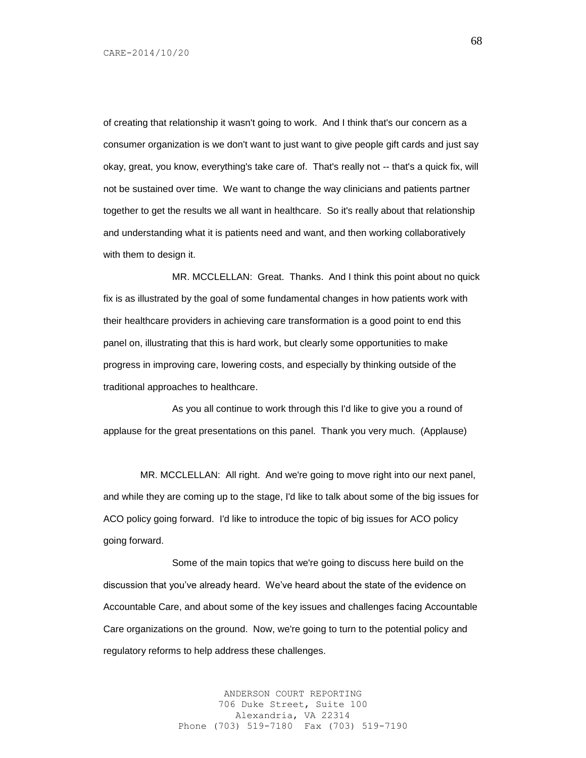of creating that relationship it wasn't going to work. And I think that's our concern as a consumer organization is we don't want to just want to give people gift cards and just say okay, great, you know, everything's take care of. That's really not -- that's a quick fix, will not be sustained over time. We want to change the way clinicians and patients partner together to get the results we all want in healthcare. So it's really about that relationship and understanding what it is patients need and want, and then working collaboratively with them to design it.

MR. MCCLELLAN: Great. Thanks. And I think this point about no quick fix is as illustrated by the goal of some fundamental changes in how patients work with their healthcare providers in achieving care transformation is a good point to end this panel on, illustrating that this is hard work, but clearly some opportunities to make progress in improving care, lowering costs, and especially by thinking outside of the traditional approaches to healthcare.

As you all continue to work through this I'd like to give you a round of applause for the great presentations on this panel. Thank you very much. (Applause)

MR. MCCLELLAN: All right. And we're going to move right into our next panel, and while they are coming up to the stage, I'd like to talk about some of the big issues for ACO policy going forward. I'd like to introduce the topic of big issues for ACO policy going forward.

Some of the main topics that we're going to discuss here build on the discussion that you've already heard. We've heard about the state of the evidence on Accountable Care, and about some of the key issues and challenges facing Accountable Care organizations on the ground. Now, we're going to turn to the potential policy and regulatory reforms to help address these challenges.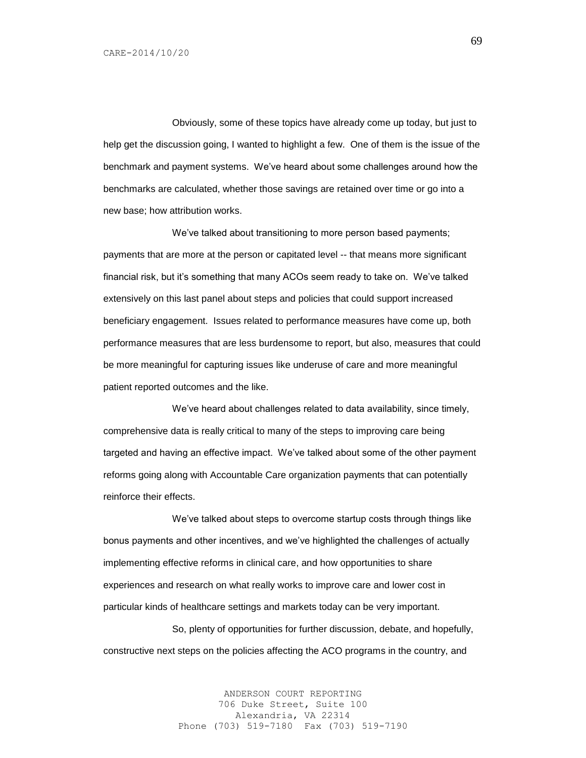Obviously, some of these topics have already come up today, but just to help get the discussion going, I wanted to highlight a few. One of them is the issue of the benchmark and payment systems. We've heard about some challenges around how the benchmarks are calculated, whether those savings are retained over time or go into a new base; how attribution works.

We've talked about transitioning to more person based payments; payments that are more at the person or capitated level -- that means more significant financial risk, but it's something that many ACOs seem ready to take on. We've talked extensively on this last panel about steps and policies that could support increased beneficiary engagement. Issues related to performance measures have come up, both performance measures that are less burdensome to report, but also, measures that could be more meaningful for capturing issues like underuse of care and more meaningful patient reported outcomes and the like.

We've heard about challenges related to data availability, since timely, comprehensive data is really critical to many of the steps to improving care being targeted and having an effective impact. We've talked about some of the other payment reforms going along with Accountable Care organization payments that can potentially reinforce their effects.

We've talked about steps to overcome startup costs through things like bonus payments and other incentives, and we've highlighted the challenges of actually implementing effective reforms in clinical care, and how opportunities to share experiences and research on what really works to improve care and lower cost in particular kinds of healthcare settings and markets today can be very important.

So, plenty of opportunities for further discussion, debate, and hopefully, constructive next steps on the policies affecting the ACO programs in the country, and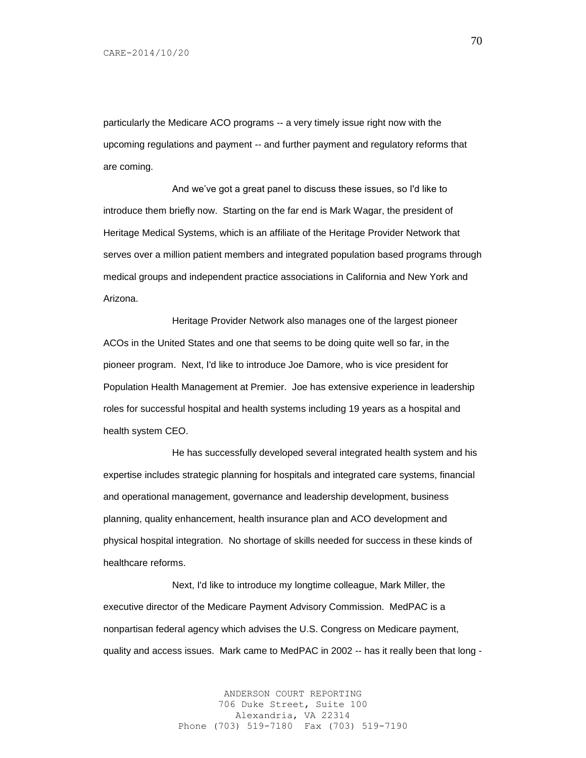particularly the Medicare ACO programs -- a very timely issue right now with the upcoming regulations and payment -- and further payment and regulatory reforms that are coming.

And we've got a great panel to discuss these issues, so I'd like to introduce them briefly now. Starting on the far end is Mark Wagar, the president of Heritage Medical Systems, which is an affiliate of the Heritage Provider Network that serves over a million patient members and integrated population based programs through medical groups and independent practice associations in California and New York and Arizona.

Heritage Provider Network also manages one of the largest pioneer ACOs in the United States and one that seems to be doing quite well so far, in the pioneer program. Next, I'd like to introduce Joe Damore, who is vice president for Population Health Management at Premier. Joe has extensive experience in leadership roles for successful hospital and health systems including 19 years as a hospital and health system CEO.

He has successfully developed several integrated health system and his expertise includes strategic planning for hospitals and integrated care systems, financial and operational management, governance and leadership development, business planning, quality enhancement, health insurance plan and ACO development and physical hospital integration. No shortage of skills needed for success in these kinds of healthcare reforms.

Next, I'd like to introduce my longtime colleague, Mark Miller, the executive director of the Medicare Payment Advisory Commission. MedPAC is a nonpartisan federal agency which advises the U.S. Congress on Medicare payment, quality and access issues. Mark came to MedPAC in 2002 -- has it really been that long -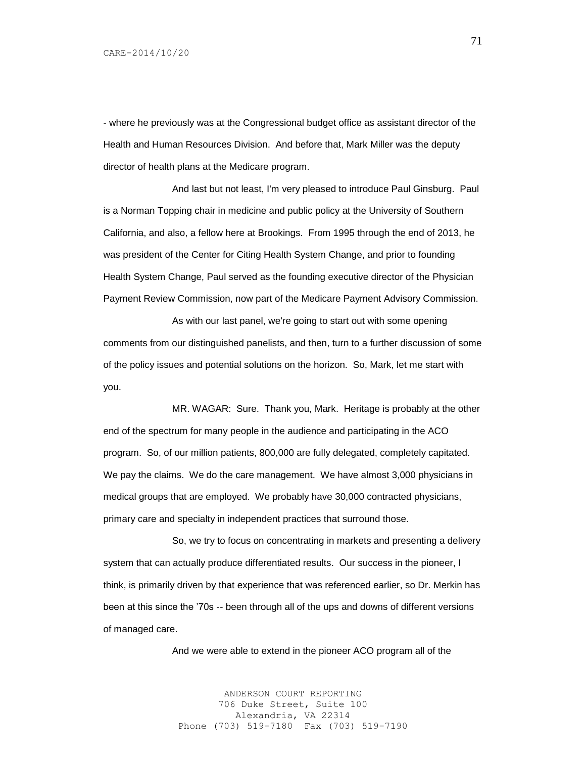- where he previously was at the Congressional budget office as assistant director of the Health and Human Resources Division. And before that, Mark Miller was the deputy director of health plans at the Medicare program.

And last but not least, I'm very pleased to introduce Paul Ginsburg. Paul is a Norman Topping chair in medicine and public policy at the University of Southern California, and also, a fellow here at Brookings. From 1995 through the end of 2013, he was president of the Center for Citing Health System Change, and prior to founding Health System Change, Paul served as the founding executive director of the Physician Payment Review Commission, now part of the Medicare Payment Advisory Commission.

As with our last panel, we're going to start out with some opening comments from our distinguished panelists, and then, turn to a further discussion of some of the policy issues and potential solutions on the horizon. So, Mark, let me start with you.

MR. WAGAR: Sure. Thank you, Mark. Heritage is probably at the other end of the spectrum for many people in the audience and participating in the ACO program. So, of our million patients, 800,000 are fully delegated, completely capitated. We pay the claims. We do the care management. We have almost 3,000 physicians in medical groups that are employed. We probably have 30,000 contracted physicians, primary care and specialty in independent practices that surround those.

So, we try to focus on concentrating in markets and presenting a delivery system that can actually produce differentiated results. Our success in the pioneer, I think, is primarily driven by that experience that was referenced earlier, so Dr. Merkin has been at this since the '70s -- been through all of the ups and downs of different versions of managed care.

And we were able to extend in the pioneer ACO program all of the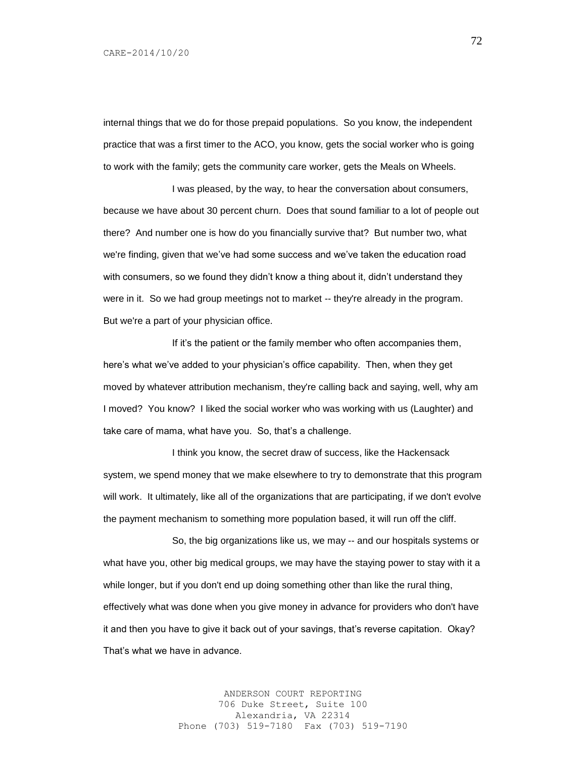internal things that we do for those prepaid populations. So you know, the independent practice that was a first timer to the ACO, you know, gets the social worker who is going to work with the family; gets the community care worker, gets the Meals on Wheels.

I was pleased, by the way, to hear the conversation about consumers, because we have about 30 percent churn. Does that sound familiar to a lot of people out there? And number one is how do you financially survive that? But number two, what we're finding, given that we've had some success and we've taken the education road with consumers, so we found they didn't know a thing about it, didn't understand they were in it. So we had group meetings not to market -- they're already in the program. But we're a part of your physician office.

If it's the patient or the family member who often accompanies them, here's what we've added to your physician's office capability. Then, when they get moved by whatever attribution mechanism, they're calling back and saying, well, why am I moved? You know? I liked the social worker who was working with us (Laughter) and take care of mama, what have you. So, that's a challenge.

I think you know, the secret draw of success, like the Hackensack system, we spend money that we make elsewhere to try to demonstrate that this program will work. It ultimately, like all of the organizations that are participating, if we don't evolve the payment mechanism to something more population based, it will run off the cliff.

So, the big organizations like us, we may -- and our hospitals systems or what have you, other big medical groups, we may have the staying power to stay with it a while longer, but if you don't end up doing something other than like the rural thing, effectively what was done when you give money in advance for providers who don't have it and then you have to give it back out of your savings, that's reverse capitation. Okay? That's what we have in advance.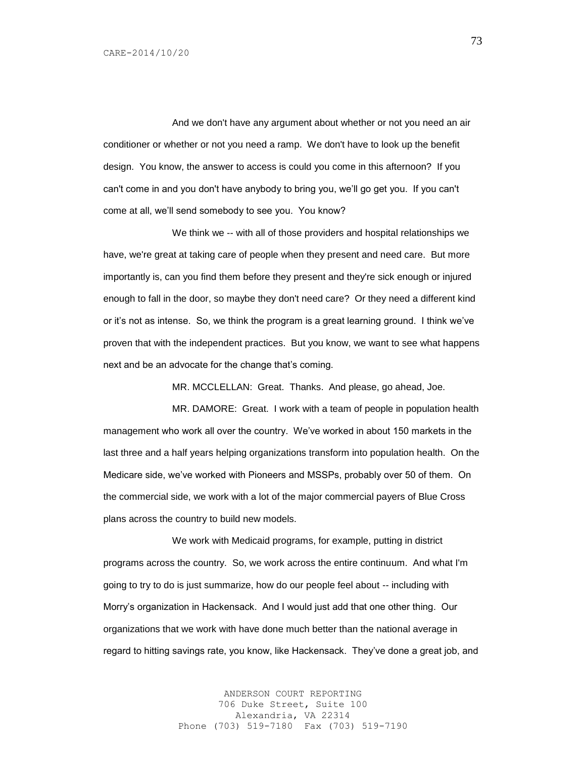And we don't have any argument about whether or not you need an air conditioner or whether or not you need a ramp. We don't have to look up the benefit design. You know, the answer to access is could you come in this afternoon? If you can't come in and you don't have anybody to bring you, we'll go get you. If you can't come at all, we'll send somebody to see you. You know?

We think we -- with all of those providers and hospital relationships we have, we're great at taking care of people when they present and need care. But more importantly is, can you find them before they present and they're sick enough or injured enough to fall in the door, so maybe they don't need care? Or they need a different kind or it's not as intense. So, we think the program is a great learning ground. I think we've proven that with the independent practices. But you know, we want to see what happens next and be an advocate for the change that's coming.

MR. MCCLELLAN: Great. Thanks. And please, go ahead, Joe.

MR. DAMORE: Great. I work with a team of people in population health management who work all over the country. We've worked in about 150 markets in the last three and a half years helping organizations transform into population health. On the Medicare side, we've worked with Pioneers and MSSPs, probably over 50 of them. On the commercial side, we work with a lot of the major commercial payers of Blue Cross plans across the country to build new models.

We work with Medicaid programs, for example, putting in district programs across the country. So, we work across the entire continuum. And what I'm going to try to do is just summarize, how do our people feel about -- including with Morry's organization in Hackensack. And I would just add that one other thing. Our organizations that we work with have done much better than the national average in regard to hitting savings rate, you know, like Hackensack. They've done a great job, and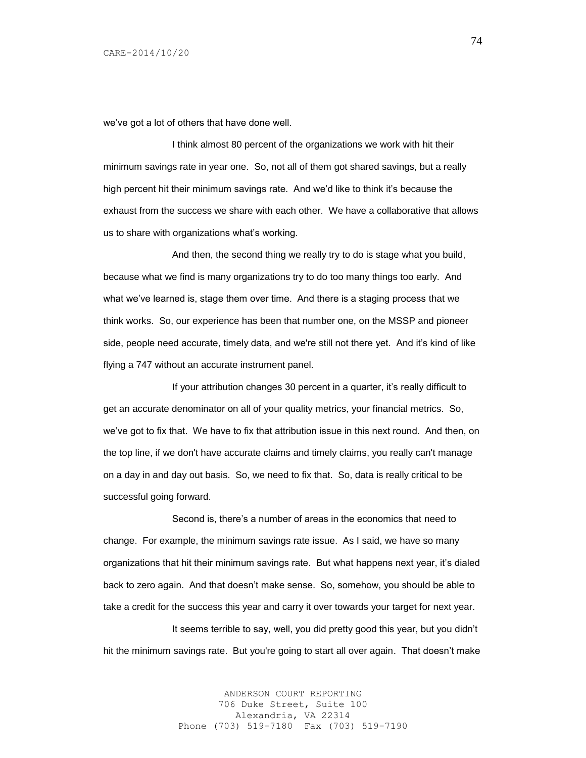we've got a lot of others that have done well.

I think almost 80 percent of the organizations we work with hit their minimum savings rate in year one. So, not all of them got shared savings, but a really high percent hit their minimum savings rate. And we'd like to think it's because the exhaust from the success we share with each other. We have a collaborative that allows us to share with organizations what's working.

And then, the second thing we really try to do is stage what you build, because what we find is many organizations try to do too many things too early. And what we've learned is, stage them over time. And there is a staging process that we think works. So, our experience has been that number one, on the MSSP and pioneer side, people need accurate, timely data, and we're still not there yet. And it's kind of like flying a 747 without an accurate instrument panel.

If your attribution changes 30 percent in a quarter, it's really difficult to get an accurate denominator on all of your quality metrics, your financial metrics. So, we've got to fix that. We have to fix that attribution issue in this next round. And then, on the top line, if we don't have accurate claims and timely claims, you really can't manage on a day in and day out basis. So, we need to fix that. So, data is really critical to be successful going forward.

Second is, there's a number of areas in the economics that need to change. For example, the minimum savings rate issue. As I said, we have so many organizations that hit their minimum savings rate. But what happens next year, it's dialed back to zero again. And that doesn't make sense. So, somehow, you should be able to take a credit for the success this year and carry it over towards your target for next year.

It seems terrible to say, well, you did pretty good this year, but you didn't hit the minimum savings rate. But you're going to start all over again. That doesn't make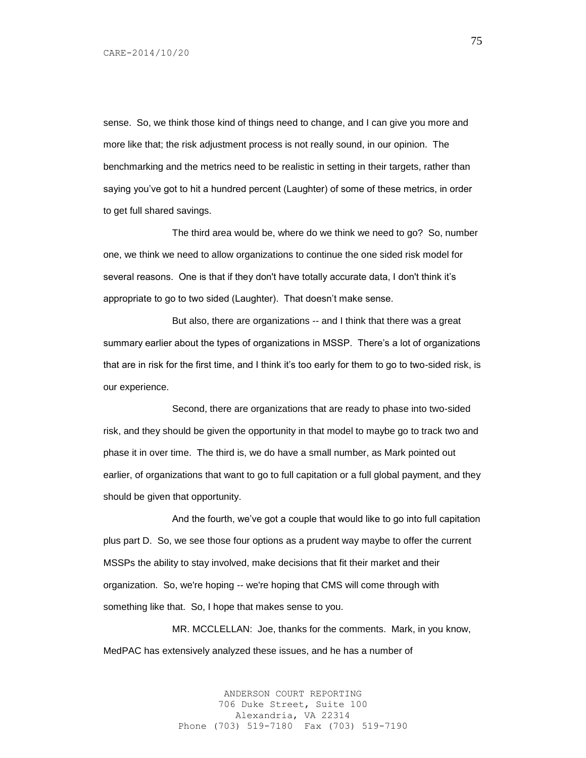sense. So, we think those kind of things need to change, and I can give you more and more like that; the risk adjustment process is not really sound, in our opinion. The benchmarking and the metrics need to be realistic in setting in their targets, rather than saying you've got to hit a hundred percent (Laughter) of some of these metrics, in order to get full shared savings.

The third area would be, where do we think we need to go? So, number one, we think we need to allow organizations to continue the one sided risk model for several reasons. One is that if they don't have totally accurate data, I don't think it's appropriate to go to two sided (Laughter). That doesn't make sense.

But also, there are organizations -- and I think that there was a great summary earlier about the types of organizations in MSSP. There's a lot of organizations that are in risk for the first time, and I think it's too early for them to go to two-sided risk, is our experience.

Second, there are organizations that are ready to phase into two-sided risk, and they should be given the opportunity in that model to maybe go to track two and phase it in over time. The third is, we do have a small number, as Mark pointed out earlier, of organizations that want to go to full capitation or a full global payment, and they should be given that opportunity.

And the fourth, we've got a couple that would like to go into full capitation plus part D. So, we see those four options as a prudent way maybe to offer the current MSSPs the ability to stay involved, make decisions that fit their market and their organization. So, we're hoping -- we're hoping that CMS will come through with something like that. So, I hope that makes sense to you.

MR. MCCLELLAN: Joe, thanks for the comments. Mark, in you know, MedPAC has extensively analyzed these issues, and he has a number of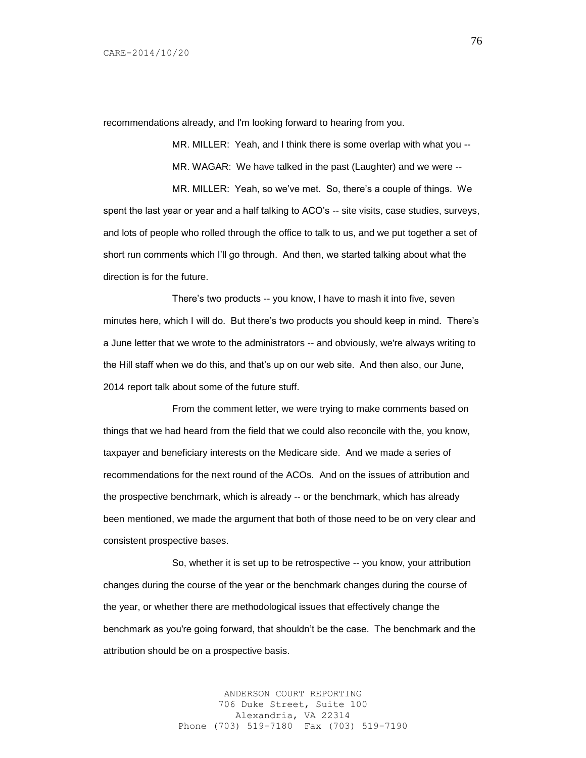recommendations already, and I'm looking forward to hearing from you.

MR. MILLER: Yeah, and I think there is some overlap with what you -- MR. WAGAR: We have talked in the past (Laughter) and we were --

MR. MILLER: Yeah, so we've met. So, there's a couple of things. We spent the last year or year and a half talking to ACO's -- site visits, case studies, surveys, and lots of people who rolled through the office to talk to us, and we put together a set of short run comments which I'll go through. And then, we started talking about what the direction is for the future.

There's two products -- you know, I have to mash it into five, seven minutes here, which I will do. But there's two products you should keep in mind. There's a June letter that we wrote to the administrators -- and obviously, we're always writing to the Hill staff when we do this, and that's up on our web site. And then also, our June, 2014 report talk about some of the future stuff.

From the comment letter, we were trying to make comments based on things that we had heard from the field that we could also reconcile with the, you know, taxpayer and beneficiary interests on the Medicare side. And we made a series of recommendations for the next round of the ACOs. And on the issues of attribution and the prospective benchmark, which is already -- or the benchmark, which has already been mentioned, we made the argument that both of those need to be on very clear and consistent prospective bases.

So, whether it is set up to be retrospective -- you know, your attribution changes during the course of the year or the benchmark changes during the course of the year, or whether there are methodological issues that effectively change the benchmark as you're going forward, that shouldn't be the case. The benchmark and the attribution should be on a prospective basis.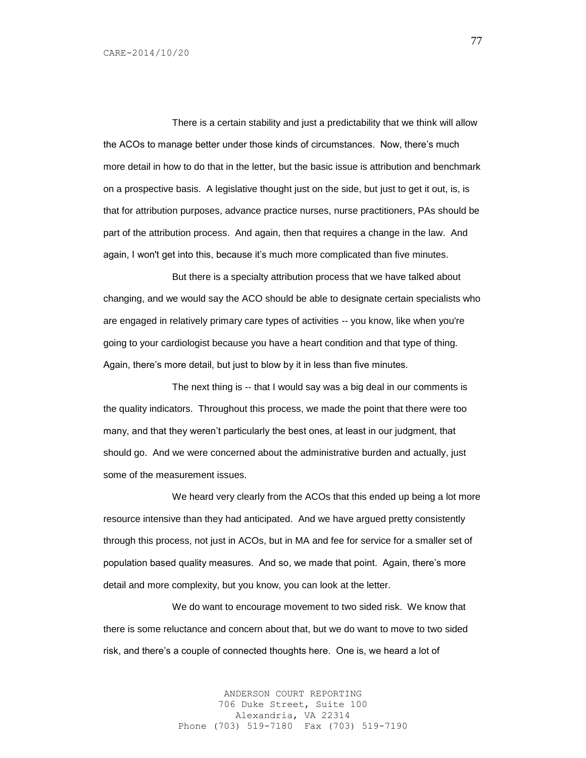There is a certain stability and just a predictability that we think will allow the ACOs to manage better under those kinds of circumstances. Now, there's much more detail in how to do that in the letter, but the basic issue is attribution and benchmark on a prospective basis. A legislative thought just on the side, but just to get it out, is, is that for attribution purposes, advance practice nurses, nurse practitioners, PAs should be part of the attribution process. And again, then that requires a change in the law. And again, I won't get into this, because it's much more complicated than five minutes.

But there is a specialty attribution process that we have talked about changing, and we would say the ACO should be able to designate certain specialists who are engaged in relatively primary care types of activities -- you know, like when you're going to your cardiologist because you have a heart condition and that type of thing. Again, there's more detail, but just to blow by it in less than five minutes.

The next thing is -- that I would say was a big deal in our comments is the quality indicators. Throughout this process, we made the point that there were too many, and that they weren't particularly the best ones, at least in our judgment, that should go. And we were concerned about the administrative burden and actually, just some of the measurement issues.

We heard very clearly from the ACOs that this ended up being a lot more resource intensive than they had anticipated. And we have argued pretty consistently through this process, not just in ACOs, but in MA and fee for service for a smaller set of population based quality measures. And so, we made that point. Again, there's more detail and more complexity, but you know, you can look at the letter.

We do want to encourage movement to two sided risk. We know that there is some reluctance and concern about that, but we do want to move to two sided risk, and there's a couple of connected thoughts here. One is, we heard a lot of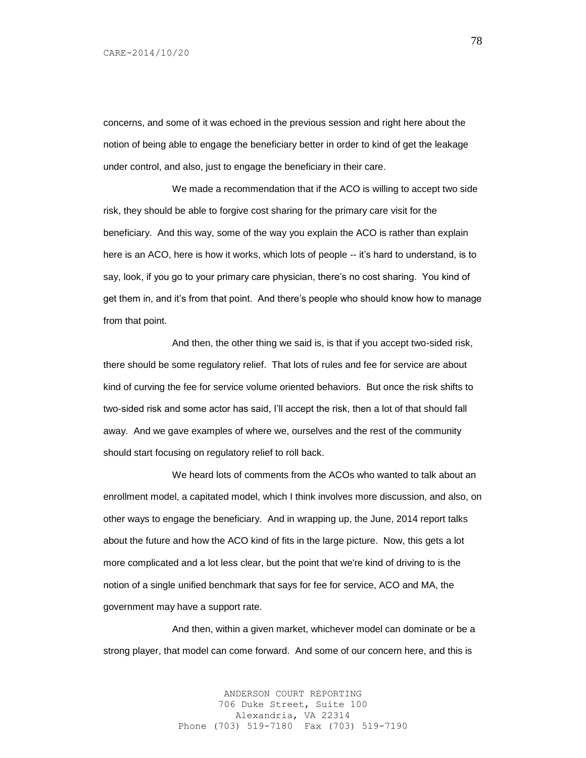concerns, and some of it was echoed in the previous session and right here about the notion of being able to engage the beneficiary better in order to kind of get the leakage under control, and also, just to engage the beneficiary in their care.

We made a recommendation that if the ACO is willing to accept two side risk, they should be able to forgive cost sharing for the primary care visit for the beneficiary. And this way, some of the way you explain the ACO is rather than explain here is an ACO, here is how it works, which lots of people -- it's hard to understand, is to say, look, if you go to your primary care physician, there's no cost sharing. You kind of get them in, and it's from that point. And there's people who should know how to manage from that point.

And then, the other thing we said is, is that if you accept two-sided risk, there should be some regulatory relief. That lots of rules and fee for service are about kind of curving the fee for service volume oriented behaviors. But once the risk shifts to two-sided risk and some actor has said, I'll accept the risk, then a lot of that should fall away. And we gave examples of where we, ourselves and the rest of the community should start focusing on regulatory relief to roll back.

We heard lots of comments from the ACOs who wanted to talk about an enrollment model, a capitated model, which I think involves more discussion, and also, on other ways to engage the beneficiary. And in wrapping up, the June, 2014 report talks about the future and how the ACO kind of fits in the large picture. Now, this gets a lot more complicated and a lot less clear, but the point that we're kind of driving to is the notion of a single unified benchmark that says for fee for service, ACO and MA, the government may have a support rate.

And then, within a given market, whichever model can dominate or be a strong player, that model can come forward. And some of our concern here, and this is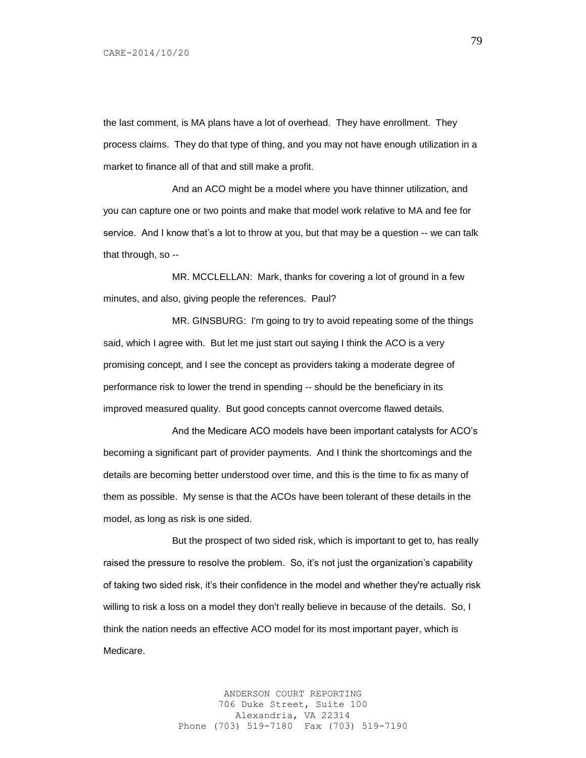the last comment, is MA plans have a lot of overhead. They have enrollment. They process claims. They do that type of thing, and you may not have enough utilization in a market to finance all of that and still make a profit.

And an ACO might be a model where you have thinner utilization, and you can capture one or two points and make that model work relative to MA and fee for service. And I know that's a lot to throw at you, but that may be a question -- we can talk that through, so --

MR. MCCLELLAN: Mark, thanks for covering a lot of ground in a few minutes, and also, giving people the references. Paul?

MR. GINSBURG: I'm going to try to avoid repeating some of the things said, which I agree with. But let me just start out saying I think the ACO is a very promising concept, and I see the concept as providers taking a moderate degree of performance risk to lower the trend in spending -- should be the beneficiary in its improved measured quality. But good concepts cannot overcome flawed details.

And the Medicare ACO models have been important catalysts for ACO's becoming a significant part of provider payments. And I think the shortcomings and the details are becoming better understood over time, and this is the time to fix as many of them as possible. My sense is that the ACOs have been tolerant of these details in the model, as long as risk is one sided.

But the prospect of two sided risk, which is important to get to, has really raised the pressure to resolve the problem. So, it's not just the organization's capability of taking two sided risk, it's their confidence in the model and whether they're actually risk willing to risk a loss on a model they don't really believe in because of the details. So, I think the nation needs an effective ACO model for its most important payer, which is Medicare.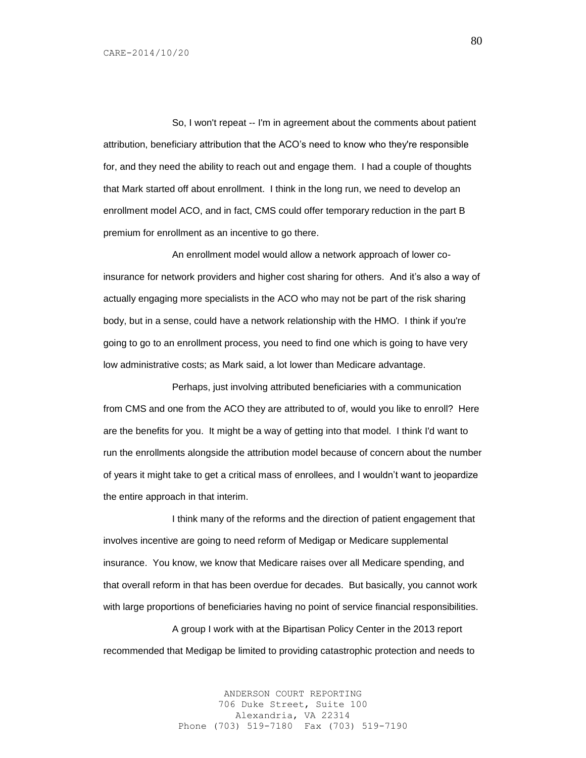So, I won't repeat -- I'm in agreement about the comments about patient attribution, beneficiary attribution that the ACO's need to know who they're responsible for, and they need the ability to reach out and engage them. I had a couple of thoughts that Mark started off about enrollment. I think in the long run, we need to develop an enrollment model ACO, and in fact, CMS could offer temporary reduction in the part B premium for enrollment as an incentive to go there.

An enrollment model would allow a network approach of lower coinsurance for network providers and higher cost sharing for others. And it's also a way of actually engaging more specialists in the ACO who may not be part of the risk sharing body, but in a sense, could have a network relationship with the HMO. I think if you're going to go to an enrollment process, you need to find one which is going to have very low administrative costs; as Mark said, a lot lower than Medicare advantage.

Perhaps, just involving attributed beneficiaries with a communication from CMS and one from the ACO they are attributed to of, would you like to enroll? Here are the benefits for you. It might be a way of getting into that model. I think I'd want to run the enrollments alongside the attribution model because of concern about the number of years it might take to get a critical mass of enrollees, and I wouldn't want to jeopardize the entire approach in that interim.

I think many of the reforms and the direction of patient engagement that involves incentive are going to need reform of Medigap or Medicare supplemental insurance. You know, we know that Medicare raises over all Medicare spending, and that overall reform in that has been overdue for decades. But basically, you cannot work with large proportions of beneficiaries having no point of service financial responsibilities.

A group I work with at the Bipartisan Policy Center in the 2013 report recommended that Medigap be limited to providing catastrophic protection and needs to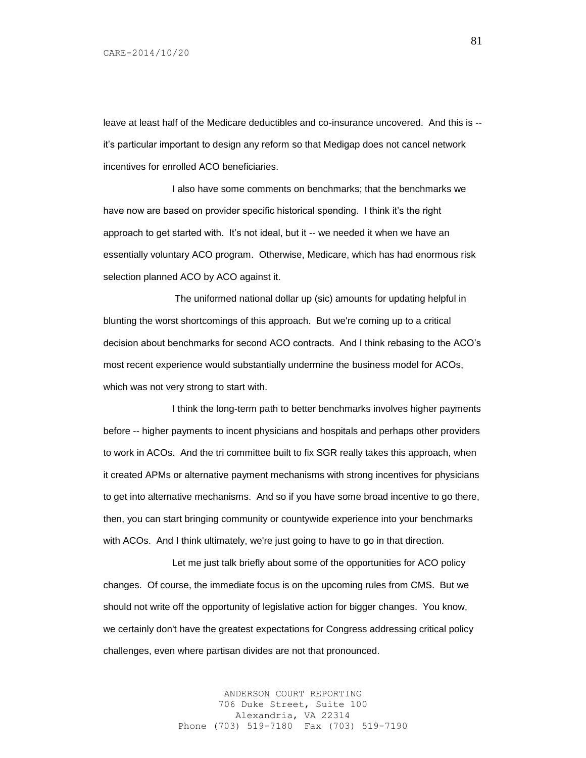leave at least half of the Medicare deductibles and co-insurance uncovered. And this is - it's particular important to design any reform so that Medigap does not cancel network incentives for enrolled ACO beneficiaries.

I also have some comments on benchmarks; that the benchmarks we have now are based on provider specific historical spending. I think it's the right approach to get started with. It's not ideal, but it -- we needed it when we have an essentially voluntary ACO program. Otherwise, Medicare, which has had enormous risk selection planned ACO by ACO against it.

The uniformed national dollar up (sic) amounts for updating helpful in blunting the worst shortcomings of this approach. But we're coming up to a critical decision about benchmarks for second ACO contracts. And I think rebasing to the ACO's most recent experience would substantially undermine the business model for ACOs, which was not very strong to start with.

I think the long-term path to better benchmarks involves higher payments before -- higher payments to incent physicians and hospitals and perhaps other providers to work in ACOs. And the tri committee built to fix SGR really takes this approach, when it created APMs or alternative payment mechanisms with strong incentives for physicians to get into alternative mechanisms. And so if you have some broad incentive to go there, then, you can start bringing community or countywide experience into your benchmarks with ACOs. And I think ultimately, we're just going to have to go in that direction.

Let me just talk briefly about some of the opportunities for ACO policy changes. Of course, the immediate focus is on the upcoming rules from CMS. But we should not write off the opportunity of legislative action for bigger changes. You know, we certainly don't have the greatest expectations for Congress addressing critical policy challenges, even where partisan divides are not that pronounced.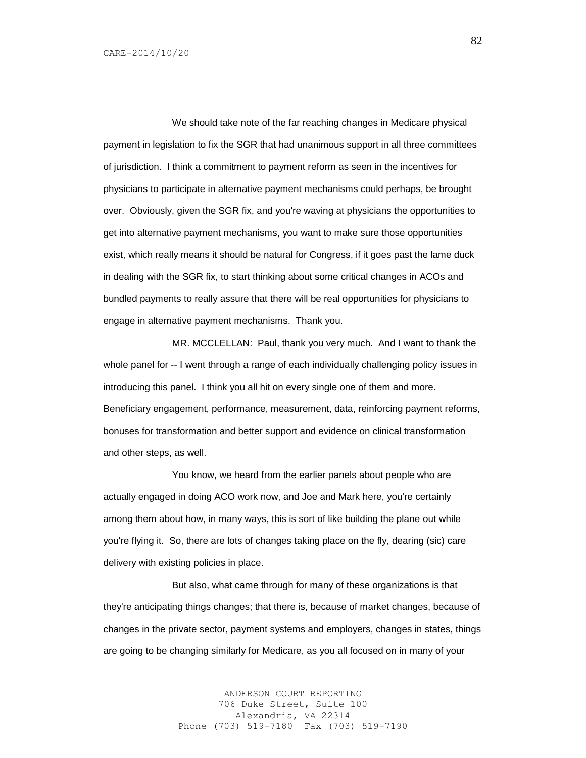We should take note of the far reaching changes in Medicare physical payment in legislation to fix the SGR that had unanimous support in all three committees of jurisdiction. I think a commitment to payment reform as seen in the incentives for physicians to participate in alternative payment mechanisms could perhaps, be brought over. Obviously, given the SGR fix, and you're waving at physicians the opportunities to get into alternative payment mechanisms, you want to make sure those opportunities exist, which really means it should be natural for Congress, if it goes past the lame duck in dealing with the SGR fix, to start thinking about some critical changes in ACOs and bundled payments to really assure that there will be real opportunities for physicians to engage in alternative payment mechanisms. Thank you.

MR. MCCLELLAN: Paul, thank you very much. And I want to thank the whole panel for -- I went through a range of each individually challenging policy issues in introducing this panel. I think you all hit on every single one of them and more. Beneficiary engagement, performance, measurement, data, reinforcing payment reforms, bonuses for transformation and better support and evidence on clinical transformation and other steps, as well.

You know, we heard from the earlier panels about people who are actually engaged in doing ACO work now, and Joe and Mark here, you're certainly among them about how, in many ways, this is sort of like building the plane out while you're flying it. So, there are lots of changes taking place on the fly, dearing (sic) care delivery with existing policies in place.

But also, what came through for many of these organizations is that they're anticipating things changes; that there is, because of market changes, because of changes in the private sector, payment systems and employers, changes in states, things are going to be changing similarly for Medicare, as you all focused on in many of your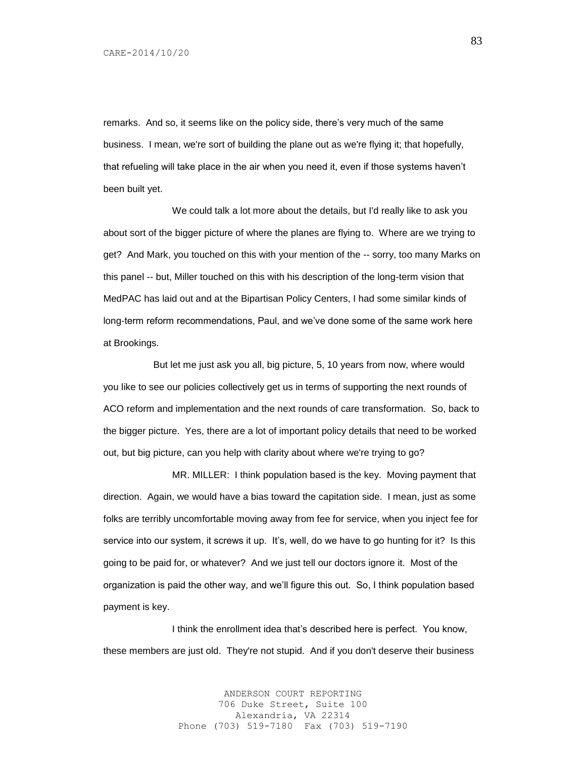remarks. And so, it seems like on the policy side, there's very much of the same business. I mean, we're sort of building the plane out as we're flying it; that hopefully, that refueling will take place in the air when you need it, even if those systems haven't been built yet.

We could talk a lot more about the details, but I'd really like to ask you about sort of the bigger picture of where the planes are flying to. Where are we trying to get? And Mark, you touched on this with your mention of the -- sorry, too many Marks on this panel -- but, Miller touched on this with his description of the long-term vision that MedPAC has laid out and at the Bipartisan Policy Centers, I had some similar kinds of long-term reform recommendations, Paul, and we've done some of the same work here at Brookings.

 But let me just ask you all, big picture, 5, 10 years from now, where would you like to see our policies collectively get us in terms of supporting the next rounds of ACO reform and implementation and the next rounds of care transformation. So, back to the bigger picture. Yes, there are a lot of important policy details that need to be worked out, but big picture, can you help with clarity about where we're trying to go?

MR. MILLER: I think population based is the key. Moving payment that direction. Again, we would have a bias toward the capitation side. I mean, just as some folks are terribly uncomfortable moving away from fee for service, when you inject fee for service into our system, it screws it up. It's, well, do we have to go hunting for it? Is this going to be paid for, or whatever? And we just tell our doctors ignore it. Most of the organization is paid the other way, and we'll figure this out. So, I think population based payment is key.

I think the enrollment idea that's described here is perfect. You know, these members are just old. They're not stupid. And if you don't deserve their business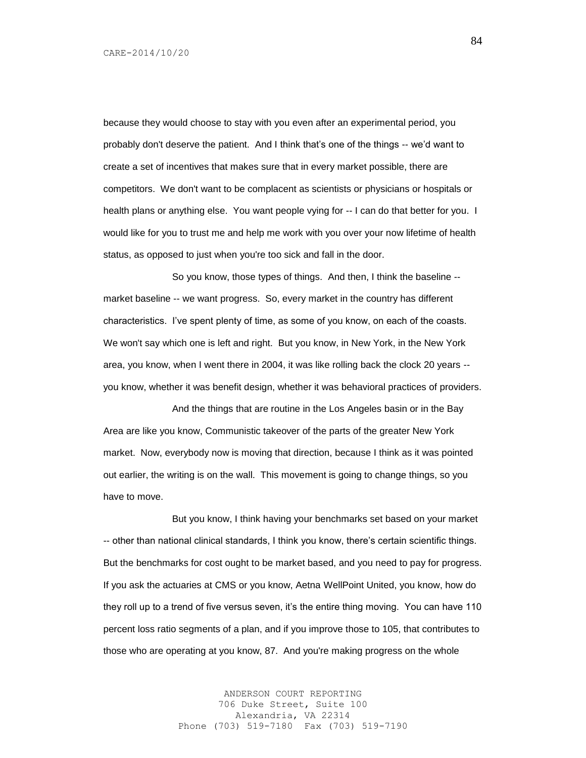because they would choose to stay with you even after an experimental period, you probably don't deserve the patient. And I think that's one of the things -- we'd want to create a set of incentives that makes sure that in every market possible, there are competitors. We don't want to be complacent as scientists or physicians or hospitals or health plans or anything else. You want people vying for -- I can do that better for you. I would like for you to trust me and help me work with you over your now lifetime of health status, as opposed to just when you're too sick and fall in the door.

So you know, those types of things. And then, I think the baseline - market baseline -- we want progress. So, every market in the country has different characteristics. I've spent plenty of time, as some of you know, on each of the coasts. We won't say which one is left and right. But you know, in New York, in the New York area, you know, when I went there in 2004, it was like rolling back the clock 20 years - you know, whether it was benefit design, whether it was behavioral practices of providers.

And the things that are routine in the Los Angeles basin or in the Bay Area are like you know, Communistic takeover of the parts of the greater New York market. Now, everybody now is moving that direction, because I think as it was pointed out earlier, the writing is on the wall. This movement is going to change things, so you have to move.

But you know, I think having your benchmarks set based on your market -- other than national clinical standards, I think you know, there's certain scientific things. But the benchmarks for cost ought to be market based, and you need to pay for progress. If you ask the actuaries at CMS or you know, Aetna WellPoint United, you know, how do they roll up to a trend of five versus seven, it's the entire thing moving. You can have 110 percent loss ratio segments of a plan, and if you improve those to 105, that contributes to those who are operating at you know, 87. And you're making progress on the whole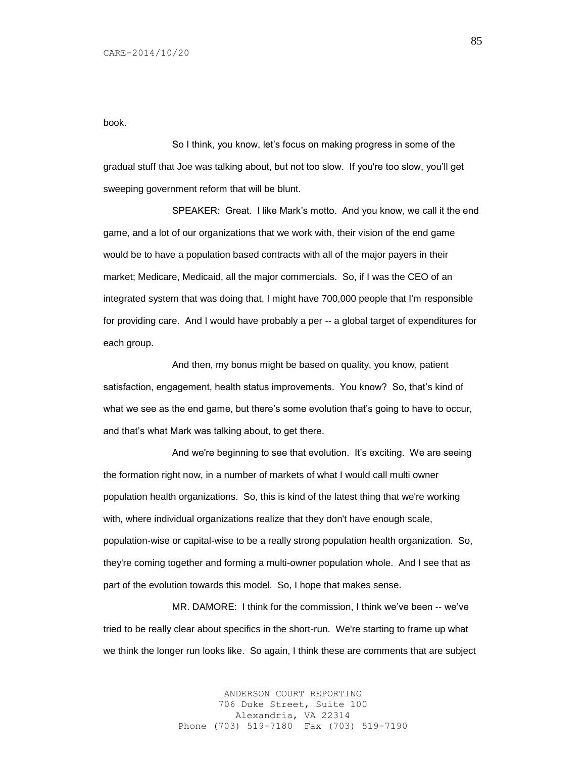book.

So I think, you know, let's focus on making progress in some of the gradual stuff that Joe was talking about, but not too slow. If you're too slow, you'll get sweeping government reform that will be blunt.

SPEAKER: Great. I like Mark's motto. And you know, we call it the end game, and a lot of our organizations that we work with, their vision of the end game would be to have a population based contracts with all of the major payers in their market; Medicare, Medicaid, all the major commercials. So, if I was the CEO of an integrated system that was doing that, I might have 700,000 people that I'm responsible for providing care. And I would have probably a per -- a global target of expenditures for each group.

And then, my bonus might be based on quality, you know, patient satisfaction, engagement, health status improvements. You know? So, that's kind of what we see as the end game, but there's some evolution that's going to have to occur, and that's what Mark was talking about, to get there.

And we're beginning to see that evolution. It's exciting. We are seeing the formation right now, in a number of markets of what I would call multi owner population health organizations. So, this is kind of the latest thing that we're working with, where individual organizations realize that they don't have enough scale, population-wise or capital-wise to be a really strong population health organization. So, they're coming together and forming a multi-owner population whole. And I see that as part of the evolution towards this model. So, I hope that makes sense.

MR. DAMORE: I think for the commission, I think we've been -- we've tried to be really clear about specifics in the short-run. We're starting to frame up what we think the longer run looks like. So again, I think these are comments that are subject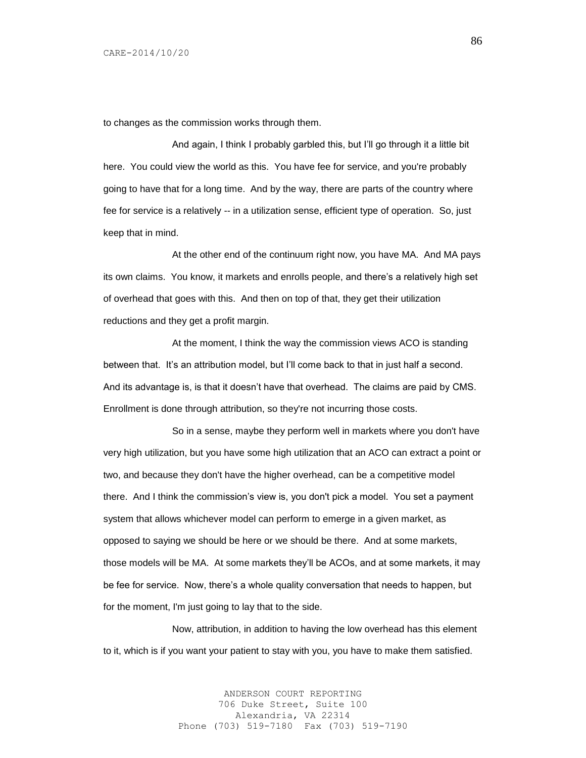to changes as the commission works through them.

And again, I think I probably garbled this, but I'll go through it a little bit here. You could view the world as this. You have fee for service, and you're probably going to have that for a long time. And by the way, there are parts of the country where fee for service is a relatively -- in a utilization sense, efficient type of operation. So, just keep that in mind.

At the other end of the continuum right now, you have MA. And MA pays its own claims. You know, it markets and enrolls people, and there's a relatively high set of overhead that goes with this. And then on top of that, they get their utilization reductions and they get a profit margin.

At the moment, I think the way the commission views ACO is standing between that. It's an attribution model, but I'll come back to that in just half a second. And its advantage is, is that it doesn't have that overhead. The claims are paid by CMS. Enrollment is done through attribution, so they're not incurring those costs.

So in a sense, maybe they perform well in markets where you don't have very high utilization, but you have some high utilization that an ACO can extract a point or two, and because they don't have the higher overhead, can be a competitive model there. And I think the commission's view is, you don't pick a model. You set a payment system that allows whichever model can perform to emerge in a given market, as opposed to saying we should be here or we should be there. And at some markets, those models will be MA. At some markets they'll be ACOs, and at some markets, it may be fee for service. Now, there's a whole quality conversation that needs to happen, but for the moment, I'm just going to lay that to the side.

Now, attribution, in addition to having the low overhead has this element to it, which is if you want your patient to stay with you, you have to make them satisfied.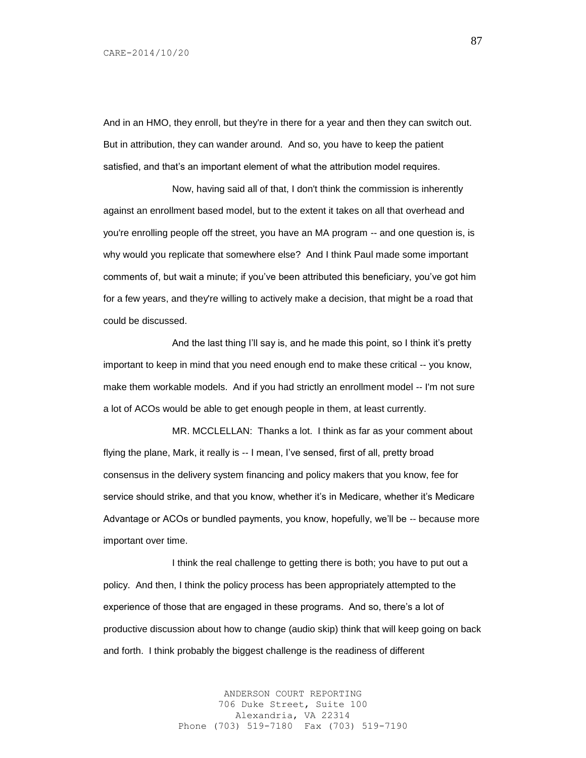And in an HMO, they enroll, but they're in there for a year and then they can switch out. But in attribution, they can wander around. And so, you have to keep the patient satisfied, and that's an important element of what the attribution model requires.

Now, having said all of that, I don't think the commission is inherently against an enrollment based model, but to the extent it takes on all that overhead and you're enrolling people off the street, you have an MA program -- and one question is, is why would you replicate that somewhere else? And I think Paul made some important comments of, but wait a minute; if you've been attributed this beneficiary, you've got him for a few years, and they're willing to actively make a decision, that might be a road that could be discussed.

And the last thing I'll say is, and he made this point, so I think it's pretty important to keep in mind that you need enough end to make these critical -- you know, make them workable models. And if you had strictly an enrollment model -- I'm not sure a lot of ACOs would be able to get enough people in them, at least currently.

MR. MCCLELLAN: Thanks a lot. I think as far as your comment about flying the plane, Mark, it really is -- I mean, I've sensed, first of all, pretty broad consensus in the delivery system financing and policy makers that you know, fee for service should strike, and that you know, whether it's in Medicare, whether it's Medicare Advantage or ACOs or bundled payments, you know, hopefully, we'll be -- because more important over time.

I think the real challenge to getting there is both; you have to put out a policy. And then, I think the policy process has been appropriately attempted to the experience of those that are engaged in these programs. And so, there's a lot of productive discussion about how to change (audio skip) think that will keep going on back and forth. I think probably the biggest challenge is the readiness of different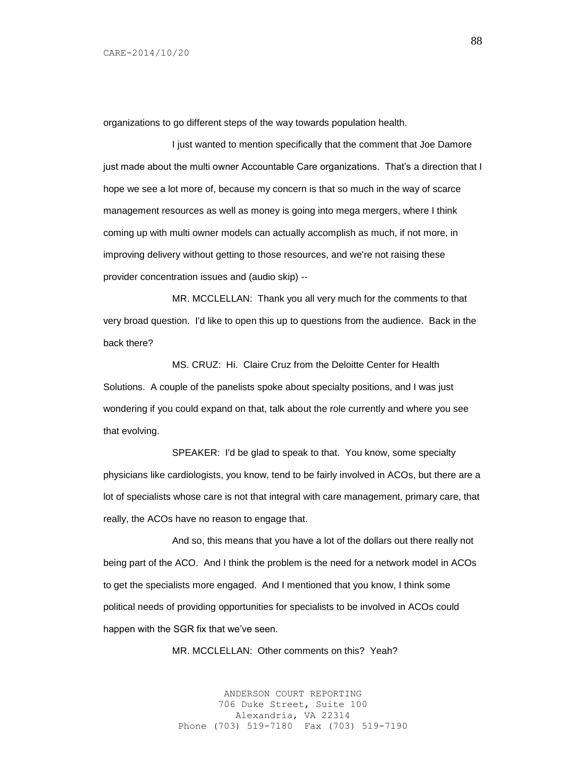organizations to go different steps of the way towards population health.

I just wanted to mention specifically that the comment that Joe Damore just made about the multi owner Accountable Care organizations. That's a direction that I hope we see a lot more of, because my concern is that so much in the way of scarce management resources as well as money is going into mega mergers, where I think coming up with multi owner models can actually accomplish as much, if not more, in improving delivery without getting to those resources, and we're not raising these provider concentration issues and (audio skip) --

MR. MCCLELLAN: Thank you all very much for the comments to that very broad question. I'd like to open this up to questions from the audience. Back in the back there?

MS. CRUZ: Hi. Claire Cruz from the Deloitte Center for Health Solutions. A couple of the panelists spoke about specialty positions, and I was just wondering if you could expand on that, talk about the role currently and where you see that evolving.

SPEAKER: I'd be glad to speak to that. You know, some specialty physicians like cardiologists, you know, tend to be fairly involved in ACOs, but there are a lot of specialists whose care is not that integral with care management, primary care, that really, the ACOs have no reason to engage that.

And so, this means that you have a lot of the dollars out there really not being part of the ACO. And I think the problem is the need for a network model in ACOs to get the specialists more engaged. And I mentioned that you know, I think some political needs of providing opportunities for specialists to be involved in ACOs could happen with the SGR fix that we've seen.

MR. MCCLELLAN: Other comments on this? Yeah?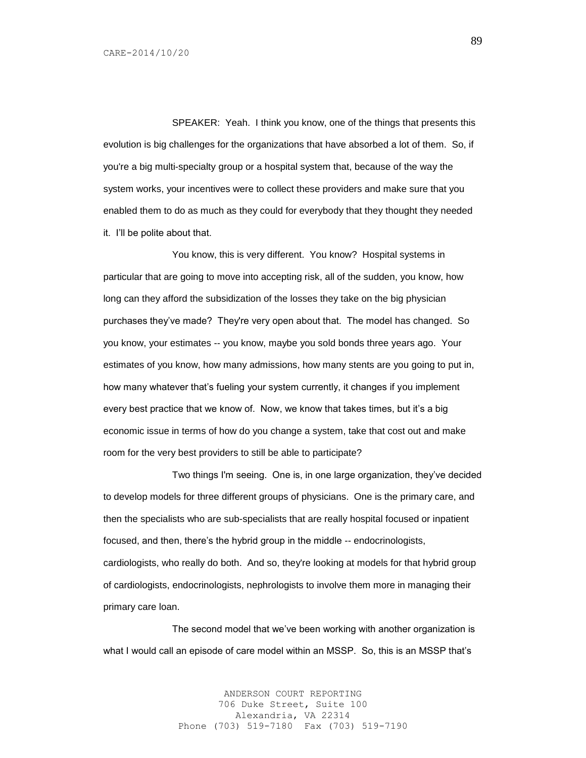SPEAKER: Yeah. I think you know, one of the things that presents this evolution is big challenges for the organizations that have absorbed a lot of them. So, if you're a big multi-specialty group or a hospital system that, because of the way the system works, your incentives were to collect these providers and make sure that you enabled them to do as much as they could for everybody that they thought they needed it. I'll be polite about that.

You know, this is very different. You know? Hospital systems in particular that are going to move into accepting risk, all of the sudden, you know, how long can they afford the subsidization of the losses they take on the big physician purchases they've made? They're very open about that. The model has changed. So you know, your estimates -- you know, maybe you sold bonds three years ago. Your estimates of you know, how many admissions, how many stents are you going to put in, how many whatever that's fueling your system currently, it changes if you implement every best practice that we know of. Now, we know that takes times, but it's a big economic issue in terms of how do you change a system, take that cost out and make room for the very best providers to still be able to participate?

Two things I'm seeing. One is, in one large organization, they've decided to develop models for three different groups of physicians. One is the primary care, and then the specialists who are sub-specialists that are really hospital focused or inpatient focused, and then, there's the hybrid group in the middle -- endocrinologists, cardiologists, who really do both. And so, they're looking at models for that hybrid group of cardiologists, endocrinologists, nephrologists to involve them more in managing their primary care loan.

The second model that we've been working with another organization is what I would call an episode of care model within an MSSP. So, this is an MSSP that's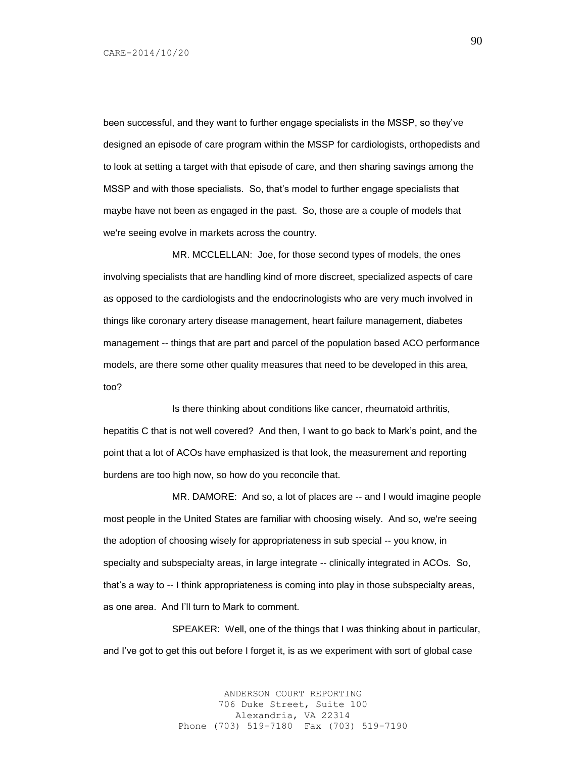been successful, and they want to further engage specialists in the MSSP, so they've designed an episode of care program within the MSSP for cardiologists, orthopedists and to look at setting a target with that episode of care, and then sharing savings among the MSSP and with those specialists. So, that's model to further engage specialists that maybe have not been as engaged in the past. So, those are a couple of models that we're seeing evolve in markets across the country.

MR. MCCLELLAN: Joe, for those second types of models, the ones involving specialists that are handling kind of more discreet, specialized aspects of care as opposed to the cardiologists and the endocrinologists who are very much involved in things like coronary artery disease management, heart failure management, diabetes management -- things that are part and parcel of the population based ACO performance models, are there some other quality measures that need to be developed in this area, too?

Is there thinking about conditions like cancer, rheumatoid arthritis, hepatitis C that is not well covered? And then, I want to go back to Mark's point, and the point that a lot of ACOs have emphasized is that look, the measurement and reporting burdens are too high now, so how do you reconcile that.

MR. DAMORE: And so, a lot of places are -- and I would imagine people most people in the United States are familiar with choosing wisely. And so, we're seeing the adoption of choosing wisely for appropriateness in sub special -- you know, in specialty and subspecialty areas, in large integrate -- clinically integrated in ACOs. So, that's a way to -- I think appropriateness is coming into play in those subspecialty areas, as one area. And I'll turn to Mark to comment.

SPEAKER: Well, one of the things that I was thinking about in particular, and I've got to get this out before I forget it, is as we experiment with sort of global case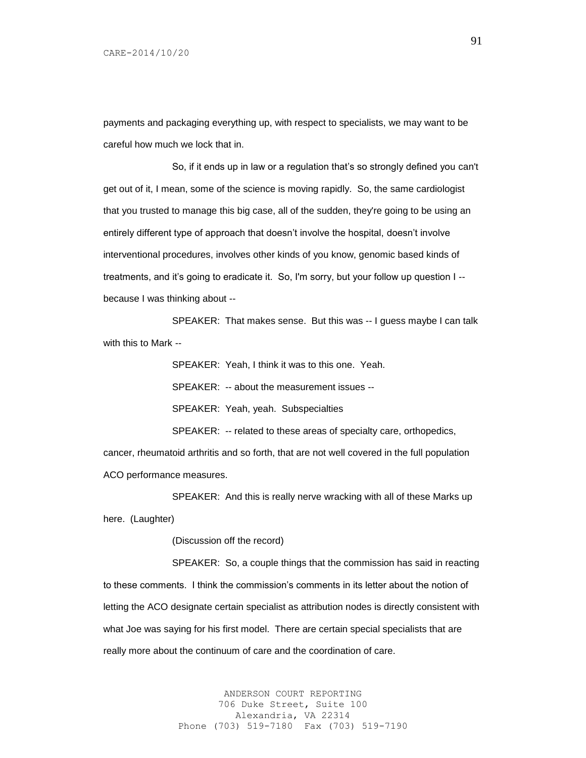payments and packaging everything up, with respect to specialists, we may want to be careful how much we lock that in.

So, if it ends up in law or a regulation that's so strongly defined you can't get out of it, I mean, some of the science is moving rapidly. So, the same cardiologist that you trusted to manage this big case, all of the sudden, they're going to be using an entirely different type of approach that doesn't involve the hospital, doesn't involve interventional procedures, involves other kinds of you know, genomic based kinds of treatments, and it's going to eradicate it. So, I'm sorry, but your follow up question I - because I was thinking about --

SPEAKER: That makes sense. But this was -- I guess maybe I can talk with this to Mark --

SPEAKER: Yeah, I think it was to this one. Yeah.

SPEAKER: -- about the measurement issues --

SPEAKER: Yeah, yeah. Subspecialties

SPEAKER: -- related to these areas of specialty care, orthopedics,

cancer, rheumatoid arthritis and so forth, that are not well covered in the full population ACO performance measures.

SPEAKER: And this is really nerve wracking with all of these Marks up here. (Laughter)

(Discussion off the record)

SPEAKER: So, a couple things that the commission has said in reacting to these comments. I think the commission's comments in its letter about the notion of letting the ACO designate certain specialist as attribution nodes is directly consistent with what Joe was saying for his first model. There are certain special specialists that are really more about the continuum of care and the coordination of care.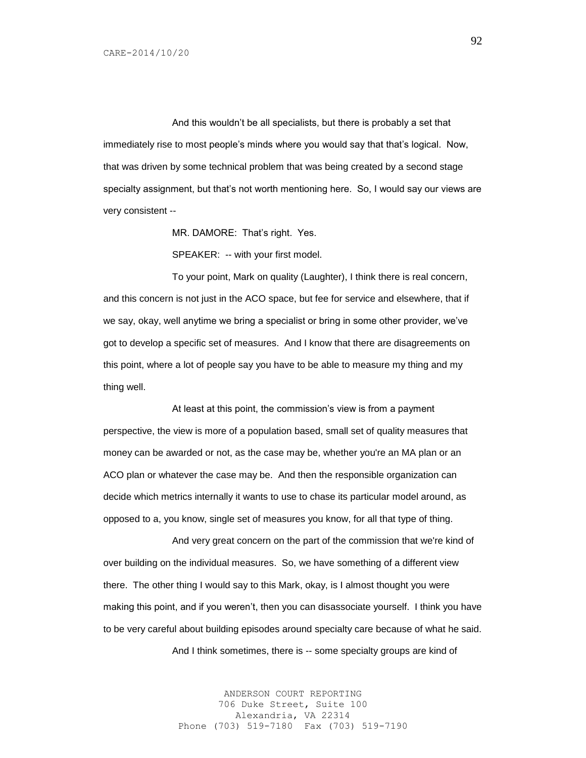And this wouldn't be all specialists, but there is probably a set that immediately rise to most people's minds where you would say that that's logical. Now, that was driven by some technical problem that was being created by a second stage specialty assignment, but that's not worth mentioning here. So, I would say our views are very consistent --

MR. DAMORE: That's right. Yes.

SPEAKER: -- with your first model.

To your point, Mark on quality (Laughter), I think there is real concern, and this concern is not just in the ACO space, but fee for service and elsewhere, that if we say, okay, well anytime we bring a specialist or bring in some other provider, we've got to develop a specific set of measures. And I know that there are disagreements on this point, where a lot of people say you have to be able to measure my thing and my thing well.

At least at this point, the commission's view is from a payment perspective, the view is more of a population based, small set of quality measures that money can be awarded or not, as the case may be, whether you're an MA plan or an ACO plan or whatever the case may be. And then the responsible organization can decide which metrics internally it wants to use to chase its particular model around, as opposed to a, you know, single set of measures you know, for all that type of thing.

And very great concern on the part of the commission that we're kind of over building on the individual measures. So, we have something of a different view there. The other thing I would say to this Mark, okay, is I almost thought you were making this point, and if you weren't, then you can disassociate yourself. I think you have to be very careful about building episodes around specialty care because of what he said.

And I think sometimes, there is -- some specialty groups are kind of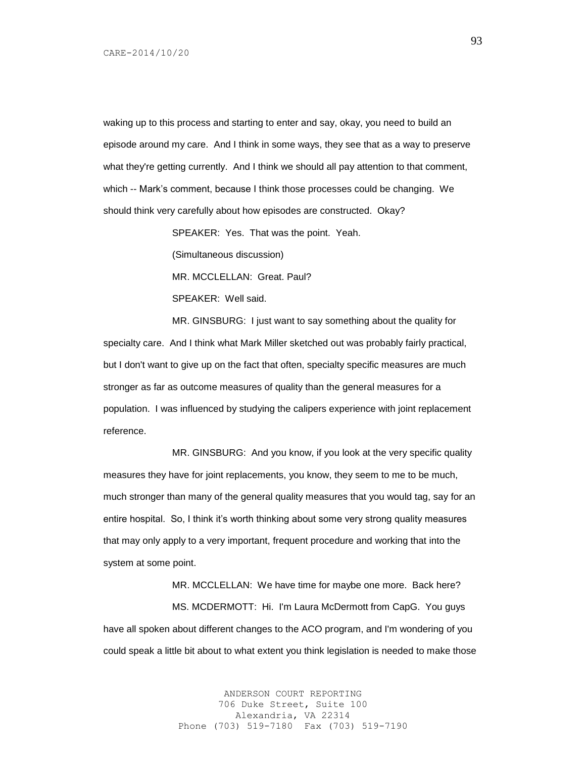waking up to this process and starting to enter and say, okay, you need to build an episode around my care. And I think in some ways, they see that as a way to preserve what they're getting currently. And I think we should all pay attention to that comment, which -- Mark's comment, because I think those processes could be changing. We should think very carefully about how episodes are constructed. Okay?

SPEAKER: Yes. That was the point. Yeah.

(Simultaneous discussion)

MR. MCCLELLAN: Great. Paul?

SPEAKER: Well said.

MR. GINSBURG: I just want to say something about the quality for specialty care. And I think what Mark Miller sketched out was probably fairly practical, but I don't want to give up on the fact that often, specialty specific measures are much stronger as far as outcome measures of quality than the general measures for a population. I was influenced by studying the calipers experience with joint replacement reference.

MR. GINSBURG: And you know, if you look at the very specific quality measures they have for joint replacements, you know, they seem to me to be much, much stronger than many of the general quality measures that you would tag, say for an entire hospital. So, I think it's worth thinking about some very strong quality measures that may only apply to a very important, frequent procedure and working that into the system at some point.

MR. MCCLELLAN: We have time for maybe one more. Back here? MS. MCDERMOTT: Hi. I'm Laura McDermott from CapG. You guys have all spoken about different changes to the ACO program, and I'm wondering of you could speak a little bit about to what extent you think legislation is needed to make those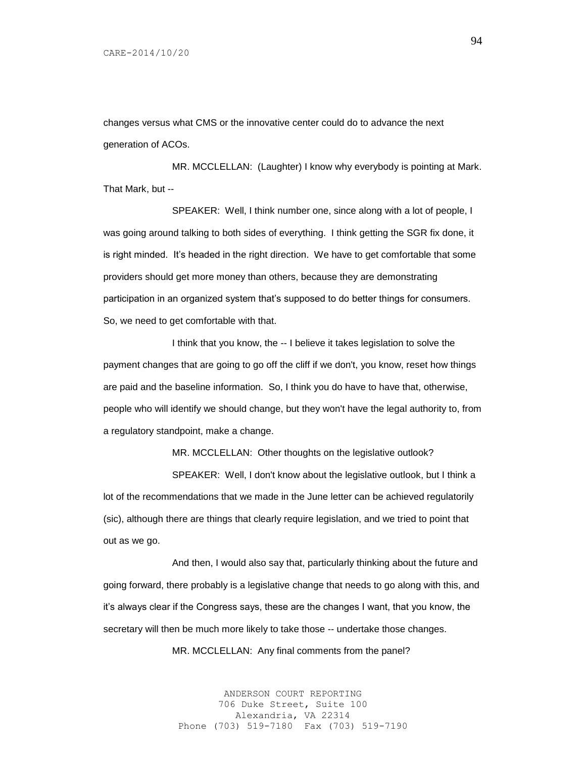changes versus what CMS or the innovative center could do to advance the next generation of ACOs.

MR. MCCLELLAN: (Laughter) I know why everybody is pointing at Mark. That Mark, but --

SPEAKER: Well, I think number one, since along with a lot of people, I was going around talking to both sides of everything. I think getting the SGR fix done, it is right minded. It's headed in the right direction. We have to get comfortable that some providers should get more money than others, because they are demonstrating participation in an organized system that's supposed to do better things for consumers. So, we need to get comfortable with that.

I think that you know, the -- I believe it takes legislation to solve the payment changes that are going to go off the cliff if we don't, you know, reset how things are paid and the baseline information. So, I think you do have to have that, otherwise, people who will identify we should change, but they won't have the legal authority to, from a regulatory standpoint, make a change.

MR. MCCLELLAN: Other thoughts on the legislative outlook?

SPEAKER: Well, I don't know about the legislative outlook, but I think a lot of the recommendations that we made in the June letter can be achieved regulatorily (sic), although there are things that clearly require legislation, and we tried to point that out as we go.

And then, I would also say that, particularly thinking about the future and going forward, there probably is a legislative change that needs to go along with this, and it's always clear if the Congress says, these are the changes I want, that you know, the secretary will then be much more likely to take those -- undertake those changes.

MR. MCCLELLAN: Any final comments from the panel?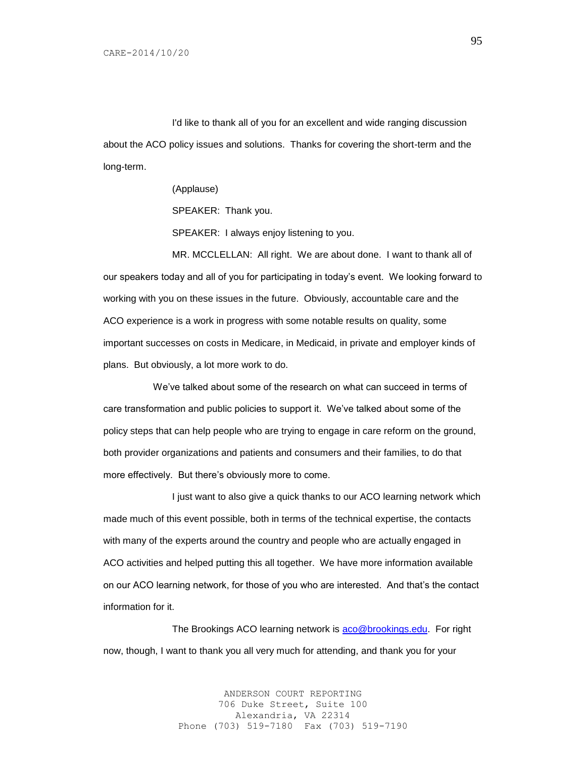I'd like to thank all of you for an excellent and wide ranging discussion about the ACO policy issues and solutions. Thanks for covering the short-term and the long-term.

> (Applause) SPEAKER: Thank you. SPEAKER: I always enjoy listening to you.

MR. MCCLELLAN: All right. We are about done. I want to thank all of our speakers today and all of you for participating in today's event. We looking forward to working with you on these issues in the future. Obviously, accountable care and the ACO experience is a work in progress with some notable results on quality, some important successes on costs in Medicare, in Medicaid, in private and employer kinds of plans. But obviously, a lot more work to do.

 We've talked about some of the research on what can succeed in terms of care transformation and public policies to support it. We've talked about some of the policy steps that can help people who are trying to engage in care reform on the ground, both provider organizations and patients and consumers and their families, to do that more effectively. But there's obviously more to come.

I just want to also give a quick thanks to our ACO learning network which made much of this event possible, both in terms of the technical expertise, the contacts with many of the experts around the country and people who are actually engaged in ACO activities and helped putting this all together. We have more information available on our ACO learning network, for those of you who are interested. And that's the contact information for it.

The Brookings ACO learning network is [aco@brookings.edu.](mailto:aco@brookings.edu) For right now, though, I want to thank you all very much for attending, and thank you for your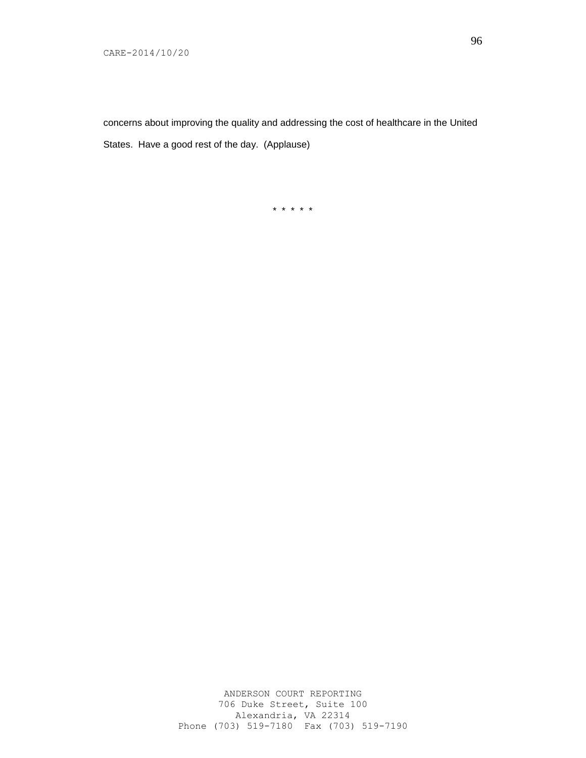concerns about improving the quality and addressing the cost of healthcare in the United States. Have a good rest of the day. (Applause)

\* \* \* \* \*